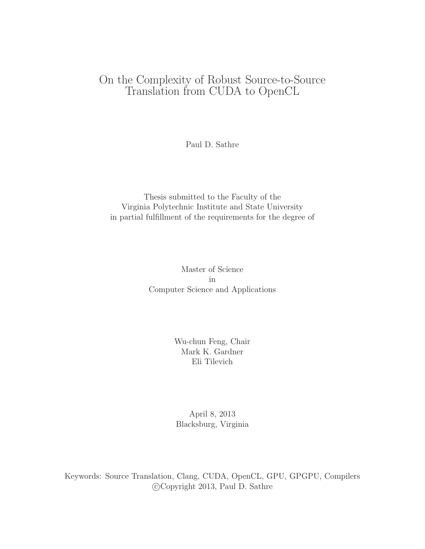# On the Complexity of Robust Source-to-Source Translation from CUDA to OpenCL

Paul D. Sathre

#### Thesis submitted to the Faculty of the Virginia Polytechnic Institute and State University in partial fulfillment of the requirements for the degree of

Master of Science in Computer Science and Applications

> Wu-chun Feng, Chair Mark K. Gardner Eli Tilevich

April 8, 2013 Blacksburg, Virginia

Keywords: Source Translation, Clang, CUDA, OpenCL, GPU, GPGPU, Compilers c Copyright 2013, Paul D. Sathre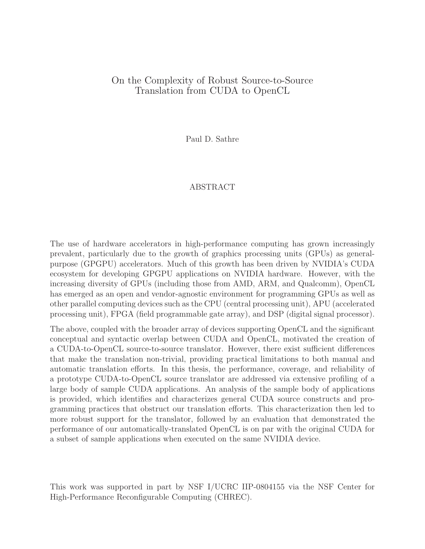#### On the Complexity of Robust Source-to-Source Translation from CUDA to OpenCL

Paul D. Sathre

#### ABSTRACT

The use of hardware accelerators in high-performance computing has grown increasingly prevalent, particularly due to the growth of graphics processing units (GPUs) as generalpurpose (GPGPU) accelerators. Much of this growth has been driven by NVIDIA's CUDA ecosystem for developing GPGPU applications on NVIDIA hardware. However, with the increasing diversity of GPUs (including those from AMD, ARM, and Qualcomm), OpenCL has emerged as an open and vendor-agnostic environment for programming GPUs as well as other parallel computing devices such as the CPU (central processing unit), APU (accelerated processing unit), FPGA (field programmable gate array), and DSP (digital signal processor).

The above, coupled with the broader array of devices supporting OpenCL and the significant conceptual and syntactic overlap between CUDA and OpenCL, motivated the creation of a CUDA-to-OpenCL source-to-source translator. However, there exist sufficient differences that make the translation non-trivial, providing practical limitations to both manual and automatic translation efforts. In this thesis, the performance, coverage, and reliability of a prototype CUDA-to-OpenCL source translator are addressed via extensive profiling of a large body of sample CUDA applications. An analysis of the sample body of applications is provided, which identifies and characterizes general CUDA source constructs and programming practices that obstruct our translation efforts. This characterization then led to more robust support for the translator, followed by an evaluation that demonstrated the performance of our automatically-translated OpenCL is on par with the original CUDA for a subset of sample applications when executed on the same NVIDIA device.

This work was supported in part by NSF I/UCRC IIP-0804155 via the NSF Center for High-Performance Reconfigurable Computing (CHREC).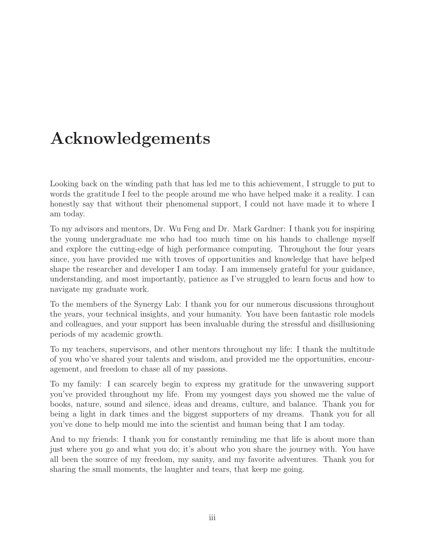# Acknowledgements

Looking back on the winding path that has led me to this achievement, I struggle to put to words the gratitude I feel to the people around me who have helped make it a reality. I can honestly say that without their phenomenal support, I could not have made it to where I am today.

To my advisors and mentors, Dr. Wu Feng and Dr. Mark Gardner: I thank you for inspiring the young undergraduate me who had too much time on his hands to challenge myself and explore the cutting-edge of high performance computing. Throughout the four years since, you have provided me with troves of opportunities and knowledge that have helped shape the researcher and developer I am today. I am immensely grateful for your guidance, understanding, and most importantly, patience as I've struggled to learn focus and how to navigate my graduate work.

To the members of the Synergy Lab: I thank you for our numerous discussions throughout the years, your technical insights, and your humanity. You have been fantastic role models and colleagues, and your support has been invaluable during the stressful and disillusioning periods of my academic growth.

To my teachers, supervisors, and other mentors throughout my life: I thank the multitude of you who've shared your talents and wisdom, and provided me the opportunities, encouragement, and freedom to chase all of my passions.

To my family: I can scarcely begin to express my gratitude for the unwavering support you've provided throughout my life. From my youngest days you showed me the value of books, nature, sound and silence, ideas and dreams, culture, and balance. Thank you for being a light in dark times and the biggest supporters of my dreams. Thank you for all you've done to help mould me into the scientist and human being that I am today.

And to my friends: I thank you for constantly reminding me that life is about more than just where you go and what you do; it's about who you share the journey with. You have all been the source of my freedom, my sanity, and my favorite adventures. Thank you for sharing the small moments, the laughter and tears, that keep me going.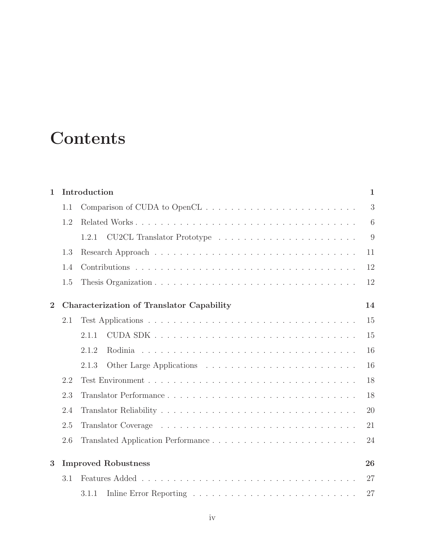# **Contents**

| $\mathbf{1}$   |     | Introduction                                     | $\mathbf{1}$ |
|----------------|-----|--------------------------------------------------|--------------|
|                | 1.1 |                                                  | 3            |
|                | 1.2 |                                                  | 6            |
|                |     | 1.2.1                                            | 9            |
|                | 1.3 |                                                  | 11           |
|                | 1.4 |                                                  | 12           |
|                | 1.5 |                                                  | 12           |
| $\overline{2}$ |     | <b>Characterization of Translator Capability</b> | 14           |
|                | 2.1 |                                                  | 15           |
|                |     | 2.1.1                                            | 15           |
|                |     | 2.1.2                                            | 16           |
|                |     | 2.1.3                                            | 16           |
|                | 2.2 |                                                  | 18           |
|                | 2.3 |                                                  | 18           |
|                | 2.4 |                                                  | 20           |
|                | 2.5 |                                                  | 21           |
|                | 2.6 |                                                  | 24           |
| 3              |     | <b>Improved Robustness</b>                       | 26           |
|                | 3.1 |                                                  | 27           |
|                |     | 3.1.1                                            | 27           |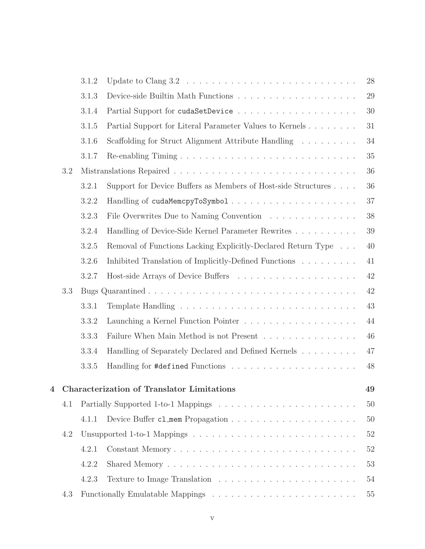|   |     | 3.1.2 |                                                                                                 | 28 |
|---|-----|-------|-------------------------------------------------------------------------------------------------|----|
|   |     | 3.1.3 |                                                                                                 | 29 |
|   |     | 3.1.4 |                                                                                                 | 30 |
|   |     | 3.1.5 | Partial Support for Literal Parameter Values to Kernels                                         | 31 |
|   |     | 3.1.6 | Scaffolding for Struct Alignment Attribute Handling                                             | 34 |
|   |     | 3.1.7 |                                                                                                 | 35 |
|   | 3.2 |       |                                                                                                 | 36 |
|   |     | 3.2.1 | Support for Device Buffers as Members of Host-side Structures                                   | 36 |
|   |     | 3.2.2 |                                                                                                 | 37 |
|   |     | 3.2.3 | File Overwrites Due to Naming Convention                                                        | 38 |
|   |     | 3.2.4 | Handling of Device-Side Kernel Parameter Rewrites                                               | 39 |
|   |     | 3.2.5 | Removal of Functions Lacking Explicitly-Declared Return Type                                    | 40 |
|   |     | 3.2.6 | Inhibited Translation of Implicitly-Defined Functions                                           | 41 |
|   |     | 3.2.7 |                                                                                                 | 42 |
|   | 3.3 |       |                                                                                                 | 42 |
|   |     | 3.3.1 |                                                                                                 | 43 |
|   |     | 3.3.2 |                                                                                                 | 44 |
|   |     | 3.3.3 | Failure When Main Method is not Present                                                         | 46 |
|   |     | 3.3.4 | Handling of Separately Declared and Defined Kernels                                             | 47 |
|   |     | 3.3.5 |                                                                                                 | 48 |
| 4 |     |       | Characterization of Translator Limitations                                                      | 49 |
|   | 4.1 |       |                                                                                                 | 50 |
|   |     | 4.1.1 |                                                                                                 | 50 |
|   | 4.2 |       | Unsupported 1-to-1 Mappings $\dots \dots \dots \dots \dots \dots \dots \dots \dots \dots \dots$ | 52 |
|   |     | 4.2.1 | Constant Memory                                                                                 | 52 |
|   |     | 4.2.2 |                                                                                                 | 53 |
|   |     | 4.2.3 |                                                                                                 | 54 |
|   | 4.3 |       |                                                                                                 | 55 |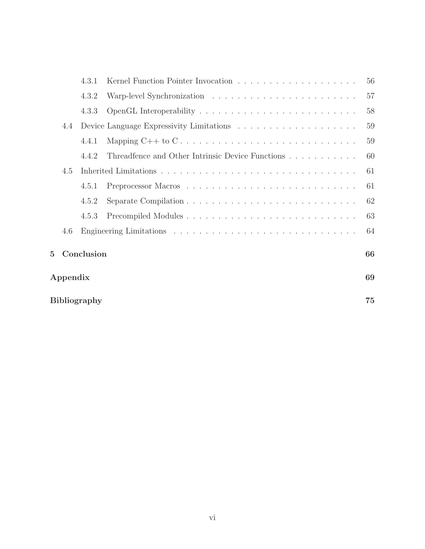|             |                           | 4.3.1      |                                                                                       | 56 |  |
|-------------|---------------------------|------------|---------------------------------------------------------------------------------------|----|--|
|             |                           | 4.3.2      |                                                                                       | 57 |  |
|             |                           | 4.3.3      |                                                                                       | 58 |  |
|             | 4.4                       |            |                                                                                       | 59 |  |
|             |                           | 4.4.1      |                                                                                       | 59 |  |
|             |                           | 4.4.2      | Threadfence and Other Intrinsic Device Functions                                      | 60 |  |
|             | 4.5                       |            |                                                                                       | 61 |  |
|             |                           | 4.5.1      |                                                                                       | 61 |  |
|             |                           | 4.5.2      | Separate Compilation $\ldots \ldots \ldots \ldots \ldots \ldots \ldots \ldots \ldots$ | 62 |  |
|             |                           | 4.5.3      |                                                                                       | 63 |  |
|             | 4.6                       |            |                                                                                       | 64 |  |
| $5^{\circ}$ |                           | Conclusion |                                                                                       | 66 |  |
|             | Appendix                  |            |                                                                                       | 69 |  |
|             | 75<br><b>Bibliography</b> |            |                                                                                       |    |  |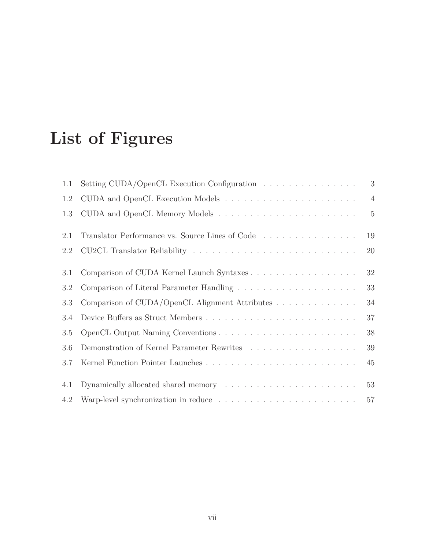# List of Figures

| 1.1 | Setting CUDA/OpenCL Execution Configuration $\ldots \ldots \ldots \ldots \ldots$                                                                      | 3              |
|-----|-------------------------------------------------------------------------------------------------------------------------------------------------------|----------------|
| 1.2 |                                                                                                                                                       | $\overline{4}$ |
| 1.3 |                                                                                                                                                       | $\overline{5}$ |
| 2.1 | Translator Performance vs. Source Lines of Code                                                                                                       | 19             |
| 2.2 | CU2CL Translator Reliability                                                                                                                          | 20             |
| 3.1 |                                                                                                                                                       | 32             |
| 3.2 |                                                                                                                                                       | 33             |
| 3.3 | Comparison of CUDA/OpenCL Alignment Attributes                                                                                                        | 34             |
| 3.4 |                                                                                                                                                       | 37             |
| 3.5 |                                                                                                                                                       | 38             |
| 3.6 |                                                                                                                                                       | 39             |
| 3.7 |                                                                                                                                                       | 45             |
| 4.1 | Dynamically allocated shared memory experiences and service and service services are serviced in the Dynamically allocated shared memory experiences. | 53             |
| 4.2 |                                                                                                                                                       | $57\,$         |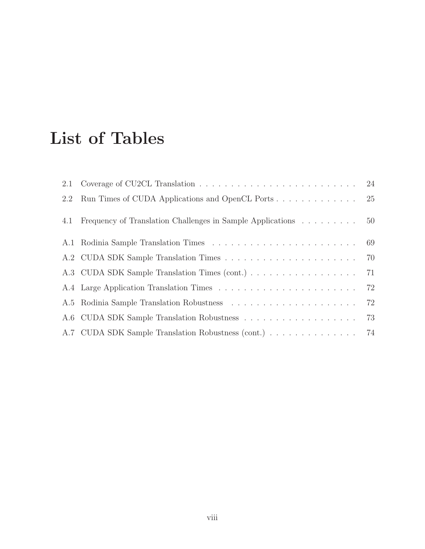# List of Tables

| 2.1 |                                                            |    |
|-----|------------------------------------------------------------|----|
| 2.2 |                                                            |    |
| 4.1 | Frequency of Translation Challenges in Sample Applications | 50 |
|     |                                                            |    |
|     |                                                            |    |
|     |                                                            | 71 |
|     |                                                            |    |
|     |                                                            | 72 |
|     |                                                            | 73 |
|     | A.7 CUDA SDK Sample Translation Robustness (cont.) 74      |    |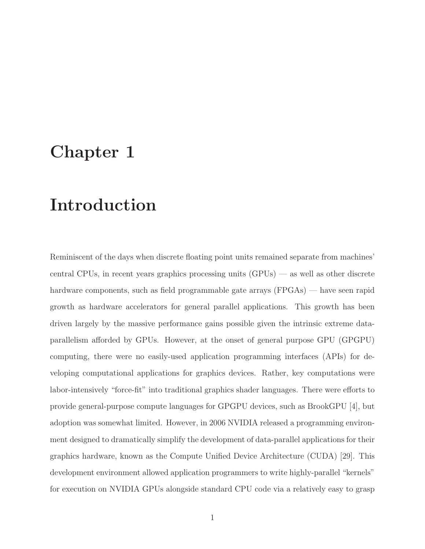# <span id="page-8-0"></span>Chapter 1

# Introduction

Reminiscent of the days when discrete floating point units remained separate from machines' central CPUs, in recent years graphics processing units (GPUs) — as well as other discrete hardware components, such as field programmable gate arrays (FPGAs) — have seen rapid growth as hardware accelerators for general parallel applications. This growth has been driven largely by the massive performance gains possible given the intrinsic extreme dataparallelism afforded by GPUs. However, at the onset of general purpose GPU (GPGPU) computing, there were no easily-used application programming interfaces (APIs) for developing computational applications for graphics devices. Rather, key computations were labor-intensively "force-fit" into traditional graphics shader languages. There were efforts to provide general-purpose compute languages for GPGPU devices, such as BrookGPU [\[4\]](#page-82-0), but adoption was somewhat limited. However, in 2006 NVIDIA released a programming environment designed to dramatically simplify the development of data-parallel applications for their graphics hardware, known as the Compute Unified Device Architecture (CUDA) [\[29\]](#page-84-0). This development environment allowed application programmers to write highly-parallel "kernels" for execution on NVIDIA GPUs alongside standard CPU code via a relatively easy to grasp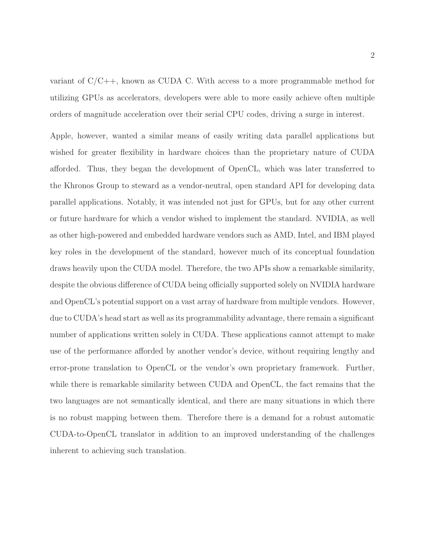variant of  $C/C++$ , known as CUDA C. With access to a more programmable method for utilizing GPUs as accelerators, developers were able to more easily achieve often multiple orders of magnitude acceleration over their serial CPU codes, driving a surge in interest.

Apple, however, wanted a similar means of easily writing data parallel applications but wished for greater flexibility in hardware choices than the proprietary nature of CUDA afforded. Thus, they began the development of OpenCL, which was later transferred to the Khronos Group to steward as a vendor-neutral, open standard API for developing data parallel applications. Notably, it was intended not just for GPUs, but for any other current or future hardware for which a vendor wished to implement the standard. NVIDIA, as well as other high-powered and embedded hardware vendors such as AMD, Intel, and IBM played key roles in the development of the standard, however much of its conceptual foundation draws heavily upon the CUDA model. Therefore, the two APIs show a remarkable similarity, despite the obvious difference of CUDA being officially supported solely on NVIDIA hardware and OpenCL's potential support on a vast array of hardware from multiple vendors. However, due to CUDA's head start as well as its programmability advantage, there remain a significant number of applications written solely in CUDA. These applications cannot attempt to make use of the performance afforded by another vendor's device, without requiring lengthy and error-prone translation to OpenCL or the vendor's own proprietary framework. Further, while there is remarkable similarity between CUDA and OpenCL, the fact remains that the two languages are not semantically identical, and there are many situations in which there is no robust mapping between them. Therefore there is a demand for a robust automatic CUDA-to-OpenCL translator in addition to an improved understanding of the challenges inherent to achieving such translation.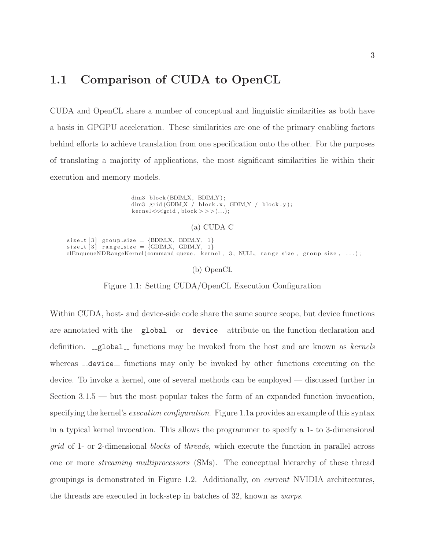### <span id="page-10-0"></span>1.1 Comparison of CUDA to OpenCL

CUDA and OpenCL share a number of conceptual and linguistic similarities as both have a basis in GPGPU acceleration. These similarities are one of the primary enabling factors behind efforts to achieve translation from one specification onto the other. For the purposes of translating a majority of applications, the most significant similarities lie within their execution and memory models.

> dim3 block (BDIM\_X, BDIM\_Y); dim3 grid (GDIM $X$  / block  $x$ , GDIM $Y$  / block  $y$ );  $\text{kernel} \ll \ll \text{grid}, \text{block} >> (\dots);$

> > (a) CUDA C

<span id="page-10-1"></span> $size_t [3]$  group\_size = {BDIM\_X, BDIM\_Y, 1}  $size_t[3] range_size = \{GDIM.X, GDIM.Y, 1\}$ clEnqueueNDRangeKernel ( command queue, k ernel , 3, NULL, range size, group size, ... ) ;

(b) OpenCL

Figure 1.1: Setting CUDA/OpenCL Execution Configuration

Within CUDA, host- and device-side code share the same source scope, but device functions are annotated with the  $\text{Qlobal}_\text{1}$  or  $\text{Qdevice}_\text{2}$  attribute on the function declaration and definition.  $\text{Qlobal}_r$  functions may be invoked from the host and are known as kernels whereas  $\text{\_}device \text{\_}$  functions may only be invoked by other functions executing on the device. To invoke a kernel, one of several methods can be employed — discussed further in Section  $3.1.5$  — but the most popular takes the form of an expanded function invocation, specifying the kernel's *execution configuration*. Figure [1.1a](#page-10-1) provides an example of this syntax in a typical kernel invocation. This allows the programmer to specify a 1- to 3-dimensional grid of 1- or 2-dimensional blocks of threads, which execute the function in parallel across one or more streaming multiprocessors (SMs). The conceptual hierarchy of these thread groupings is demonstrated in Figure [1.2.](#page-11-0) Additionally, on current NVIDIA architectures, the threads are executed in lock-step in batches of 32, known as warps.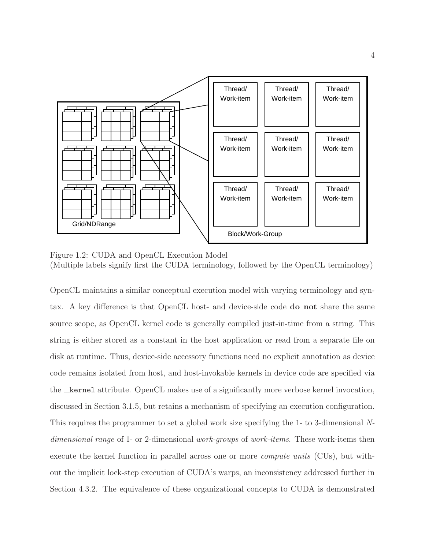<span id="page-11-0"></span>

Figure 1.2: CUDA and OpenCL Execution Model (Multiple labels signify first the CUDA terminology, followed by the OpenCL terminology)

OpenCL maintains a similar conceptual execution model with varying terminology and syntax. A key difference is that OpenCL host- and device-side code do not share the same source scope, as OpenCL kernel code is generally compiled just-in-time from a string. This string is either stored as a constant in the host application or read from a separate file on disk at runtime. Thus, device-side accessory functions need no explicit annotation as device code remains isolated from host, and host-invokable kernels in device code are specified via the **kernel** attribute. OpenCL makes use of a significantly more verbose kernel invocation, discussed in Section [3.1.5,](#page-38-0) but retains a mechanism of specifying an execution configuration. This requires the programmer to set a global work size specifying the 1- to 3-dimensional Ndimensional range of 1- or 2-dimensional work-groups of work-items. These work-items then execute the kernel function in parallel across one or more compute units (CUs), but without the implicit lock-step execution of CUDA's warps, an inconsistency addressed further in Section [4.3.2.](#page-64-0) The equivalence of these organizational concepts to CUDA is demonstrated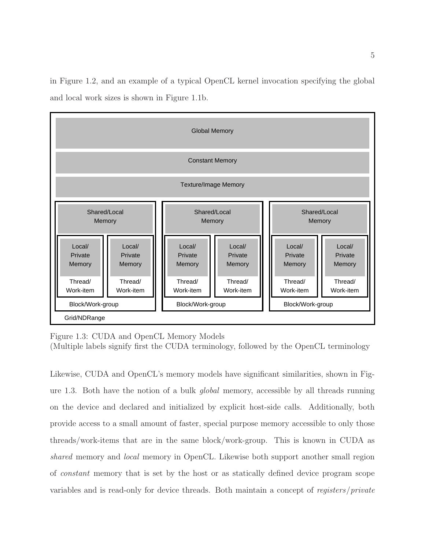in Figure [1.2,](#page-11-0) and an example of a typical OpenCL kernel invocation specifying the global and local work sizes is shown in Figure [1.1b.](#page-10-1)

<span id="page-12-0"></span>

| <b>Global Memory</b>                                                                                                                                    |                             |  |  |  |  |  |
|---------------------------------------------------------------------------------------------------------------------------------------------------------|-----------------------------|--|--|--|--|--|
| <b>Constant Memory</b>                                                                                                                                  |                             |  |  |  |  |  |
| <b>Texture/Image Memory</b>                                                                                                                             |                             |  |  |  |  |  |
| Shared/Local<br>Shared/Local<br>Shared/Local<br>Memory<br>Memory<br>Memory                                                                              |                             |  |  |  |  |  |
| Local/<br>Local/<br>Local/<br>Local/<br>Local/<br>Private<br>Private<br>Private<br>Private<br>Private<br>Memory<br>Memory<br>Memory<br>Memory<br>Memory | Local/<br>Private<br>Memory |  |  |  |  |  |
| Thread/<br>Thread/<br>Thread/<br>Thread/<br>Thread/<br>Work-item<br>Work-item<br>Work-item<br>Work-item<br>Work-item                                    | Thread/<br>Work-item        |  |  |  |  |  |
| Block/Work-group<br>Block/Work-group<br>Block/Work-group<br>Grid/NDRange                                                                                |                             |  |  |  |  |  |

Figure 1.3: CUDA and OpenCL Memory Models

(Multiple labels signify first the CUDA terminology, followed by the OpenCL terminology

Likewise, CUDA and OpenCL's memory models have significant similarities, shown in Figure [1.3.](#page-12-0) Both have the notion of a bulk global memory, accessible by all threads running on the device and declared and initialized by explicit host-side calls. Additionally, both provide access to a small amount of faster, special purpose memory accessible to only those threads/work-items that are in the same block/work-group. This is known in CUDA as shared memory and *local* memory in OpenCL. Likewise both support another small region of constant memory that is set by the host or as statically defined device program scope variables and is read-only for device threads. Both maintain a concept of registers/private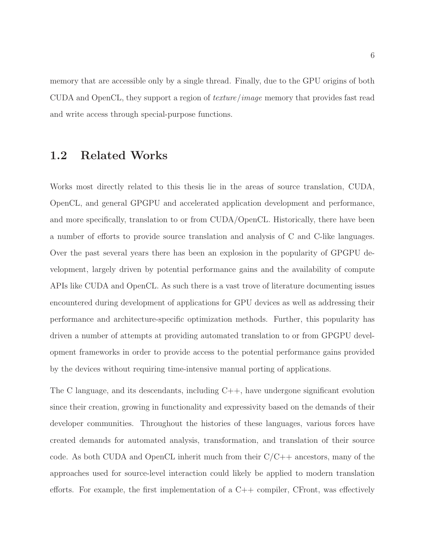memory that are accessible only by a single thread. Finally, due to the GPU origins of both CUDA and OpenCL, they support a region of texture/image memory that provides fast read and write access through special-purpose functions.

### <span id="page-13-0"></span>1.2 Related Works

Works most directly related to this thesis lie in the areas of source translation, CUDA, OpenCL, and general GPGPU and accelerated application development and performance, and more specifically, translation to or from CUDA/OpenCL. Historically, there have been a number of efforts to provide source translation and analysis of C and C-like languages. Over the past several years there has been an explosion in the popularity of GPGPU development, largely driven by potential performance gains and the availability of compute APIs like CUDA and OpenCL. As such there is a vast trove of literature documenting issues encountered during development of applications for GPU devices as well as addressing their performance and architecture-specific optimization methods. Further, this popularity has driven a number of attempts at providing automated translation to or from GPGPU development frameworks in order to provide access to the potential performance gains provided by the devices without requiring time-intensive manual porting of applications.

The C language, and its descendants, including C++, have undergone significant evolution since their creation, growing in functionality and expressivity based on the demands of their developer communities. Throughout the histories of these languages, various forces have created demands for automated analysis, transformation, and translation of their source code. As both CUDA and OpenCL inherit much from their  $C/C++$  ancestors, many of the approaches used for source-level interaction could likely be applied to modern translation efforts. For example, the first implementation of a  $C++$  compiler, CFront, was effectively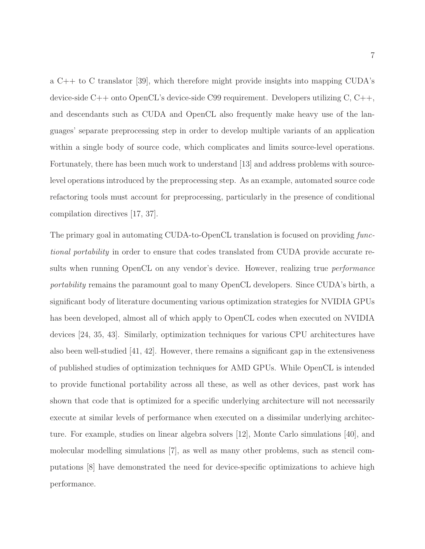a C++ to C translator [\[39\]](#page-85-0), which therefore might provide insights into mapping CUDA's device-side C++ onto OpenCL's device-side C99 requirement. Developers utilizing C, C++, and descendants such as CUDA and OpenCL also frequently make heavy use of the languages' separate preprocessing step in order to develop multiple variants of an application within a single body of source code, which complicates and limits source-level operations. Fortunately, there has been much work to understand [\[13\]](#page-83-0) and address problems with sourcelevel operations introduced by the preprocessing step. As an example, automated source code refactoring tools must account for preprocessing, particularly in the presence of conditional compilation directives [\[17,](#page-83-1) [37\]](#page-85-1).

The primary goal in automating CUDA-to-OpenCL translation is focused on providing functional portability in order to ensure that codes translated from CUDA provide accurate results when running OpenCL on any vendor's device. However, realizing true *performance* portability remains the paramount goal to many OpenCL developers. Since CUDA's birth, a significant body of literature documenting various optimization strategies for NVIDIA GPUs has been developed, almost all of which apply to OpenCL codes when executed on NVIDIA devices [\[24,](#page-84-1) [35,](#page-85-2) [43\]](#page-86-0). Similarly, optimization techniques for various CPU architectures have also been well-studied [\[41,](#page-85-3) [42\]](#page-85-4). However, there remains a significant gap in the extensiveness of published studies of optimization techniques for AMD GPUs. While OpenCL is intended to provide functional portability across all these, as well as other devices, past work has shown that code that is optimized for a specific underlying architecture will not necessarily execute at similar levels of performance when executed on a dissimilar underlying architecture. For example, studies on linear algebra solvers [\[12\]](#page-83-2), Monte Carlo simulations [\[40\]](#page-85-5), and molecular modelling simulations [\[7\]](#page-82-1), as well as many other problems, such as stencil computations [\[8\]](#page-82-2) have demonstrated the need for device-specific optimizations to achieve high performance.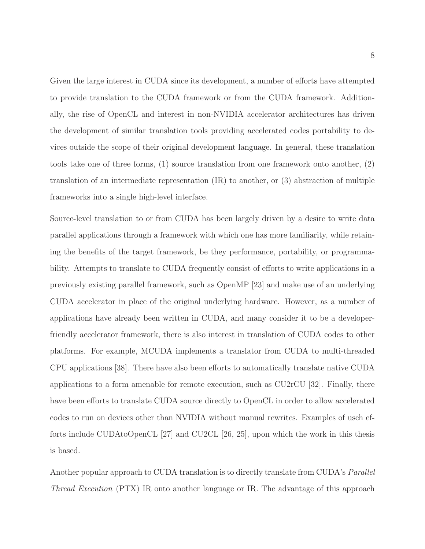Given the large interest in CUDA since its development, a number of efforts have attempted to provide translation to the CUDA framework or from the CUDA framework. Additionally, the rise of OpenCL and interest in non-NVIDIA accelerator architectures has driven the development of similar translation tools providing accelerated codes portability to devices outside the scope of their original development language. In general, these translation tools take one of three forms, (1) source translation from one framework onto another, (2) translation of an intermediate representation (IR) to another, or (3) abstraction of multiple frameworks into a single high-level interface.

Source-level translation to or from CUDA has been largely driven by a desire to write data parallel applications through a framework with which one has more familiarity, while retaining the benefits of the target framework, be they performance, portability, or programmability. Attempts to translate to CUDA frequently consist of efforts to write applications in a previously existing parallel framework, such as OpenMP [\[23\]](#page-84-2) and make use of an underlying CUDA accelerator in place of the original underlying hardware. However, as a number of applications have already been written in CUDA, and many consider it to be a developerfriendly accelerator framework, there is also interest in translation of CUDA codes to other platforms. For example, MCUDA implements a translator from CUDA to multi-threaded CPU applications [\[38\]](#page-85-6). There have also been efforts to automatically translate native CUDA applications to a form amenable for remote execution, such as CU2rCU [\[32\]](#page-85-7). Finally, there have been efforts to translate CUDA source directly to OpenCL in order to allow accelerated codes to run on devices other than NVIDIA without manual rewrites. Examples of usch efforts include CUDAtoOpenCL [\[27\]](#page-84-3) and CU2CL [\[26,](#page-84-4) [25\]](#page-84-5), upon which the work in this thesis is based.

Another popular approach to CUDA translation is to directly translate from CUDA's *Parallel* Thread Execution (PTX) IR onto another language or IR. The advantage of this approach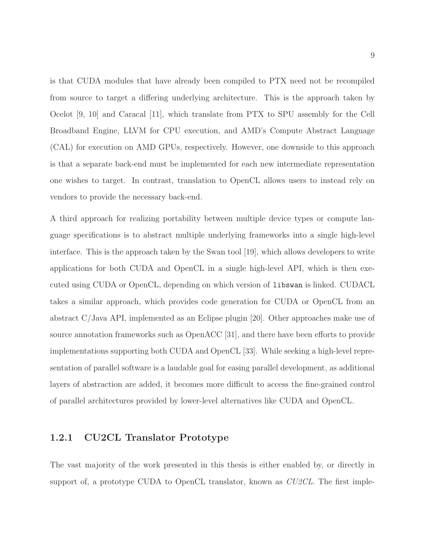is that CUDA modules that have already been compiled to PTX need not be recompiled from source to target a differing underlying architecture. This is the approach taken by Ocelot [\[9,](#page-83-3) [10\]](#page-83-4) and Caracal [\[11\]](#page-83-5), which translate from PTX to SPU assembly for the Cell Broadband Engine, LLVM for CPU execution, and AMD's Compute Abstract Language (CAL) for execution on AMD GPUs, respectively. However, one downside to this approach is that a separate back-end must be implemented for each new intermediate representation one wishes to target. In contrast, translation to OpenCL allows users to instead rely on vendors to provide the necessary back-end.

A third approach for realizing portability between multiple device types or compute language specifications is to abstract multiple underlying frameworks into a single high-level interface. This is the approach taken by the Swan tool [\[19\]](#page-84-6), which allows developers to write applications for both CUDA and OpenCL in a single high-level API, which is then executed using CUDA or OpenCL, depending on which version of libswan is linked. CUDACL takes a similar approach, which provides code generation for CUDA or OpenCL from an abstract C/Java API, implemented as an Eclipse plugin [\[20\]](#page-84-7). Other approaches make use of source annotation frameworks such as OpenACC [\[31\]](#page-84-8), and there have been efforts to provide implementations supporting both CUDA and OpenCL [\[33\]](#page-85-8). While seeking a high-level representation of parallel software is a laudable goal for easing parallel development, as additional layers of abstraction are added, it becomes more difficult to access the fine-grained control of parallel architectures provided by lower-level alternatives like CUDA and OpenCL.

#### <span id="page-16-0"></span>1.2.1 CU2CL Translator Prototype

The vast majority of the work presented in this thesis is either enabled by, or directly in support of, a prototype CUDA to OpenCL translator, known as *CU2CL*. The first imple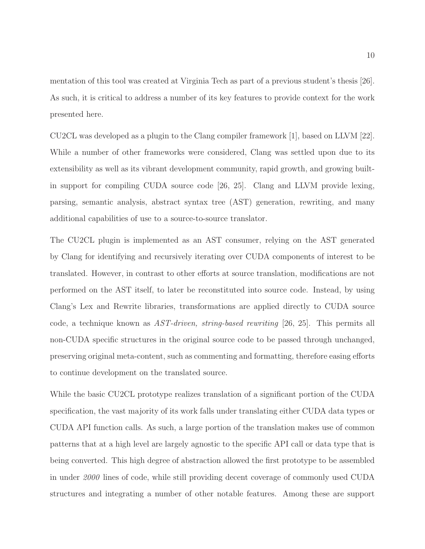mentation of this tool was created at Virginia Tech as part of a previous student's thesis [\[26\]](#page-84-4). As such, it is critical to address a number of its key features to provide context for the work presented here.

CU2CL was developed as a plugin to the Clang compiler framework [\[1\]](#page-82-3), based on LLVM [\[22\]](#page-84-9). While a number of other frameworks were considered, Clang was settled upon due to its extensibility as well as its vibrant development community, rapid growth, and growing builtin support for compiling CUDA source code [\[26,](#page-84-4) [25\]](#page-84-5). Clang and LLVM provide lexing, parsing, semantic analysis, abstract syntax tree (AST) generation, rewriting, and many additional capabilities of use to a source-to-source translator.

The CU2CL plugin is implemented as an AST consumer, relying on the AST generated by Clang for identifying and recursively iterating over CUDA components of interest to be translated. However, in contrast to other efforts at source translation, modifications are not performed on the AST itself, to later be reconstituted into source code. Instead, by using Clang's Lex and Rewrite libraries, transformations are applied directly to CUDA source code, a technique known as AST-driven, string-based rewriting [\[26,](#page-84-4) [25\]](#page-84-5). This permits all non-CUDA specific structures in the original source code to be passed through unchanged, preserving original meta-content, such as commenting and formatting, therefore easing efforts to continue development on the translated source.

While the basic CU2CL prototype realizes translation of a significant portion of the CUDA specification, the vast majority of its work falls under translating either CUDA data types or CUDA API function calls. As such, a large portion of the translation makes use of common patterns that at a high level are largely agnostic to the specific API call or data type that is being converted. This high degree of abstraction allowed the first prototype to be assembled in under 2000 lines of code, while still providing decent coverage of commonly used CUDA structures and integrating a number of other notable features. Among these are support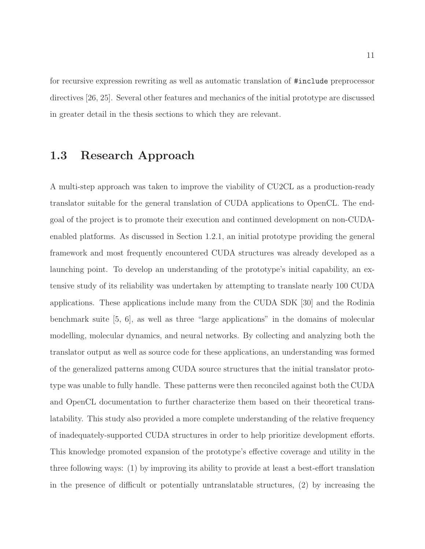for recursive expression rewriting as well as automatic translation of #include preprocessor directives [\[26,](#page-84-4) [25\]](#page-84-5). Several other features and mechanics of the initial prototype are discussed in greater detail in the thesis sections to which they are relevant.

# <span id="page-18-0"></span>1.3 Research Approach

A multi-step approach was taken to improve the viability of CU2CL as a production-ready translator suitable for the general translation of CUDA applications to OpenCL. The endgoal of the project is to promote their execution and continued development on non-CUDAenabled platforms. As discussed in Section [1.2.1,](#page-16-0) an initial prototype providing the general framework and most frequently encountered CUDA structures was already developed as a launching point. To develop an understanding of the prototype's initial capability, an extensive study of its reliability was undertaken by attempting to translate nearly 100 CUDA applications. These applications include many from the CUDA SDK [\[30\]](#page-84-10) and the Rodinia benchmark suite [\[5,](#page-82-4) [6\]](#page-82-5), as well as three "large applications" in the domains of molecular modelling, molecular dynamics, and neural networks. By collecting and analyzing both the translator output as well as source code for these applications, an understanding was formed of the generalized patterns among CUDA source structures that the initial translator prototype was unable to fully handle. These patterns were then reconciled against both the CUDA and OpenCL documentation to further characterize them based on their theoretical translatability. This study also provided a more complete understanding of the relative frequency of inadequately-supported CUDA structures in order to help prioritize development efforts. This knowledge promoted expansion of the prototype's effective coverage and utility in the three following ways: (1) by improving its ability to provide at least a best-effort translation in the presence of difficult or potentially untranslatable structures, (2) by increasing the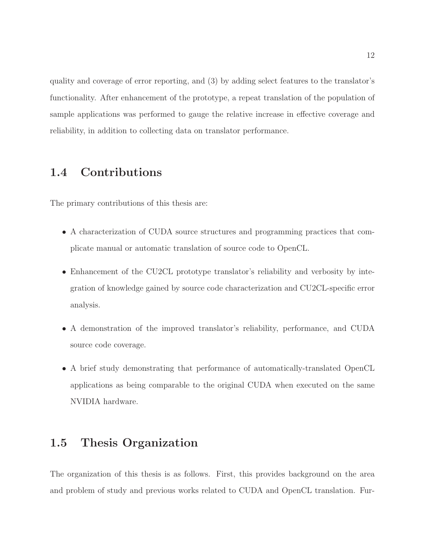quality and coverage of error reporting, and (3) by adding select features to the translator's functionality. After enhancement of the prototype, a repeat translation of the population of sample applications was performed to gauge the relative increase in effective coverage and reliability, in addition to collecting data on translator performance.

## <span id="page-19-0"></span>1.4 Contributions

The primary contributions of this thesis are:

- A characterization of CUDA source structures and programming practices that complicate manual or automatic translation of source code to OpenCL.
- Enhancement of the CU2CL prototype translator's reliability and verbosity by integration of knowledge gained by source code characterization and CU2CL-specific error analysis.
- A demonstration of the improved translator's reliability, performance, and CUDA source code coverage.
- A brief study demonstrating that performance of automatically-translated OpenCL applications as being comparable to the original CUDA when executed on the same NVIDIA hardware.

## <span id="page-19-1"></span>1.5 Thesis Organization

The organization of this thesis is as follows. First, this provides background on the area and problem of study and previous works related to CUDA and OpenCL translation. Fur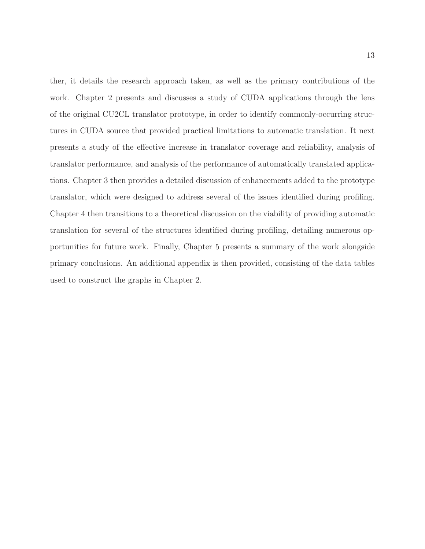ther, it details the research approach taken, as well as the primary contributions of the work. Chapter [2](#page-21-0) presents and discusses a study of CUDA applications through the lens of the original CU2CL translator prototype, in order to identify commonly-occurring structures in CUDA source that provided practical limitations to automatic translation. It next presents a study of the effective increase in translator coverage and reliability, analysis of translator performance, and analysis of the performance of automatically translated applications. Chapter [3](#page-33-0) then provides a detailed discussion of enhancements added to the prototype translator, which were designed to address several of the issues identified during profiling. Chapter [4](#page-56-0) then transitions to a theoretical discussion on the viability of providing automatic translation for several of the structures identified during profiling, detailing numerous opportunities for future work. Finally, Chapter [5](#page-73-0) presents a summary of the work alongside primary conclusions. An additional appendix is then provided, consisting of the data tables used to construct the graphs in Chapter [2.](#page-21-0)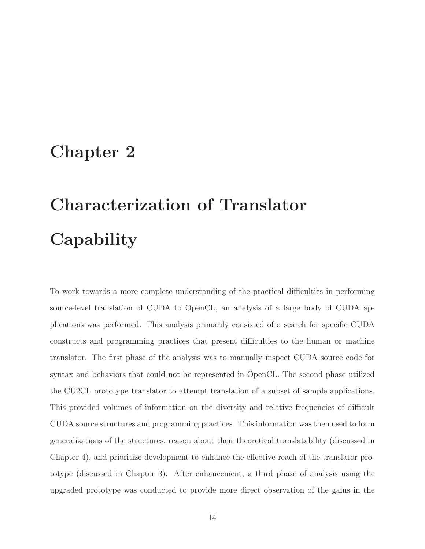# <span id="page-21-0"></span>Chapter 2

# Characterization of Translator **Capability**

To work towards a more complete understanding of the practical difficulties in performing source-level translation of CUDA to OpenCL, an analysis of a large body of CUDA applications was performed. This analysis primarily consisted of a search for specific CUDA constructs and programming practices that present difficulties to the human or machine translator. The first phase of the analysis was to manually inspect CUDA source code for syntax and behaviors that could not be represented in OpenCL. The second phase utilized the CU2CL prototype translator to attempt translation of a subset of sample applications. This provided volumes of information on the diversity and relative frequencies of difficult CUDA source structures and programming practices. This information was then used to form generalizations of the structures, reason about their theoretical translatability (discussed in Chapter [4\)](#page-56-0), and prioritize development to enhance the effective reach of the translator prototype (discussed in Chapter [3\)](#page-33-0). After enhancement, a third phase of analysis using the upgraded prototype was conducted to provide more direct observation of the gains in the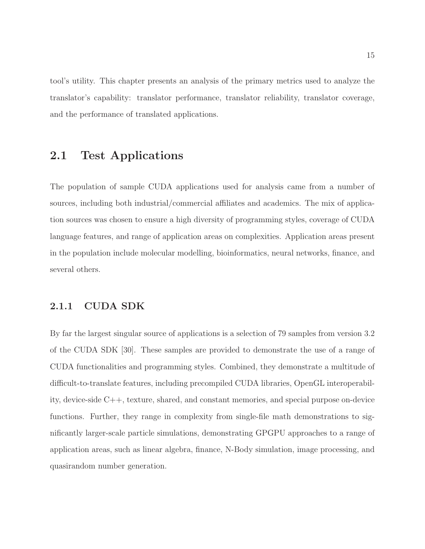tool's utility. This chapter presents an analysis of the primary metrics used to analyze the translator's capability: translator performance, translator reliability, translator coverage, and the performance of translated applications.

### <span id="page-22-0"></span>2.1 Test Applications

The population of sample CUDA applications used for analysis came from a number of sources, including both industrial/commercial affiliates and academics. The mix of application sources was chosen to ensure a high diversity of programming styles, coverage of CUDA language features, and range of application areas on complexities. Application areas present in the population include molecular modelling, bioinformatics, neural networks, finance, and several others.

#### <span id="page-22-1"></span>2.1.1 CUDA SDK

By far the largest singular source of applications is a selection of 79 samples from version 3.2 of the CUDA SDK [\[30\]](#page-84-10). These samples are provided to demonstrate the use of a range of CUDA functionalities and programming styles. Combined, they demonstrate a multitude of difficult-to-translate features, including precompiled CUDA libraries, OpenGL interoperability, device-side C++, texture, shared, and constant memories, and special purpose on-device functions. Further, they range in complexity from single-file math demonstrations to significantly larger-scale particle simulations, demonstrating GPGPU approaches to a range of application areas, such as linear algebra, finance, N-Body simulation, image processing, and quasirandom number generation.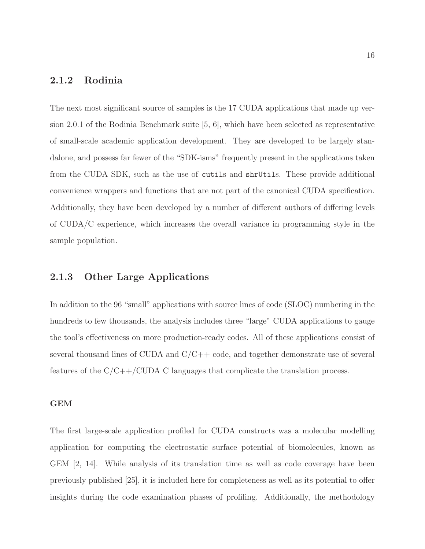#### <span id="page-23-0"></span>2.1.2 Rodinia

The next most significant source of samples is the 17 CUDA applications that made up version 2.0.1 of the Rodinia Benchmark suite [\[5,](#page-82-4) [6\]](#page-82-5), which have been selected as representative of small-scale academic application development. They are developed to be largely standalone, and possess far fewer of the "SDK-isms" frequently present in the applications taken from the CUDA SDK, such as the use of cutils and shrUtils. These provide additional convenience wrappers and functions that are not part of the canonical CUDA specification. Additionally, they have been developed by a number of different authors of differing levels of CUDA/C experience, which increases the overall variance in programming style in the sample population.

#### <span id="page-23-1"></span>2.1.3 Other Large Applications

In addition to the 96 "small" applications with source lines of code (SLOC) numbering in the hundreds to few thousands, the analysis includes three "large" CUDA applications to gauge the tool's effectiveness on more production-ready codes. All of these applications consist of several thousand lines of CUDA and  $C/C++$  code, and together demonstrate use of several features of the  $C/C++/CUDA$  C languages that complicate the translation process.

#### GEM

The first large-scale application profiled for CUDA constructs was a molecular modelling application for computing the electrostatic surface potential of biomolecules, known as GEM [\[2,](#page-82-6) [14\]](#page-83-6). While analysis of its translation time as well as code coverage have been previously published [\[25\]](#page-84-5), it is included here for completeness as well as its potential to offer insights during the code examination phases of profiling. Additionally, the methodology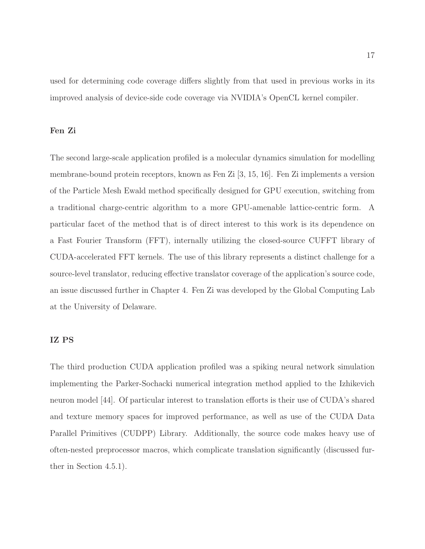used for determining code coverage differs slightly from that used in previous works in its improved analysis of device-side code coverage via NVIDIA's OpenCL kernel compiler.

#### Fen Zi

The second large-scale application profiled is a molecular dynamics simulation for modelling membrane-bound protein receptors, known as Fen Zi [\[3,](#page-82-7) [15,](#page-83-7) [16\]](#page-83-8). Fen Zi implements a version of the Particle Mesh Ewald method specifically designed for GPU execution, switching from a traditional charge-centric algorithm to a more GPU-amenable lattice-centric form. A particular facet of the method that is of direct interest to this work is its dependence on a Fast Fourier Transform (FFT), internally utilizing the closed-source CUFFT library of CUDA-accelerated FFT kernels. The use of this library represents a distinct challenge for a source-level translator, reducing effective translator coverage of the application's source code, an issue discussed further in Chapter [4.](#page-56-0) Fen Zi was developed by the Global Computing Lab at the University of Delaware.

#### IZ PS

The third production CUDA application profiled was a spiking neural network simulation implementing the Parker-Sochacki numerical integration method applied to the Izhikevich neuron model [\[44\]](#page-86-1). Of particular interest to translation efforts is their use of CUDA's shared and texture memory spaces for improved performance, as well as use of the CUDA Data Parallel Primitives (CUDPP) Library. Additionally, the source code makes heavy use of often-nested preprocessor macros, which complicate translation significantly (discussed further in Section [4.5.1\)](#page-68-1).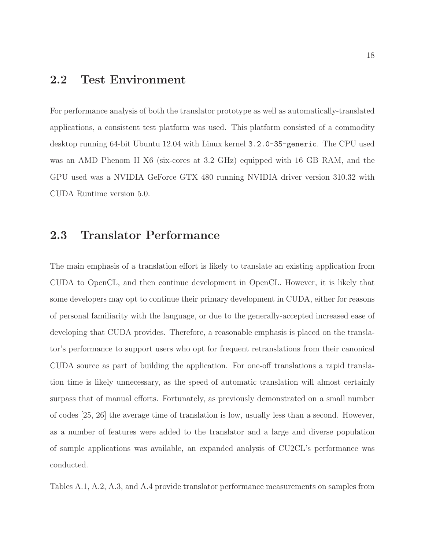### <span id="page-25-0"></span>2.2 Test Environment

For performance analysis of both the translator prototype as well as automatically-translated applications, a consistent test platform was used. This platform consisted of a commodity desktop running 64-bit Ubuntu 12.04 with Linux kernel 3.2.0-35-generic. The CPU used was an AMD Phenom II X6 (six-cores at 3.2 GHz) equipped with 16 GB RAM, and the GPU used was a NVIDIA GeForce GTX 480 running NVIDIA driver version 310.32 with CUDA Runtime version 5.0.

### <span id="page-25-1"></span>2.3 Translator Performance

The main emphasis of a translation effort is likely to translate an existing application from CUDA to OpenCL, and then continue development in OpenCL. However, it is likely that some developers may opt to continue their primary development in CUDA, either for reasons of personal familiarity with the language, or due to the generally-accepted increased ease of developing that CUDA provides. Therefore, a reasonable emphasis is placed on the translator's performance to support users who opt for frequent retranslations from their canonical CUDA source as part of building the application. For one-off translations a rapid translation time is likely unnecessary, as the speed of automatic translation will almost certainly surpass that of manual efforts. Fortunately, as previously demonstrated on a small number of codes [\[25,](#page-84-5) [26\]](#page-84-4) the average time of translation is low, usually less than a second. However, as a number of features were added to the translator and a large and diverse population of sample applications was available, an expanded analysis of CU2CL's performance was conducted.

Tables [A.1,](#page-76-0) [A.2,](#page-77-0) [A.3,](#page-78-0) and [A.4](#page-79-0) provide translator performance measurements on samples from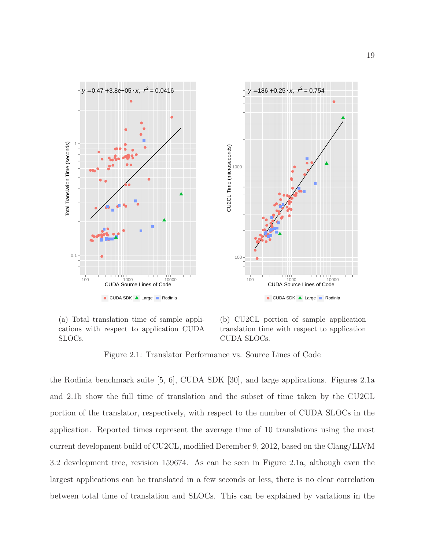<span id="page-26-0"></span>

(a) Total translation time of sample applications with respect to application CUDA SLOCs.

(b) CU2CL portion of sample application translation time with respect to application CUDA SLOCs.

Figure 2.1: Translator Performance vs. Source Lines of Code

the Rodinia benchmark suite [\[5,](#page-82-4) [6\]](#page-82-5), CUDA SDK [\[30\]](#page-84-10), and large applications. Figures [2.1a](#page-26-0) and [2.1b](#page-26-0) show the full time of translation and the subset of time taken by the CU2CL portion of the translator, respectively, with respect to the number of CUDA SLOCs in the application. Reported times represent the average time of 10 translations using the most current development build of CU2CL, modified December 9, 2012, based on the Clang/LLVM 3.2 development tree, revision 159674. As can be seen in Figure [2.1a,](#page-26-0) although even the largest applications can be translated in a few seconds or less, there is no clear correlation between total time of translation and SLOCs. This can be explained by variations in the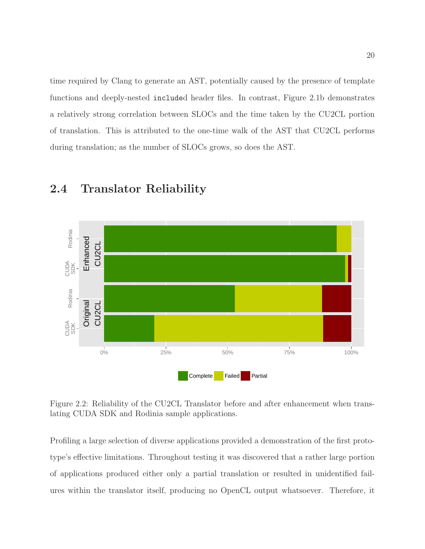time required by Clang to generate an AST, potentially caused by the presence of template functions and deeply-nested included header files. In contrast, Figure [2.1b](#page-26-0) demonstrates a relatively strong correlation between SLOCs and the time taken by the CU2CL portion of translation. This is attributed to the one-time walk of the AST that CU2CL performs during translation; as the number of SLOCs grows, so does the AST.

<span id="page-27-1"></span>

# <span id="page-27-0"></span>2.4 Translator Reliability

Figure 2.2: Reliability of the CU2CL Translator before and after enhancement when translating CUDA SDK and Rodinia sample applications.

Profiling a large selection of diverse applications provided a demonstration of the first prototype's effective limitations. Throughout testing it was discovered that a rather large portion of applications produced either only a partial translation or resulted in unidentified failures within the translator itself, producing no OpenCL output whatsoever. Therefore, it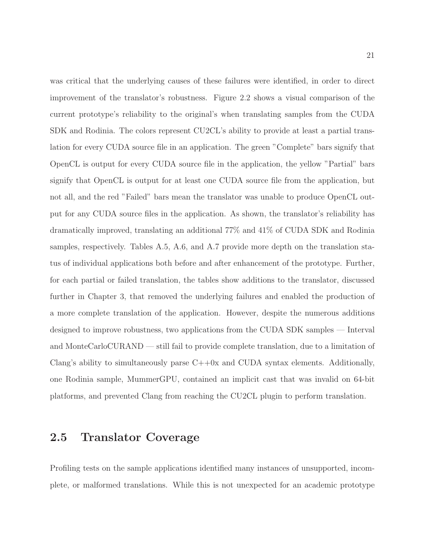was critical that the underlying causes of these failures were identified, in order to direct improvement of the translator's robustness. Figure [2.2](#page-27-1) shows a visual comparison of the current prototype's reliability to the original's when translating samples from the CUDA SDK and Rodinia. The colors represent CU2CL's ability to provide at least a partial translation for every CUDA source file in an application. The green "Complete" bars signify that OpenCL is output for every CUDA source file in the application, the yellow "Partial" bars signify that OpenCL is output for at least one CUDA source file from the application, but not all, and the red "Failed" bars mean the translator was unable to produce OpenCL output for any CUDA source files in the application. As shown, the translator's reliability has dramatically improved, translating an additional 77% and 41% of CUDA SDK and Rodinia samples, respectively. Tables [A.5,](#page-79-1) [A.6,](#page-80-0) and [A.7](#page-81-0) provide more depth on the translation status of individual applications both before and after enhancement of the prototype. Further, for each partial or failed translation, the tables show additions to the translator, discussed further in Chapter [3,](#page-33-0) that removed the underlying failures and enabled the production of a more complete translation of the application. However, despite the numerous additions designed to improve robustness, two applications from the CUDA SDK samples — Interval and MonteCarloCURAND — still fail to provide complete translation, due to a limitation of Clang's ability to simultaneously parse  $C++0x$  and CUDA syntax elements. Additionally, one Rodinia sample, MummerGPU, contained an implicit cast that was invalid on 64-bit platforms, and prevented Clang from reaching the CU2CL plugin to perform translation.

### <span id="page-28-0"></span>2.5 Translator Coverage

Profiling tests on the sample applications identified many instances of unsupported, incomplete, or malformed translations. While this is not unexpected for an academic prototype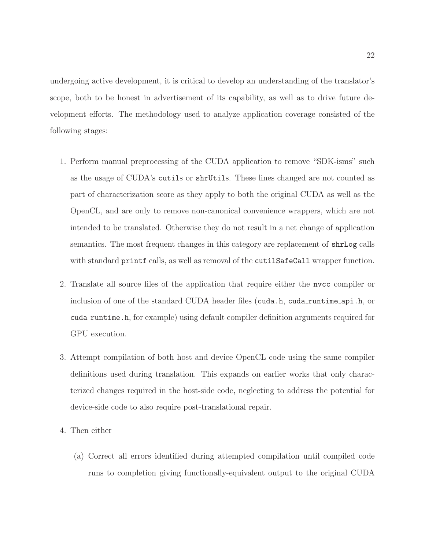undergoing active development, it is critical to develop an understanding of the translator's scope, both to be honest in advertisement of its capability, as well as to drive future development efforts. The methodology used to analyze application coverage consisted of the following stages:

- 1. Perform manual preprocessing of the CUDA application to remove "SDK-isms" such as the usage of CUDA's cutils or shrUtils. These lines changed are not counted as part of characterization score as they apply to both the original CUDA as well as the OpenCL, and are only to remove non-canonical convenience wrappers, which are not intended to be translated. Otherwise they do not result in a net change of application semantics. The most frequent changes in this category are replacement of shrLog calls with standard printf calls, as well as removal of the cutilSafeCall wrapper function.
- 2. Translate all source files of the application that require either the nvcc compiler or inclusion of one of the standard CUDA header files (cuda.h, cuda runtime api.h, or cuda runtime.h, for example) using default compiler definition arguments required for GPU execution.
- 3. Attempt compilation of both host and device OpenCL code using the same compiler definitions used during translation. This expands on earlier works that only characterized changes required in the host-side code, neglecting to address the potential for device-side code to also require post-translational repair.
- 4. Then either
	- (a) Correct all errors identified during attempted compilation until compiled code runs to completion giving functionally-equivalent output to the original CUDA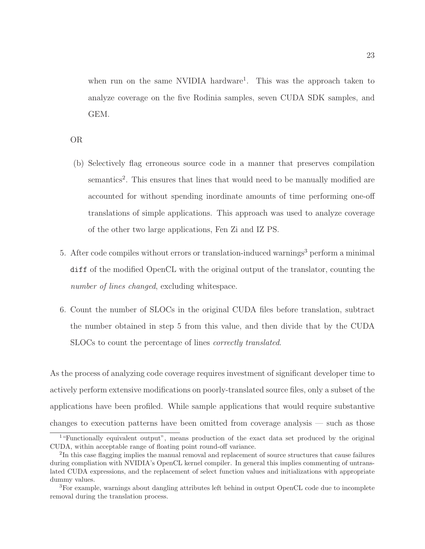when run on the same NVIDIA hardware<sup>[1](#page-30-0)</sup>. This was the approach taken to analyze coverage on the five Rodinia samples, seven CUDA SDK samples, and GEM.

OR

- (b) Selectively flag erroneous source code in a manner that preserves compilation semantics<sup>[2](#page-30-1)</sup>. This ensures that lines that would need to be manually modified are accounted for without spending inordinate amounts of time performing one-off translations of simple applications. This approach was used to analyze coverage of the other two large applications, Fen Zi and IZ PS.
- 5. After code compiles without errors or translation-induced warnings<sup>[3](#page-30-2)</sup> perform a minimal diff of the modified OpenCL with the original output of the translator, counting the number of lines changed, excluding whitespace.
- 6. Count the number of SLOCs in the original CUDA files before translation, subtract the number obtained in step 5 from this value, and then divide that by the CUDA SLOCs to count the percentage of lines correctly translated.

As the process of analyzing code coverage requires investment of significant developer time to actively perform extensive modifications on poorly-translated source files, only a subset of the applications have been profiled. While sample applications that would require substantive changes to execution patterns have been omitted from coverage analysis — such as those

<span id="page-30-0"></span><sup>&</sup>lt;sup>1</sup>"Functionally equivalent output", means production of the exact data set produced by the original CUDA, within acceptable range of floating point round-off variance.

<span id="page-30-1"></span><sup>&</sup>lt;sup>2</sup>In this case flagging implies the manual removal and replacement of source structures that cause failures during compliation with NVIDIA's OpenCL kernel compiler. In general this implies commenting of untranslated CUDA expressions, and the replacement of select function values and initializations with appropriate dummy values.

<span id="page-30-2"></span><sup>3</sup>For example, warnings about dangling attributes left behind in output OpenCL code due to incomplete removal during the translation process.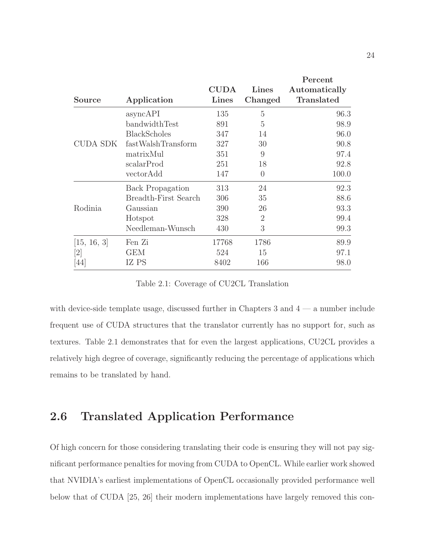<span id="page-31-1"></span>

|                              |                         |                      |                  | Percent                            |
|------------------------------|-------------------------|----------------------|------------------|------------------------------------|
| <b>Source</b>                | Application             | <b>CUDA</b><br>Lines | Lines<br>Changed | Automatically<br><b>Translated</b> |
|                              | asyncAPI                | 135                  | 5                | 96.3                               |
|                              | bandwidthTest           | 891                  | 5                | 98.9                               |
|                              | <b>BlackScholes</b>     | 347                  | 14               | 96.0                               |
| CUDA SDK                     | fastWalshTransform      | 327                  | 30               | 90.8                               |
|                              | matrixMul               | 351                  | 9                | 97.4                               |
|                              | scalarProd              | 251                  | 18               | 92.8                               |
|                              | vectorAdd               | 147                  | $\overline{0}$   | 100.0                              |
|                              | <b>Back Propagation</b> | 313                  | 24               | 92.3                               |
|                              | Breadth-First Search    | 306                  | 35               | 88.6                               |
| Rodinia                      | Gaussian                | 390                  | 26               | 93.3                               |
|                              | Hotspot                 | 328                  | $\overline{2}$   | 99.4                               |
|                              | Needleman-Wunsch        | 430                  | 3                | 99.3                               |
| [15, 16, 3]                  | Fen Zi                  | 17768                | 1786             | 89.9                               |
| $\left\lceil 2 \right\rceil$ | <b>GEM</b>              | 524                  | 15               | 97.1                               |
| 44                           | IZ PS                   | 8402                 | 166              | 98.0                               |

Table 2.1: Coverage of CU2CL Translation

with device-side template usage, discussed further in Chapters [3](#page-33-0) and  $4 - a$  number include frequent use of CUDA structures that the translator currently has no support for, such as textures. Table [2.1](#page-31-1) demonstrates that for even the largest applications, CU2CL provides a relatively high degree of coverage, significantly reducing the percentage of applications which remains to be translated by hand.

## <span id="page-31-0"></span>2.6 Translated Application Performance

Of high concern for those considering translating their code is ensuring they will not pay significant performance penalties for moving from CUDA to OpenCL. While earlier work showed that NVIDIA's earliest implementations of OpenCL occasionally provided performance well below that of CUDA [\[25,](#page-84-5) [26\]](#page-84-4) their modern implementations have largely removed this con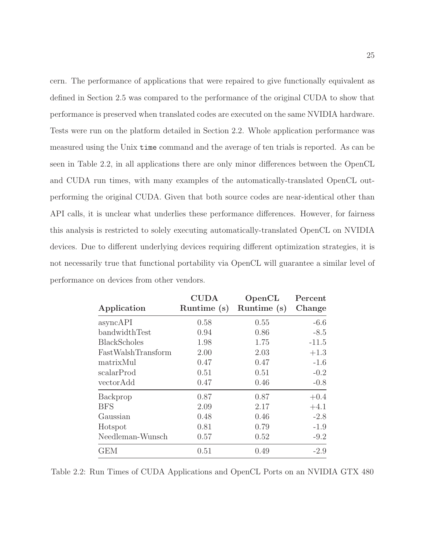cern. The performance of applications that were repaired to give functionally equivalent as defined in Section [2.5](#page-28-0) was compared to the performance of the original CUDA to show that performance is preserved when translated codes are executed on the same NVIDIA hardware. Tests were run on the platform detailed in Section [2.2.](#page-25-0) Whole application performance was measured using the Unix time command and the average of ten trials is reported. As can be seen in Table [2.2,](#page-32-0) in all applications there are only minor differences between the OpenCL and CUDA run times, with many examples of the automatically-translated OpenCL outperforming the original CUDA. Given that both source codes are near-identical other than API calls, it is unclear what underlies these performance differences. However, for fairness this analysis is restricted to solely executing automatically-translated OpenCL on NVIDIA devices. Due to different underlying devices requiring different optimization strategies, it is not necessarily true that functional portability via OpenCL will guarantee a similar level of performance on devices from other vendors.

<span id="page-32-0"></span>

| Application         | <b>CUDA</b><br>Runtime (s) | OpenCL<br>Runtime (s) | Percent<br>Change |
|---------------------|----------------------------|-----------------------|-------------------|
| asyncAPI            | 0.58                       | 0.55                  | $-6.6$            |
| bandwidthTest       | 0.94                       | 0.86                  | $-8.5$            |
| <b>BlackScholes</b> | 1.98                       | 1.75                  | $-11.5$           |
| FastWalshTransform  | 2.00                       | 2.03                  | $+1.3$            |
| matrixMul           | 0.47                       | 0.47                  | $-1.6$            |
| scalarProd          | 0.51                       | 0.51                  | $-0.2$            |
| vectorAdd           | 0.47                       | 0.46                  | $-0.8$            |
| Backprop            | 0.87                       | 0.87                  | $+0.4$            |
| <b>BFS</b>          | 2.09                       | 2.17                  | $+4.1$            |
| Gaussian            | 0.48                       | 0.46                  | $-2.8$            |
| Hotspot             | 0.81                       | 0.79                  | $-1.9$            |
| Needleman-Wunsch    | 0.57                       | 0.52                  | $-9.2$            |
| <b>GEM</b>          | 0.51                       | 0.49                  | $-2.9$            |

Table 2.2: Run Times of CUDA Applications and OpenCL Ports on an NVIDIA GTX 480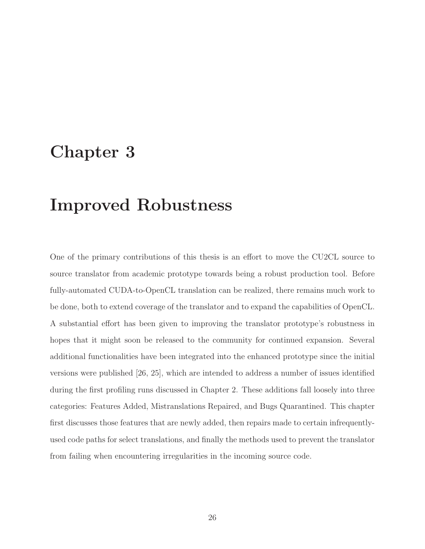# <span id="page-33-0"></span>Chapter 3

# Improved Robustness

One of the primary contributions of this thesis is an effort to move the CU2CL source to source translator from academic prototype towards being a robust production tool. Before fully-automated CUDA-to-OpenCL translation can be realized, there remains much work to be done, both to extend coverage of the translator and to expand the capabilities of OpenCL. A substantial effort has been given to improving the translator prototype's robustness in hopes that it might soon be released to the community for continued expansion. Several additional functionalities have been integrated into the enhanced prototype since the initial versions were published [\[26,](#page-84-4) [25\]](#page-84-5), which are intended to address a number of issues identified during the first profiling runs discussed in Chapter [2.](#page-21-0) These additions fall loosely into three categories: Features Added, Mistranslations Repaired, and Bugs Quarantined. This chapter first discusses those features that are newly added, then repairs made to certain infrequentlyused code paths for select translations, and finally the methods used to prevent the translator from failing when encountering irregularities in the incoming source code.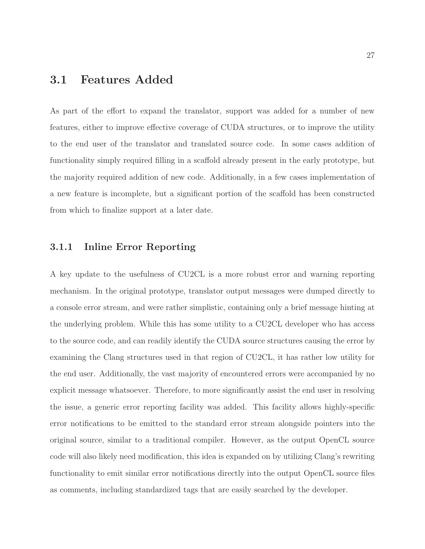### <span id="page-34-0"></span>3.1 Features Added

As part of the effort to expand the translator, support was added for a number of new features, either to improve effective coverage of CUDA structures, or to improve the utility to the end user of the translator and translated source code. In some cases addition of functionality simply required filling in a scaffold already present in the early prototype, but the majority required addition of new code. Additionally, in a few cases implementation of a new feature is incomplete, but a significant portion of the scaffold has been constructed from which to finalize support at a later date.

#### <span id="page-34-1"></span>3.1.1 Inline Error Reporting

A key update to the usefulness of CU2CL is a more robust error and warning reporting mechanism. In the original prototype, translator output messages were dumped directly to a console error stream, and were rather simplistic, containing only a brief message hinting at the underlying problem. While this has some utility to a CU2CL developer who has access to the source code, and can readily identify the CUDA source structures causing the error by examining the Clang structures used in that region of CU2CL, it has rather low utility for the end user. Additionally, the vast majority of encountered errors were accompanied by no explicit message whatsoever. Therefore, to more significantly assist the end user in resolving the issue, a generic error reporting facility was added. This facility allows highly-specific error notifications to be emitted to the standard error stream alongside pointers into the original source, similar to a traditional compiler. However, as the output OpenCL source code will also likely need modification, this idea is expanded on by utilizing Clang's rewriting functionality to emit similar error notifications directly into the output OpenCL source files as comments, including standardized tags that are easily searched by the developer.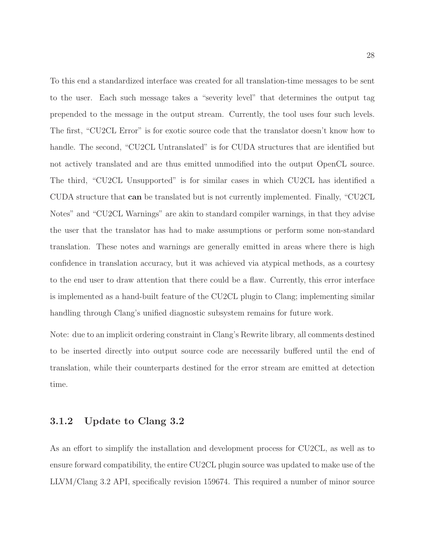To this end a standardized interface was created for all translation-time messages to be sent to the user. Each such message takes a "severity level" that determines the output tag prepended to the message in the output stream. Currently, the tool uses four such levels. The first, "CU2CL Error" is for exotic source code that the translator doesn't know how to handle. The second, "CU2CL Untranslated" is for CUDA structures that are identified but not actively translated and are thus emitted unmodified into the output OpenCL source. The third, "CU2CL Unsupported" is for similar cases in which CU2CL has identified a CUDA structure that can be translated but is not currently implemented. Finally, "CU2CL Notes" and "CU2CL Warnings" are akin to standard compiler warnings, in that they advise the user that the translator has had to make assumptions or perform some non-standard translation. These notes and warnings are generally emitted in areas where there is high confidence in translation accuracy, but it was achieved via atypical methods, as a courtesy to the end user to draw attention that there could be a flaw. Currently, this error interface is implemented as a hand-built feature of the CU2CL plugin to Clang; implementing similar handling through Clang's unified diagnostic subsystem remains for future work.

Note: due to an implicit ordering constraint in Clang's Rewrite library, all comments destined to be inserted directly into output source code are necessarily buffered until the end of translation, while their counterparts destined for the error stream are emitted at detection time.

#### <span id="page-35-0"></span>3.1.2 Update to Clang 3.2

As an effort to simplify the installation and development process for CU2CL, as well as to ensure forward compatibility, the entire CU2CL plugin source was updated to make use of the LLVM/Clang 3.2 API, specifically revision 159674. This required a number of minor source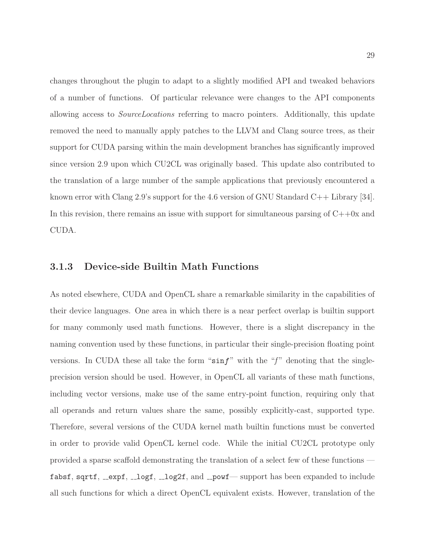changes throughout the plugin to adapt to a slightly modified API and tweaked behaviors of a number of functions. Of particular relevance were changes to the API components allowing access to SourceLocations referring to macro pointers. Additionally, this update removed the need to manually apply patches to the LLVM and Clang source trees, as their support for CUDA parsing within the main development branches has significantly improved since version 2.9 upon which CU2CL was originally based. This update also contributed to the translation of a large number of the sample applications that previously encountered a known error with Clang 2.9's support for the 4.6 version of GNU Standard C++ Library [\[34\]](#page-85-0). In this revision, there remains an issue with support for simultaneous parsing of  $C++0x$  and CUDA.

#### <span id="page-36-0"></span>3.1.3 Device-side Builtin Math Functions

As noted elsewhere, CUDA and OpenCL share a remarkable similarity in the capabilities of their device languages. One area in which there is a near perfect overlap is builtin support for many commonly used math functions. However, there is a slight discrepancy in the naming convention used by these functions, in particular their single-precision floating point versions. In CUDA these all take the form " $\sin f$ " with the "f" denoting that the singleprecision version should be used. However, in OpenCL all variants of these math functions, including vector versions, make use of the same entry-point function, requiring only that all operands and return values share the same, possibly explicitly-cast, supported type. Therefore, several versions of the CUDA kernel math builtin functions must be converted in order to provide valid OpenCL kernel code. While the initial CU2CL prototype only provided a sparse scaffold demonstrating the translation of a select few of these functions fabsf, sqrtf,  $\text{length}$ ,  $\text{length}$ ,  $\text{length}$ ,  $\text{length}$ , and  $\text{input}$  support has been expanded to include all such functions for which a direct OpenCL equivalent exists. However, translation of the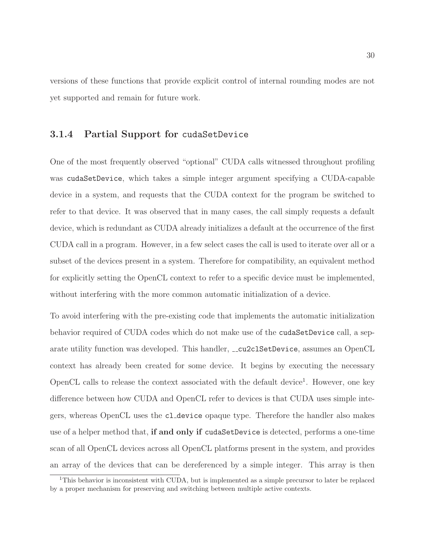versions of these functions that provide explicit control of internal rounding modes are not yet supported and remain for future work.

#### 3.1.4 Partial Support for cudaSetDevice

One of the most frequently observed "optional" CUDA calls witnessed throughout profiling was cudaSetDevice, which takes a simple integer argument specifying a CUDA-capable device in a system, and requests that the CUDA context for the program be switched to refer to that device. It was observed that in many cases, the call simply requests a default device, which is redundant as CUDA already initializes a default at the occurrence of the first CUDA call in a program. However, in a few select cases the call is used to iterate over all or a subset of the devices present in a system. Therefore for compatibility, an equivalent method for explicitly setting the OpenCL context to refer to a specific device must be implemented, without interfering with the more common automatic initialization of a device.

To avoid interfering with the pre-existing code that implements the automatic initialization behavior required of CUDA codes which do not make use of the cudaSetDevice call, a separate utility function was developed. This handler,  $\text{\_}\_c2c1SetDevice$ , assumes an OpenCL context has already been created for some device. It begins by executing the necessary OpenCL calls to release the context associated with the default device<sup>[1](#page-37-0)</sup>. However, one key difference between how CUDA and OpenCL refer to devices is that CUDA uses simple integers, whereas OpenCL uses the cl device opaque type. Therefore the handler also makes use of a helper method that, if and only if cudaSetDevice is detected, performs a one-time scan of all OpenCL devices across all OpenCL platforms present in the system, and provides an array of the devices that can be dereferenced by a simple integer. This array is then

<span id="page-37-0"></span><sup>1</sup>This behavior is inconsistent with CUDA, but is implemented as a simple precursor to later be replaced by a proper mechanism for preserving and switching between multiple active contexts.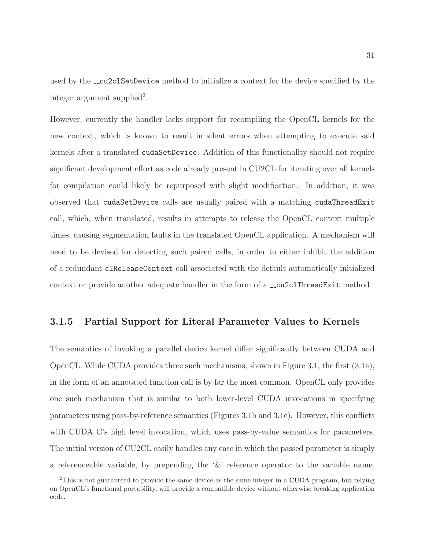used by the **cu2clSetDevice** method to initialize a context for the device specified by the integer argument supplied<sup>[2](#page-38-0)</sup>.

However, currently the handler lacks support for recompiling the OpenCL kernels for the new context, which is known to result in silent errors when attempting to execute said kernels after a translated cudaSetDevice. Addition of this functionality should not require significant development effort as code already present in CU2CL for iterating over all kernels for compilation could likely be repurposed with slight modification. In addition, it was observed that cudaSetDevice calls are usually paired with a matching cudaThreadExit call, which, when translated, results in attempts to release the OpenCL context multiple times, causing segmentation faults in the translated OpenCL application. A mechanism will need to be devised for detecting such paired calls, in order to either inhibit the addition of a redundant clReleaseContext call associated with the default automatically-initialized context or provide another adequate handler in the form of a  $\text{\textendash}_c$  cu2clThreadExit method.

#### 3.1.5 Partial Support for Literal Parameter Values to Kernels

The semantics of invoking a parallel device kernel differ significantly between CUDA and OpenCL. While CUDA provides three such mechanisms, shown in Figure [3.1,](#page-39-0) the first [\(3.1a\)](#page-39-0), in the form of an annotated function call is by far the most common. OpenCL only provides one such mechanism that is similar to both lower-level CUDA invocations in specifying parameters using pass-by-reference semantics (Figures [3.1b](#page-39-0) and [3.1c\)](#page-39-0). However, this conflicts with CUDA C's high level invocation, which uses pass-by-value semantics for parameters. The initial version of CU2CL easily handles any case in which the passed parameter is simply a referenceable variable, by prepending the '&' reference operator to the variable name.

<span id="page-38-0"></span><sup>&</sup>lt;sup>2</sup>This is not guaranteed to provide the same device as the same integer in a CUDA program, but relying on OpenCL's functional portability, will provide a compatible device without otherwise breaking application code.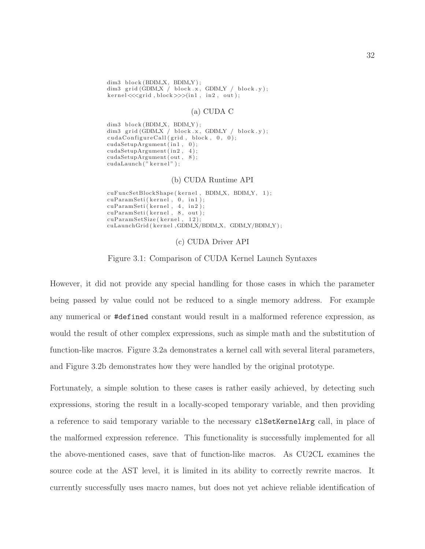<span id="page-39-0"></span> $dim3 \text{ block} (BDIM.X, BDIM.Y);$  $\label{eq:dim3} \text{dim3 grid (GDIMX / block.x, GDIMY / block.y)};$  $\text{kernel} \ll \text{erid}$ ,  $\text{block} \gg > (\text{in1}, \text{in2}, \text{out});$ 

#### (a) CUDA C

```
dim3 block(BDIM_X, BDIM_Y);
dim3 grid (GDIMX / block.x, GDIMY / block.y);
cudaConfigureCall(qrid, block, 0, 0);cudaSetupArgument(in1, 0);
cudaSetupArgument ( in2 , 4 ) ;
cudaSetupArgument ( out , 8 ) ;
cudaLaunch (" kernel");
```
#### (b) CUDA Runtime API

cuFuncSetBlockShape (kernel, BDIM\_X, BDIM\_Y, 1);  $cuParamSeti (kernel , 0, in1);$  $cuParamSeti (kernel , 4 , in2);$ cuParamSeti(kernel, 8, out); cuParamSetSize (kernel, 12); cuLaunchGrid ( kernel , GDIM X/BDIM X, GDIM Y/BDIM Y );

(c) CUDA Driver API

Figure 3.1: Comparison of CUDA Kernel Launch Syntaxes

However, it did not provide any special handling for those cases in which the parameter being passed by value could not be reduced to a single memory address. For example any numerical or #defined constant would result in a malformed reference expression, as would the result of other complex expressions, such as simple math and the substitution of function-like macros. Figure [3.2a](#page-40-0) demonstrates a kernel call with several literal parameters, and Figure [3.2b](#page-40-0) demonstrates how they were handled by the original prototype.

Fortunately, a simple solution to these cases is rather easily achieved, by detecting such expressions, storing the result in a locally-scoped temporary variable, and then providing a reference to said temporary variable to the necessary clSetKernelArg call, in place of the malformed expression reference. This functionality is successfully implemented for all the above-mentioned cases, save that of function-like macros. As CU2CL examines the source code at the AST level, it is limited in its ability to correctly rewrite macros. It currently successfully uses macro names, but does not yet achieve reliable identification of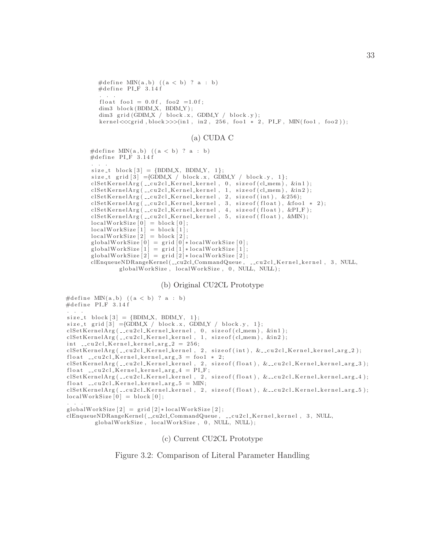```
#define MIN(a, b) ((a < b)? a : b)
\#define PLF 3.14f
 . . .
float foo1 = 0.0 f, foo2 = 1.0 f;
dim3 \text{ block} (BDIM.X, BDIM.Y);dim3 grid (GDIMX / block .x, GDIMY / block .y);
\text{ker} \, \text{rel} \ll \text{sg} \, \text{id}, \text{block} \gg \text{dim} \, 1, \text{in} \, 2, \text{dim} \, 3, \text{dim} \, 4, \text{dim} \, 1, \text{dim} \, 1, \text{dim} \, 2, \text{dim} \, 1, \text{dim} \, 1, \text{dim} \, 2
```
#### (a) CUDA C

```
#define MIN(a, b) ((a < b)? a : b)
\#define PI_F 3.14 f
. . .
size_t \text{ block } [3] = \{BDIM.X, BDIM.Y, 1\};size_t grid [3] = {GDIM_X / block.x, GDIM_Y / block.y, 1};cl Set KernelArg ( __ cu 2 cl_Kernel_kernel, 0, size of ( cl_mem ), &in1 );
clSetKernelArg(__cu2cl_Kernel_kernel, 1, sizeof(cl_mem), &in2);
clSetKernelArg(__cu2cl_Kernel_kernel, 2, sizeof(int), &256);
cl Set Kernel Arg ( __ cu 2 cl_K ernel_k ernel, 3, size of (float), &foo1 * 2);
cl SetKernelArg (__cu 2 cl_Kernel_kernel, 4, size of (float), &PI_F);
cl Set K ernel Arg ( __ cu 2 c l _ K ernel _ k ernel , 5, size of (float ), & MIN );
localWorkSize [0] = block [0];localWorkSize [1] = block [1];localWorkSize [2] = block [2];globalWorkSize[0] = grid [0]*localWorkSize [0];globalWorkSize[1] = grid [1]*localWorkSize [1];globalWorkSize[2] = grid [2]*localWorkSize [2];clEnqueueNDRangeKernel (__cu2cl_CommandQueue, __cu2cl_Kernel_kernel, 3, NULL,
        globalWorkSize, localWorkSize, 0, NULL, NULL);
```
#### (b) Original CU2CL Prototype

```
#define MIN(a, b) ((a < b)? a : b)
\#define PLF 3.14f
size_t block[3] = {BDIM.X, BDIM.Y, 1};size_t grid \boxed{3} ={GDIM X / block x, GDIM Y / block y, 1};
cl Set Kernel Arg ( __ cu 2 cl _ Kernel _ kernel , 0, size of ( cl_mem ) , &in 1 ) ;
\text{clSetKernelArg}( ._cu2cl_Kernel_kernel, 1, sizeof(cl_mem), &in2);
int __cu2cl_Kernel_kernel_arg_2 = 256;
clSetKernelArg (__cu2cl_Kernel_kernel, 2, sizeof (int), &__cu2cl_Kernel_kernel_arg_2);
float \text{\_cu2cl\_\}Kernel\_\text{kernel\_\!arg_3 = \text{foo1 } * 2;clSetKernelArg (__cu2cl_Kernel_kernel, 2, sizeof (float), &__cu2cl_Kernel_kernel_arg_3);
float __cu2cl_Kernel_kernel_arg_4 = PI_F;
clSetKernelArg (__cu2cl_Kernel_kernel, 2, sizeof (float), &__cu2cl_Kernel_kernel_arg_4);
float __cu2cl_Kernel_kernel_arg_5 = MIN;
clSetKernelArg ( __cu2cl_Kernel_kernel, 2, size of (float), &__cu2cl_Kernel_kernel_arg _5);
localWorkSize[0] = block[0];. . .
```

```
globalWorkSize[2] = \text{grid}[2]*localWorkSize[2];clEnqueueNDRangeKernel ( __cu2cl_CommandQueue , __cu2cl_Kernel_kernel , 3, NULL,
        globalWorkSize, localWorkSize, 0, NULL, NULL);
```
#### (c) Current CU2CL Prototype

Figure 3.2: Comparison of Literal Parameter Handling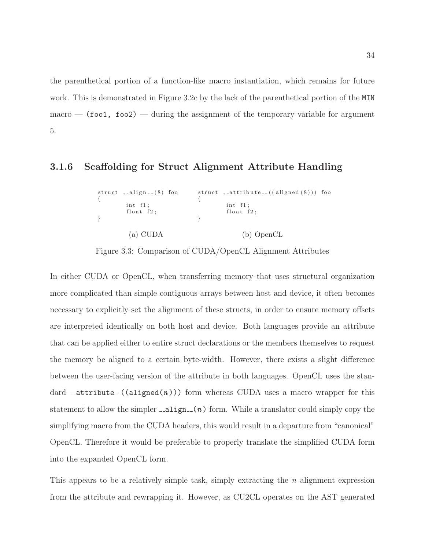the parenthetical portion of a function-like macro instantiation, which remains for future work. This is demonstrated in Figure [3.2c](#page-40-0) by the lack of the parenthetical portion of the MIN  $macco - (foot, foo2) - during the assignment of the temporary variable for argument$ 5.

#### 3.1.6 Scaffolding for Struct Alignment Attribute Handling

 $struct$   $1 = align = (8)$  foo {  $int$  f1;  $float$   $f2;$ } (a) CUDA  $struct$  \_\_attribute\_\_ $((aligned (8)))$  foo {  $int$  f1; float  $f2$ ; } (b) OpenCL

Figure 3.3: Comparison of CUDA/OpenCL Alignment Attributes

In either CUDA or OpenCL, when transferring memory that uses structural organization more complicated than simple contiguous arrays between host and device, it often becomes necessary to explicitly set the alignment of these structs, in order to ensure memory offsets are interpreted identically on both host and device. Both languages provide an attribute that can be applied either to entire struct declarations or the members themselves to request the memory be aligned to a certain byte-width. However, there exists a slight difference between the user-facing version of the attribute in both languages. OpenCL uses the standard  $\text{a}$ -attribute ((aligned(n))) form whereas CUDA uses a macro wrapper for this statement to allow the simpler  $\text{0.1cm}$ . The statement of simply copy the simplifying macro from the CUDA headers, this would result in a departure from "canonical" OpenCL. Therefore it would be preferable to properly translate the simplified CUDA form into the expanded OpenCL form.

This appears to be a relatively simple task, simply extracting the  $n$  alignment expression from the attribute and rewrapping it. However, as CU2CL operates on the AST generated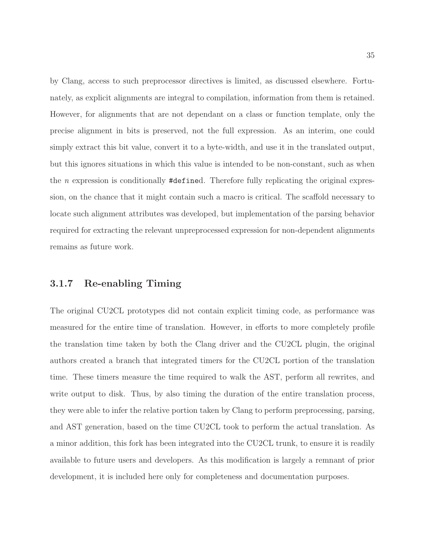by Clang, access to such preprocessor directives is limited, as discussed elsewhere. Fortunately, as explicit alignments are integral to compilation, information from them is retained. However, for alignments that are not dependant on a class or function template, only the precise alignment in bits is preserved, not the full expression. As an interim, one could simply extract this bit value, convert it to a byte-width, and use it in the translated output, but this ignores situations in which this value is intended to be non-constant, such as when the *n* expression is conditionally  $\# \text{defined}$ . Therefore fully replicating the original expression, on the chance that it might contain such a macro is critical. The scaffold necessary to locate such alignment attributes was developed, but implementation of the parsing behavior required for extracting the relevant unpreprocessed expression for non-dependent alignments remains as future work.

#### 3.1.7 Re-enabling Timing

The original CU2CL prototypes did not contain explicit timing code, as performance was measured for the entire time of translation. However, in efforts to more completely profile the translation time taken by both the Clang driver and the CU2CL plugin, the original authors created a branch that integrated timers for the CU2CL portion of the translation time. These timers measure the time required to walk the AST, perform all rewrites, and write output to disk. Thus, by also timing the duration of the entire translation process, they were able to infer the relative portion taken by Clang to perform preprocessing, parsing, and AST generation, based on the time CU2CL took to perform the actual translation. As a minor addition, this fork has been integrated into the CU2CL trunk, to ensure it is readily available to future users and developers. As this modification is largely a remnant of prior development, it is included here only for completeness and documentation purposes.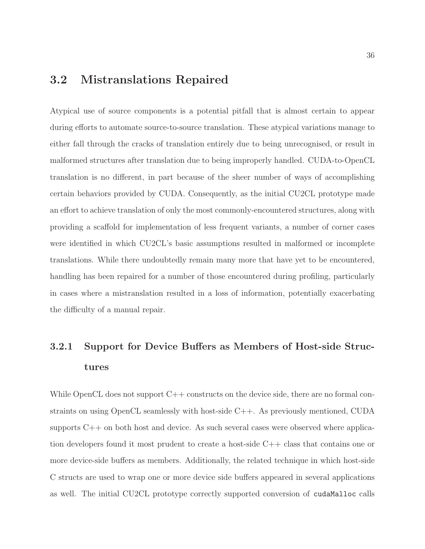# 3.2 Mistranslations Repaired

Atypical use of source components is a potential pitfall that is almost certain to appear during efforts to automate source-to-source translation. These atypical variations manage to either fall through the cracks of translation entirely due to being unrecognised, or result in malformed structures after translation due to being improperly handled. CUDA-to-OpenCL translation is no different, in part because of the sheer number of ways of accomplishing certain behaviors provided by CUDA. Consequently, as the initial CU2CL prototype made an effort to achieve translation of only the most commonly-encountered structures, along with providing a scaffold for implementation of less frequent variants, a number of corner cases were identified in which CU2CL's basic assumptions resulted in malformed or incomplete translations. While there undoubtedly remain many more that have yet to be encountered, handling has been repaired for a number of those encountered during profiling, particularly in cases where a mistranslation resulted in a loss of information, potentially exacerbating the difficulty of a manual repair.

# 3.2.1 Support for Device Buffers as Members of Host-side Structures

While OpenCL does not support C++ constructs on the device side, there are no formal constraints on using OpenCL seamlessly with host-side C++. As previously mentioned, CUDA supports  $C++$  on both host and device. As such several cases were observed where application developers found it most prudent to create a host-side C++ class that contains one or more device-side buffers as members. Additionally, the related technique in which host-side C structs are used to wrap one or more device side buffers appeared in several applications as well. The initial CU2CL prototype correctly supported conversion of cudaMalloc calls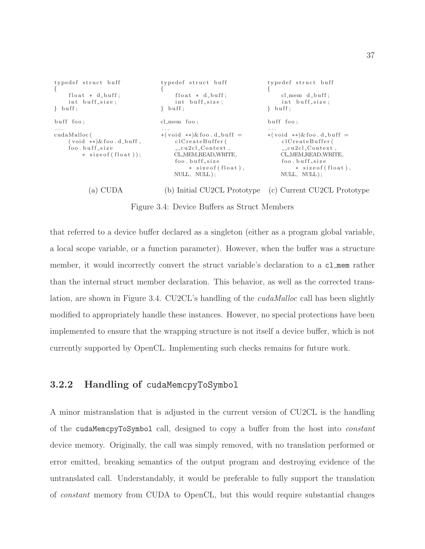<span id="page-44-0"></span>

| typedef struct buff<br>$\left\{ \right.$<br>float $*$ d_buff;<br>int buff_size;<br>$\}$ buff: | typedef struct buff<br>float $*$ d_buff;<br>int buff_size;<br>$\}$ buff:                                                                                                                          | typedef struct buff<br>$cl_{\text{mem}}$ $d_{\text{ebuff}}$ ;<br>int buff_size;<br>$butf$ :                                                                                               |
|-----------------------------------------------------------------------------------------------|---------------------------------------------------------------------------------------------------------------------------------------------------------------------------------------------------|-------------------------------------------------------------------------------------------------------------------------------------------------------------------------------------------|
| buff foo:                                                                                     | $cl$ -mem foo;                                                                                                                                                                                    | buff foo:                                                                                                                                                                                 |
| $\cdots$<br>cudaMalloc(<br>$(void **&$ foo.d_buff,<br>foo.buff_size<br>* size of (float));    | $\cdots$<br>$*(\text{void } **) \& \text{foo}. d_buff =$<br>clCreateBuffer(<br>$\text{-}c$ u2cl $\text{-}$ Context,<br>CL_MEM_READ_WRITE,<br>foo, buff_size<br>* size of (float),<br>NULL, NULL); | $\cdots$<br>$*(\text{void } **) \& \text{foo}. d_buff =$<br>clCreateBuffer(<br>$_{--}$ cu2cl $_{-}$ Context,<br>CL_MEM_READ_WRITE,<br>foo.buff_size<br>* size of (float),<br>NULL, NULL); |

(a) CUDA (b) Initial CU2CL Prototype (c) Current CU2CL Prototype

Figure 3.4: Device Buffers as Struct Members

that referred to a device buffer declared as a singleton (either as a program global variable, a local scope variable, or a function parameter). However, when the buffer was a structure member, it would incorrectly convert the struct variable's declaration to a cl mem rather than the internal struct member declaration. This behavior, as well as the corrected trans-lation, are shown in Figure [3.4.](#page-44-0) CU2CL's handling of the *cudaMalloc* call has been slightly modified to appropriately handle these instances. However, no special protections have been implemented to ensure that the wrapping structure is not itself a device buffer, which is not currently supported by OpenCL. Implementing such checks remains for future work.

#### <span id="page-44-1"></span>3.2.2 Handling of cudaMemcpyToSymbol

A minor mistranslation that is adjusted in the current version of CU2CL is the handling of the cudaMemcpyToSymbol call, designed to copy a buffer from the host into constant device memory. Originally, the call was simply removed, with no translation performed or error emitted, breaking semantics of the output program and destroying evidence of the untranslated call. Understandably, it would be preferable to fully support the translation of constant memory from CUDA to OpenCL, but this would require substantial changes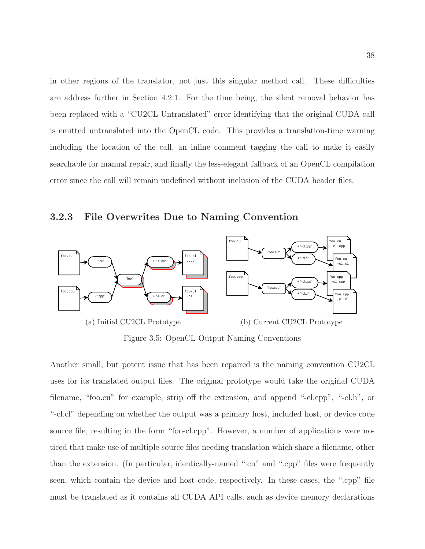in other regions of the translator, not just this singular method call. These difficulties are address further in Section [4.2.1.](#page-59-0) For the time being, the silent removal behavior has been replaced with a "CU2CL Untranslated" error identifying that the original CUDA call is emitted untranslated into the OpenCL code. This provides a translation-time warning including the location of the call, an inline comment tagging the call to make it easily searchable for manual repair, and finally the less-elegant fallback of an OpenCL compilation error since the call will remain undefined without inclusion of the CUDA header files.

<span id="page-45-0"></span>3.2.3 File Overwrites Due to Naming Convention



Figure 3.5: OpenCL Output Naming Conventions

Another small, but potent issue that has been repaired is the naming convention CU2CL uses for its translated output files. The original prototype would take the original CUDA filename, "foo.cu" for example, strip off the extension, and append "-cl.cpp", "-cl.h", or "-cl.cl" depending on whether the output was a primary host, included host, or device code source file, resulting in the form "foo-cl.cpp". However, a number of applications were noticed that make use of multiple source files needing translation which share a filename, other than the extension. (In particular, identically-named ".cu" and ".cpp" files were frequently seen, which contain the device and host code, respectively. In these cases, the ".cpp" file must be translated as it contains all CUDA API calls, such as device memory declarations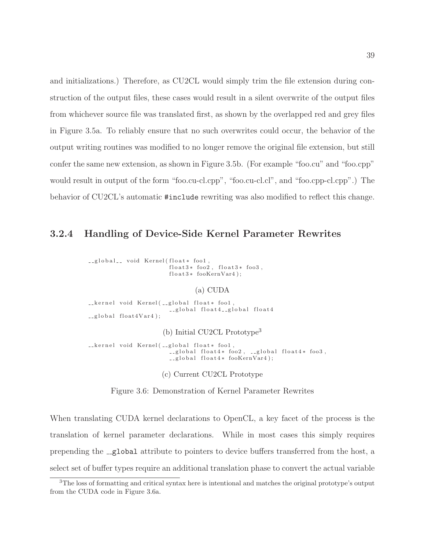and initializations.) Therefore, as CU2CL would simply trim the file extension during construction of the output files, these cases would result in a silent overwrite of the output files from whichever source file was translated first, as shown by the overlapped red and grey files in Figure [3.5a.](#page-45-0) To reliably ensure that no such overwrites could occur, the behavior of the output writing routines was modified to no longer remove the original file extension, but still confer the same new extension, as shown in Figure [3.5b.](#page-45-0) (For example "foo.cu" and "foo.cpp" would result in output of the form "foo.cu-cl.cpp", "foo.cu-cl.cl", and "foo.cpp-cl.cpp".) The behavior of CU2CL's automatic #include rewriting was also modified to reflect this change.

#### <span id="page-46-1"></span>3.2.4 Handling of Device-Side Kernel Parameter Rewrites

\_\_global\_\_ void Kernel(float\* foo1,  $float3*$   $foo2$ ,  $float3*$   $foo3$ ,  $float3*~fooKernVar4);$ 

#### (a) CUDA

\_\_kernel void Kernel( \_\_global float\* foo1,  $-$ global float $4$  $-$ global float $4$  $\text{lglobal}$  float  $4 \text{Var} 4$  );

(b) Initial CU2CL Prototype<sup>[3](#page-46-0)</sup>

\_\_kernel void Kernel(\_\_global float\* foo1,  $\text{-global float4*}$  foo2,  $\text{-global float4*}$  foo3, \_\_global float4\* fooKernVar4);

(c) Current CU2CL Prototype

Figure 3.6: Demonstration of Kernel Parameter Rewrites

When translating CUDA kernel declarations to OpenCL, a key facet of the process is the translation of kernel parameter declarations. While in most cases this simply requires prepending the  $\text{-global attribute}$  to pointers to device buffers transferred from the host, a select set of buffer types require an additional translation phase to convert the actual variable

<span id="page-46-0"></span><sup>3</sup>The loss of formatting and critical syntax here is intentional and matches the original prototype's output from the CUDA code in Figure [3.6a.](#page-46-1)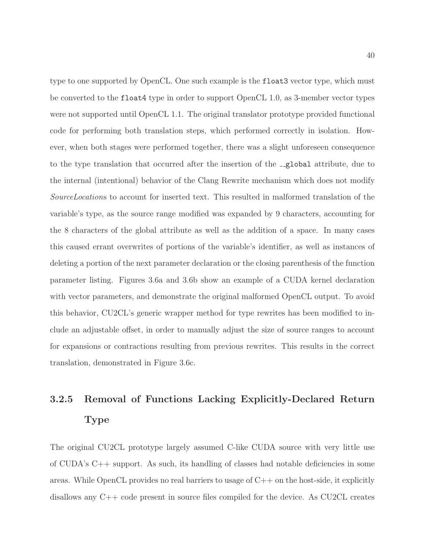type to one supported by OpenCL. One such example is the float3 vector type, which must be converted to the float4 type in order to support OpenCL 1.0, as 3-member vector types were not supported until OpenCL 1.1. The original translator prototype provided functional code for performing both translation steps, which performed correctly in isolation. However, when both stages were performed together, there was a slight unforeseen consequence to the type translation that occurred after the insertion of the **global** attribute, due to the internal (intentional) behavior of the Clang Rewrite mechanism which does not modify SourceLocations to account for inserted text. This resulted in malformed translation of the variable's type, as the source range modified was expanded by 9 characters, accounting for the 8 characters of the global attribute as well as the addition of a space. In many cases this caused errant overwrites of portions of the variable's identifier, as well as instances of deleting a portion of the next parameter declaration or the closing parenthesis of the function parameter listing. Figures [3.6a](#page-46-1) and [3.6b](#page-46-1) show an example of a CUDA kernel declaration with vector parameters, and demonstrate the original malformed OpenCL output. To avoid this behavior, CU2CL's generic wrapper method for type rewrites has been modified to include an adjustable offset, in order to manually adjust the size of source ranges to account for expansions or contractions resulting from previous rewrites. This results in the correct translation, demonstrated in Figure [3.6c.](#page-46-1)

# 3.2.5 Removal of Functions Lacking Explicitly-Declared Return Type

The original CU2CL prototype largely assumed C-like CUDA source with very little use of CUDA's C++ support. As such, its handling of classes had notable deficiencies in some areas. While OpenCL provides no real barriers to usage of  $C++$  on the host-side, it explicitly disallows any C++ code present in source files compiled for the device. As CU2CL creates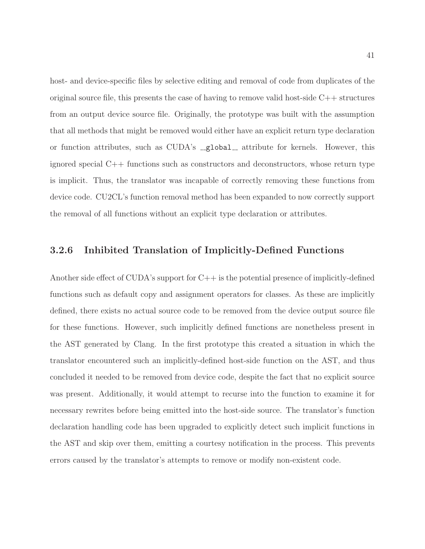host- and device-specific files by selective editing and removal of code from duplicates of the original source file, this presents the case of having to remove valid host-side C++ structures from an output device source file. Originally, the prototype was built with the assumption that all methods that might be removed would either have an explicit return type declaration or function attributes, such as CUDA's \_global\_ attribute for kernels. However, this ignored special C++ functions such as constructors and deconstructors, whose return type is implicit. Thus, the translator was incapable of correctly removing these functions from device code. CU2CL's function removal method has been expanded to now correctly support the removal of all functions without an explicit type declaration or attributes.

#### 3.2.6 Inhibited Translation of Implicitly-Defined Functions

Another side effect of CUDA's support for  $C++$  is the potential presence of implicitly-defined functions such as default copy and assignment operators for classes. As these are implicitly defined, there exists no actual source code to be removed from the device output source file for these functions. However, such implicitly defined functions are nonetheless present in the AST generated by Clang. In the first prototype this created a situation in which the translator encountered such an implicitly-defined host-side function on the AST, and thus concluded it needed to be removed from device code, despite the fact that no explicit source was present. Additionally, it would attempt to recurse into the function to examine it for necessary rewrites before being emitted into the host-side source. The translator's function declaration handling code has been upgraded to explicitly detect such implicit functions in the AST and skip over them, emitting a courtesy notification in the process. This prevents errors caused by the translator's attempts to remove or modify non-existent code.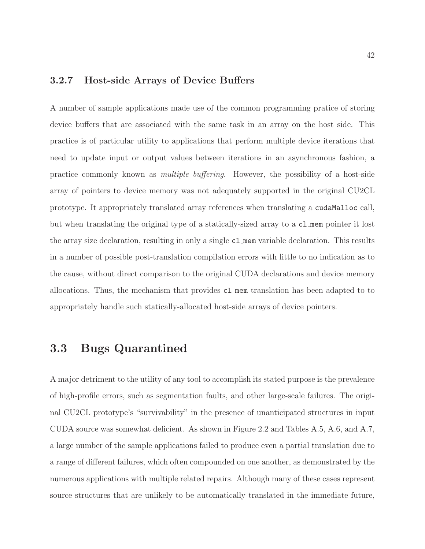## 3.2.7 Host-side Arrays of Device Buffers

A number of sample applications made use of the common programming pratice of storing device buffers that are associated with the same task in an array on the host side. This practice is of particular utility to applications that perform multiple device iterations that need to update input or output values between iterations in an asynchronous fashion, a practice commonly known as multiple buffering. However, the possibility of a host-side array of pointers to device memory was not adequately supported in the original CU2CL prototype. It appropriately translated array references when translating a cudaMalloc call, but when translating the original type of a statically-sized array to a cl mem pointer it lost the array size declaration, resulting in only a single cl mem variable declaration. This results in a number of possible post-translation compilation errors with little to no indication as to the cause, without direct comparison to the original CUDA declarations and device memory allocations. Thus, the mechanism that provides cl mem translation has been adapted to to appropriately handle such statically-allocated host-side arrays of device pointers.

# 3.3 Bugs Quarantined

A major detriment to the utility of any tool to accomplish its stated purpose is the prevalence of high-profile errors, such as segmentation faults, and other large-scale failures. The original CU2CL prototype's "survivability" in the presence of unanticipated structures in input CUDA source was somewhat deficient. As shown in Figure [2.2](#page-27-0) and Tables [A.5,](#page-79-0) [A.6,](#page-80-0) and [A.7,](#page-81-0) a large number of the sample applications failed to produce even a partial translation due to a range of different failures, which often compounded on one another, as demonstrated by the numerous applications with multiple related repairs. Although many of these cases represent source structures that are unlikely to be automatically translated in the immediate future,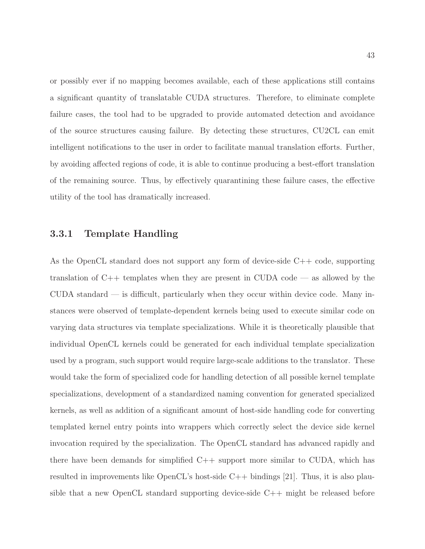or possibly ever if no mapping becomes available, each of these applications still contains a significant quantity of translatable CUDA structures. Therefore, to eliminate complete failure cases, the tool had to be upgraded to provide automated detection and avoidance of the source structures causing failure. By detecting these structures, CU2CL can emit intelligent notifications to the user in order to facilitate manual translation efforts. Further, by avoiding affected regions of code, it is able to continue producing a best-effort translation of the remaining source. Thus, by effectively quarantining these failure cases, the effective utility of the tool has dramatically increased.

#### <span id="page-50-0"></span>3.3.1 Template Handling

As the OpenCL standard does not support any form of device-side C++ code, supporting translation of C++ templates when they are present in CUDA code — as allowed by the  $\text{CUDA}$  standard  $\text{---}$  is difficult, particularly when they occur within device code. Many instances were observed of template-dependent kernels being used to execute similar code on varying data structures via template specializations. While it is theoretically plausible that individual OpenCL kernels could be generated for each individual template specialization used by a program, such support would require large-scale additions to the translator. These would take the form of specialized code for handling detection of all possible kernel template specializations, development of a standardized naming convention for generated specialized kernels, as well as addition of a significant amount of host-side handling code for converting templated kernel entry points into wrappers which correctly select the device side kernel invocation required by the specialization. The OpenCL standard has advanced rapidly and there have been demands for simplified  $C++$  support more similar to CUDA, which has resulted in improvements like OpenCL's host-side C++ bindings [\[21\]](#page-84-0). Thus, it is also plausible that a new OpenCL standard supporting device-side C++ might be released before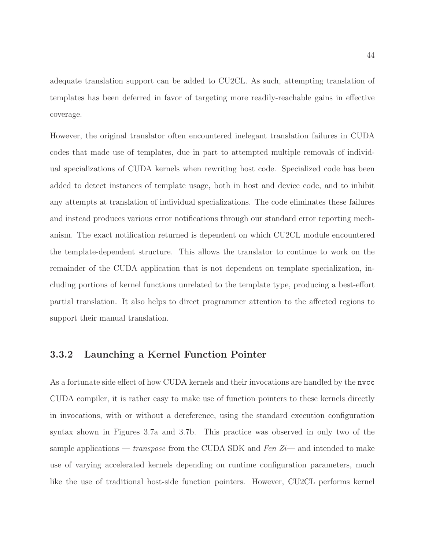adequate translation support can be added to CU2CL. As such, attempting translation of templates has been deferred in favor of targeting more readily-reachable gains in effective coverage.

However, the original translator often encountered inelegant translation failures in CUDA codes that made use of templates, due in part to attempted multiple removals of individual specializations of CUDA kernels when rewriting host code. Specialized code has been added to detect instances of template usage, both in host and device code, and to inhibit any attempts at translation of individual specializations. The code eliminates these failures and instead produces various error notifications through our standard error reporting mechanism. The exact notification returned is dependent on which CU2CL module encountered the template-dependent structure. This allows the translator to continue to work on the remainder of the CUDA application that is not dependent on template specialization, including portions of kernel functions unrelated to the template type, producing a best-effort partial translation. It also helps to direct programmer attention to the affected regions to support their manual translation.

#### <span id="page-51-0"></span>3.3.2 Launching a Kernel Function Pointer

As a fortunate side effect of how CUDA kernels and their invocations are handled by the nvcc CUDA compiler, it is rather easy to make use of function pointers to these kernels directly in invocations, with or without a dereference, using the standard execution configuration syntax shown in Figures [3.7a](#page-52-0) and [3.7b.](#page-52-0) This practice was observed in only two of the sample applications — transpose from the CUDA SDK and Fen  $Z_i$ — and intended to make use of varying accelerated kernels depending on runtime configuration parameters, much like the use of traditional host-side function pointers. However, CU2CL performs kernel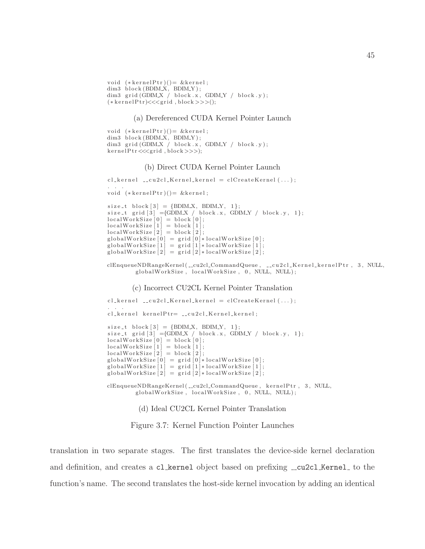```
void (*\text{kernelPtr})() = \&\text{kernel};dim3 block(BDIM_X, BDIM_Y);
dim3 grid (GDIMX / block.x, GDIMY / block.y);
(*\,ker\,nelPtr) \ll \ll grid, block \gg \gg)();
```
#### (a) Dereferenced CUDA Kernel Pointer Launch

```
void (*\text{kernelPtr})() = \&\text{kernel};dim3 \text{ block} (BDIM.X, BDIM.Y);dim3 grid (GDIMX / block.x, GDIMY / block.y);
kernelPtr <<< grid, block >>>);
```
#### (b) Direct CUDA Kernel Pointer Launch

```
cl\_{\tt{kernel}\_{\tt=}cu2cl\_{\tt{Kernel}\_{\tt{kernel}}=clCreateKernel\,(\ldots)};
. . .
void (*\text{kernelPtr})() = \&\text{kernel};size_t block [3] = {BDIM.X, BDIM.Y, 1};size_t grid [3] ={GDIM X / block x, GDIM Y / block y, 1};
localWorkSize [0] = block [0];localWorkSize [1] = block [1];localWorkSize [2] = block [2];globalWorkSize[0] = grid[0]*localWorkSize[0];globalWorkSize[1] = \text{grid}[1]* \text{localWorkSize}[1];globalWorkSize [2] = \text{grid} [2]* \text{localWorkSize} [2];
```
clEnqueueNDRangeKernel ( \_\_cu2cl\_CommandQueue , \_\_cu2cl\_Kernel\_kernelPtr, 3, NULL,  ${\tt globalWorkSize\ ,\ localWorkSize\ ,\ 0\ ,\ NULL\ ,\ NULL\ };$ 

(c) Incorrect CU2CL Kernel Pointer Translation

```
\text{cl}\text{-} \text{ker}\text{-} \text{rel}\text{-}\text{curl}\text{-} \text{K}ernel = cl Create Kernel (\dots);. . .
cl_kernel kernelPtr= __cu2cl_Kernel_kernel;
size_t block [3] = {BDIM.X, BDIM.Y, 1};\texttt{size\_t} \ \ \texttt{grid} \ [3] \ \texttt{=}\{ \texttt{GDMX}\ /\ \ \texttt{block.x}, \ \ \texttt{GDMY}\ /\ \ \texttt{block.y}, \ \ 1 \};localWorkSize [0] = block [0];localWorkSize [1] = block [1];localWorkSize [2] = block [2];globalWorkSize[0] = grid [0]*localWorkSize [0];globalWorkSize[1] = grid [1]*localWorkSize [1];globalWorkSize[2] = \text{grid}[2]*localWorkSize[2];clEnqueueNDRangeKernel ( __ cu2cl_CommandQueue, kernelPtr, 3, NULL,
          globalWorkSize, localWorkSize, 0, NULL, NULL);
```
(d) Ideal CU2CL Kernel Pointer Translation

Figure 3.7: Kernel Function Pointer Launches

translation in two separate stages. The first translates the device-side kernel declaration and definition, and creates a cl kernel object based on prefixing  $\text{\textendash}z$  Leonard to the function's name. The second translates the host-side kernel invocation by adding an identical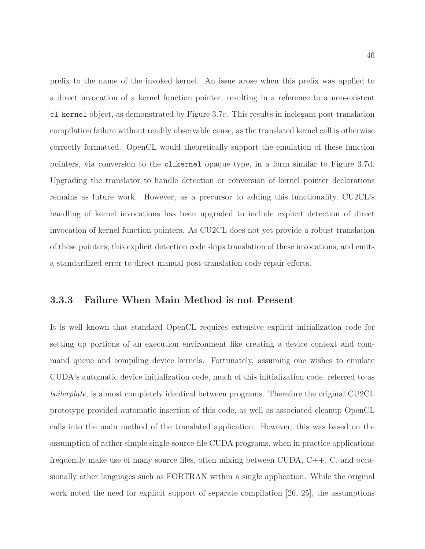prefix to the name of the invoked kernel. An issue arose when this prefix was applied to a direct invocation of a kernel function pointer, resulting in a reference to a non-existent cl kernel object, as demonstrated by Figure [3.7c.](#page-52-0) This results in inelegant post-translation compilation failure without readily observable cause, as the translated kernel call is otherwise correctly formatted. OpenCL would theoretically support the emulation of these function pointers, via conversion to the cl kernel opaque type, in a form similar to Figure [3.7d.](#page-52-0) Upgrading the translator to handle detection or conversion of kernel pointer declarations remains as future work. However, as a precursor to adding this functionality, CU2CL's handling of kernel invocations has been upgraded to include explicit detection of direct invocation of kernel function pointers. As CU2CL does not yet provide a robust translation of these pointers, this explicit detection code skips translation of these invocations, and emits a standardized error to direct manual post-translation code repair efforts.

#### <span id="page-53-0"></span>3.3.3 Failure When Main Method is not Present

It is well known that standard OpenCL requires extensive explicit initialization code for setting up portions of an execution environment like creating a device context and command queue and compiling device kernels. Fortunately, assuming one wishes to emulate CUDA's automatic device initialization code, much of this initialization code, referred to as boilerplate, is almost completely identical between programs. Therefore the original CU2CL prototype provided automatic insertion of this code, as well as associated cleanup OpenCL calls into the main method of the translated application. However, this was based on the assumption of rather simple single-source-file CUDA programs, when in practice applications frequently make use of many source files, often mixing between CUDA, C++, C, and occasionally other languages such as FORTRAN within a single application. While the original work noted the need for explicit support of separate compilation [\[26,](#page-84-1) [25\]](#page-84-2), the assumptions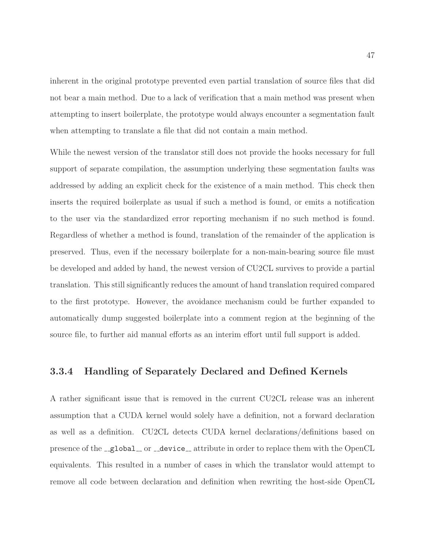inherent in the original prototype prevented even partial translation of source files that did not bear a main method. Due to a lack of verification that a main method was present when attempting to insert boilerplate, the prototype would always encounter a segmentation fault when attempting to translate a file that did not contain a main method.

While the newest version of the translator still does not provide the hooks necessary for full support of separate compilation, the assumption underlying these segmentation faults was addressed by adding an explicit check for the existence of a main method. This check then inserts the required boilerplate as usual if such a method is found, or emits a notification to the user via the standardized error reporting mechanism if no such method is found. Regardless of whether a method is found, translation of the remainder of the application is preserved. Thus, even if the necessary boilerplate for a non-main-bearing source file must be developed and added by hand, the newest version of CU2CL survives to provide a partial translation. This still significantly reduces the amount of hand translation required compared to the first prototype. However, the avoidance mechanism could be further expanded to automatically dump suggested boilerplate into a comment region at the beginning of the source file, to further aid manual efforts as an interim effort until full support is added.

#### 3.3.4 Handling of Separately Declared and Defined Kernels

A rather significant issue that is removed in the current CU2CL release was an inherent assumption that a CUDA kernel would solely have a definition, not a forward declaration as well as a definition. CU2CL detects CUDA kernel declarations/definitions based on presence of the  $\text{\_global\_}$  or  $\text{\_device\_}$  attribute in order to replace them with the OpenCL equivalents. This resulted in a number of cases in which the translator would attempt to remove all code between declaration and definition when rewriting the host-side OpenCL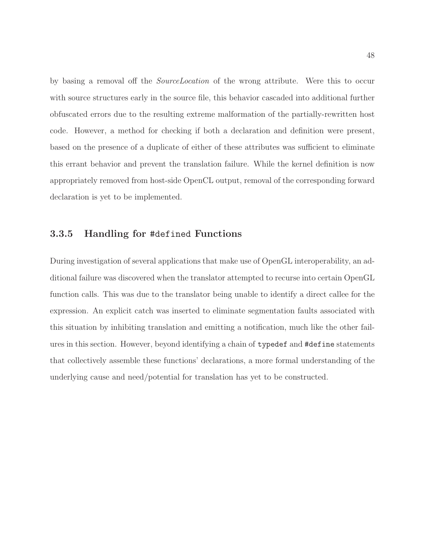by basing a removal off the SourceLocation of the wrong attribute. Were this to occur with source structures early in the source file, this behavior cascaded into additional further obfuscated errors due to the resulting extreme malformation of the partially-rewritten host code. However, a method for checking if both a declaration and definition were present, based on the presence of a duplicate of either of these attributes was sufficient to eliminate this errant behavior and prevent the translation failure. While the kernel definition is now appropriately removed from host-side OpenCL output, removal of the corresponding forward declaration is yet to be implemented.

#### 3.3.5 Handling for #defined Functions

During investigation of several applications that make use of OpenGL interoperability, an additional failure was discovered when the translator attempted to recurse into certain OpenGL function calls. This was due to the translator being unable to identify a direct callee for the expression. An explicit catch was inserted to eliminate segmentation faults associated with this situation by inhibiting translation and emitting a notification, much like the other failures in this section. However, beyond identifying a chain of typedef and #define statements that collectively assemble these functions' declarations, a more formal understanding of the underlying cause and need/potential for translation has yet to be constructed.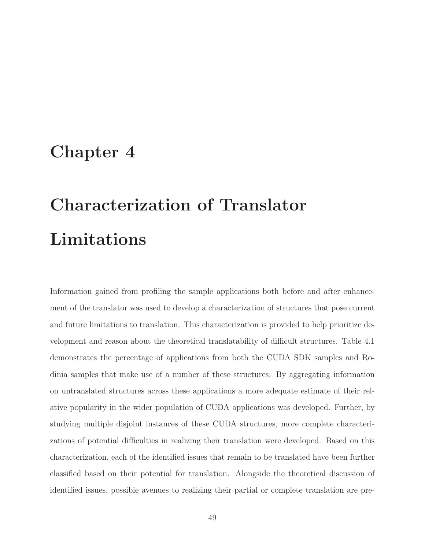# Chapter 4

# Characterization of Translator Limitations

Information gained from profiling the sample applications both before and after enhancement of the translator was used to develop a characterization of structures that pose current and future limitations to translation. This characterization is provided to help prioritize development and reason about the theoretical translatability of difficult structures. Table [4.1](#page-57-0) demonstrates the percentage of applications from both the CUDA SDK samples and Rodinia samples that make use of a number of these structures. By aggregating information on untranslated structures across these applications a more adequate estimate of their relative popularity in the wider population of CUDA applications was developed. Further, by studying multiple disjoint instances of these CUDA structures, more complete characterizations of potential difficulties in realizing their translation were developed. Based on this characterization, each of the identified issues that remain to be translated have been further classified based on their potential for translation. Alongside the theoretical discussion of identified issues, possible avenues to realizing their partial or complete translation are pre-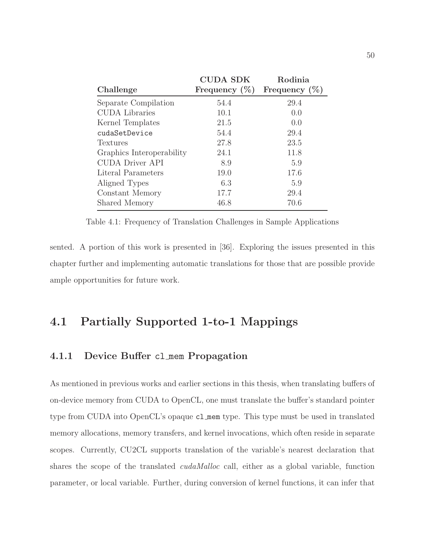<span id="page-57-0"></span>

|                           | <b>CUDA SDK</b>  | Rodinia          |
|---------------------------|------------------|------------------|
| Challenge                 | Frequency $(\%)$ | Frequency $(\%)$ |
| Separate Compilation      | 54.4             | 29.4             |
| <b>CUDA</b> Libraries     | 10.1             | 0.0              |
| Kernel Templates          | 21.5             | 0.0              |
| cudaSetDevice             | 54.4             | 29.4             |
| Textures                  | 27.8             | 23.5             |
| Graphics Interoperability | 24.1             | 11.8             |
| <b>CUDA Driver API</b>    | 8.9              | 5.9              |
| Literal Parameters        | 19.0             | 17.6             |
| Aligned Types             | 6.3              | 5.9              |
| Constant Memory           | 17.7             | 29.4             |
| Shared Memory             | 46.8             | 70.6             |
|                           |                  |                  |

Table 4.1: Frequency of Translation Challenges in Sample Applications

sented. A portion of this work is presented in [\[36\]](#page-85-1). Exploring the issues presented in this chapter further and implementing automatic translations for those that are possible provide ample opportunities for future work.

# 4.1 Partially Supported 1-to-1 Mappings

#### 4.1.1 Device Buffer cl mem Propagation

As mentioned in previous works and earlier sections in this thesis, when translating buffers of on-device memory from CUDA to OpenCL, one must translate the buffer's standard pointer type from CUDA into OpenCL's opaque cl mem type. This type must be used in translated memory allocations, memory transfers, and kernel invocations, which often reside in separate scopes. Currently, CU2CL supports translation of the variable's nearest declaration that shares the scope of the translated *cudaMalloc* call, either as a global variable, function parameter, or local variable. Further, during conversion of kernel functions, it can infer that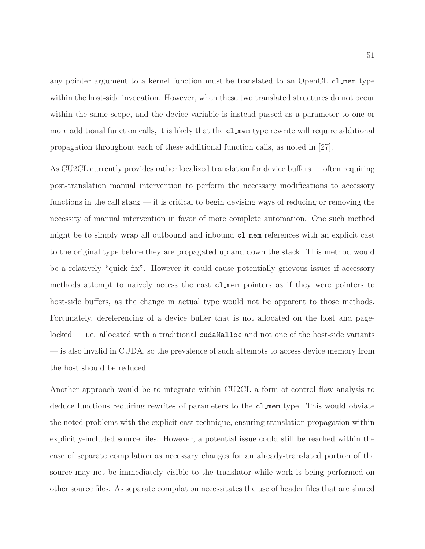any pointer argument to a kernel function must be translated to an OpenCL cl mem type within the host-side invocation. However, when these two translated structures do not occur within the same scope, and the device variable is instead passed as a parameter to one or more additional function calls, it is likely that the cl mem type rewrite will require additional propagation throughout each of these additional function calls, as noted in [\[27\]](#page-84-3).

As CU2CL currently provides rather localized translation for device buffers — often requiring post-translation manual intervention to perform the necessary modifications to accessory functions in the call stack — it is critical to begin devising ways of reducing or removing the necessity of manual intervention in favor of more complete automation. One such method might be to simply wrap all outbound and inbound cl mem references with an explicit cast to the original type before they are propagated up and down the stack. This method would be a relatively "quick fix". However it could cause potentially grievous issues if accessory methods attempt to naively access the cast cl mem pointers as if they were pointers to host-side buffers, as the change in actual type would not be apparent to those methods. Fortunately, dereferencing of a device buffer that is not allocated on the host and page $locked$  — i.e. allocated with a traditional cudaMalloc and not one of the host-side variants — is also invalid in CUDA, so the prevalence of such attempts to access device memory from the host should be reduced.

Another approach would be to integrate within CU2CL a form of control flow analysis to deduce functions requiring rewrites of parameters to the cl mem type. This would obviate the noted problems with the explicit cast technique, ensuring translation propagation within explicitly-included source files. However, a potential issue could still be reached within the case of separate compilation as necessary changes for an already-translated portion of the source may not be immediately visible to the translator while work is being performed on other source files. As separate compilation necessitates the use of header files that are shared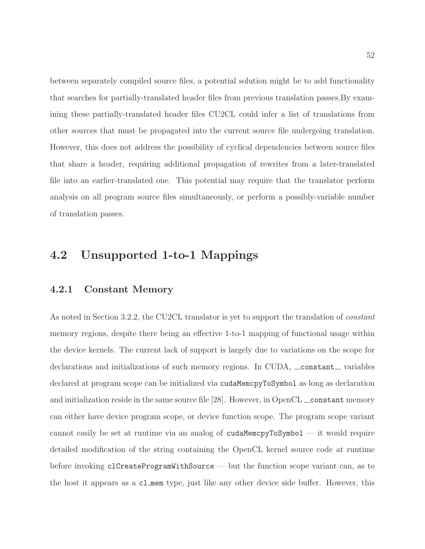between separately compiled source files, a potential solution might be to add functionality that searches for partially-translated header files from previous translation passes.By examining these partially-translated header files CU2CL could infer a list of translations from other sources that must be propagated into the current source file undergoing translation. However, this does not address the possibility of cyclical dependencies between source files that share a header, requiring additional propagation of rewrites from a later-translated file into an earlier-translated one. This potential may require that the translator perform analysis on all program source files simultaneously, or perform a possibly-variable number of translation passes.

## <span id="page-59-0"></span>4.2 Unsupported 1-to-1 Mappings

#### 4.2.1 Constant Memory

As noted in Section [3.2.2,](#page-44-1) the CU2CL translator is yet to support the translation of *constant* memory regions, despite there being an effective 1-to-1 mapping of functional usage within the device kernels. The current lack of support is largely due to variations on the scope for declarations and initializations of such memory regions. In CUDA,  $\_\_constant\_\_$  variables declared at program scope can be initialized via cudaMemcpyToSymbol as long as declaration and initialization reside in the same source file  $[28]$ . However, in OpenCL  $\_\_$ constant memory can either have device program scope, or device function scope. The program scope variant cannot easily be set at runtime via an analog of cudaMemcpyToSymbol  $-$  it would require detailed modification of the string containing the OpenCL kernel source code at runtime before invoking clCreateProgramWithSource — but the function scope variant can, as to the host it appears as a cl mem type, just like any other device side buffer. However, this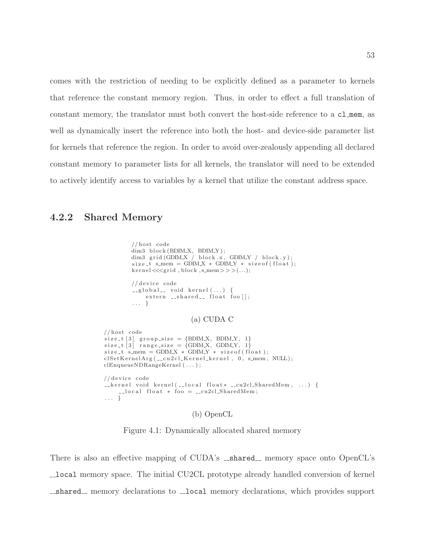comes with the restriction of needing to be explicitly defined as a parameter to kernels that reference the constant memory region. Thus, in order to effect a full translation of constant memory, the translator must both convert the host-side reference to a cl mem, as well as dynamically insert the reference into both the host- and device-side parameter list for kernels that reference the region. In order to avoid over-zealously appending all declared constant memory to parameter lists for all kernels, the translator will need to be extended to actively identify access to variables by a kernel that utilize the constant address space.

#### <span id="page-60-0"></span>4.2.2 Shared Memory

. . . }

```
// host codedim3 block (BDIM_X, BDIM_Y);
         dim3 grid(GDIMX / block.x, GDIMY / block.y);
         size_t simem = GDIM X * GDIM Y * size of (float);
         \text{kernel} \ll \ll \text{grid}, block , s_mem>>>(...);
        //device code
         \text{L-global}_- void kernel (\dots) {
             extern __shared__ float foo [];
         . . . }
                           (a) CUDA C
// host code
size_t[3] group_size = {BDIM_X, BDIM_Y, 1}
size_t [3] range_size = {GDIM.X, GDIM.Y, 1}size_t size-t s_mem = GDIM_X * GDIM_Y * size of (float);
clSetKernelArg([-cu2cl_Kernel_kernel, 0, s_{mem}, NULL);clEnqueueNDRangeKernel ( . . . ) ;
// device code
Lkernel void kernel(Llocal float* Lcu2cl_SharedMem, ...) {
```

```
\text{-} \text{local float} * \text{foo} = \text{-} \text{cu2cl-SharedMem};
```
#### (b) OpenCL

Figure 4.1: Dynamically allocated shared memory

There is also an effective mapping of CUDA's \_shared\_ memory space onto OpenCL's local memory space. The initial CU2CL prototype already handled conversion of kernel  $\text{\_}$ shared memory declarations to  $\text{\_}$ local memory declarations, which provides support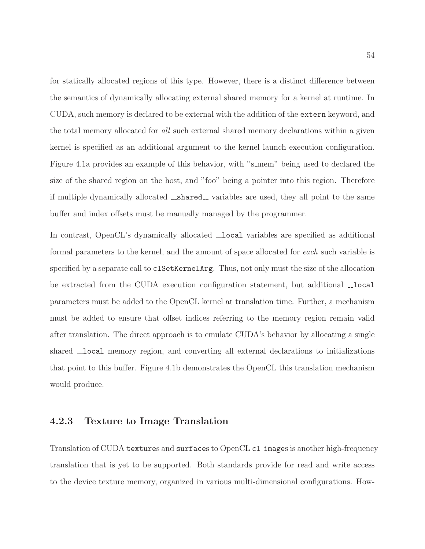for statically allocated regions of this type. However, there is a distinct difference between the semantics of dynamically allocating external shared memory for a kernel at runtime. In CUDA, such memory is declared to be external with the addition of the extern keyword, and the total memory allocated for all such external shared memory declarations within a given kernel is specified as an additional argument to the kernel launch execution configuration. Figure [4.1a](#page-60-0) provides an example of this behavior, with "s\_mem" being used to declared the size of the shared region on the host, and "foo" being a pointer into this region. Therefore if multiple dynamically allocated \_\_**shared**\_\_ variables are used, they all point to the same buffer and index offsets must be manually managed by the programmer.

In contrast, OpenCL's dynamically allocated  $\Box$ local variables are specified as additional formal parameters to the kernel, and the amount of space allocated for each such variable is specified by a separate call to clSetKernelArg. Thus, not only must the size of the allocation be extracted from the CUDA execution configuration statement, but additional  $\lnot$ local parameters must be added to the OpenCL kernel at translation time. Further, a mechanism must be added to ensure that offset indices referring to the memory region remain valid after translation. The direct approach is to emulate CUDA's behavior by allocating a single shared  $\Box$ local memory region, and converting all external declarations to initializations that point to this buffer. Figure [4.1b](#page-60-0) demonstrates the OpenCL this translation mechanism would produce.

#### 4.2.3 Texture to Image Translation

Translation of CUDA textures and surfaces to OpenCL cl images is another high-frequency translation that is yet to be supported. Both standards provide for read and write access to the device texture memory, organized in various multi-dimensional configurations. How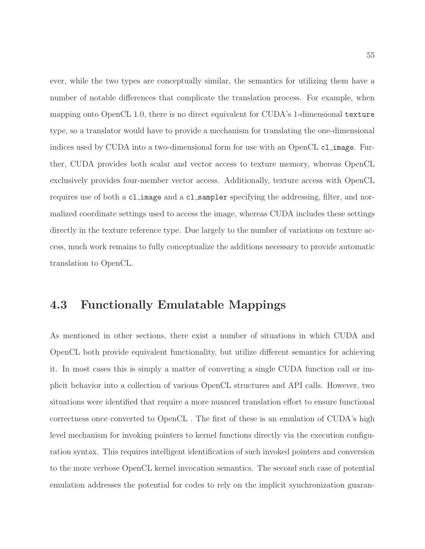ever, while the two types are conceptually similar, the semantics for utilizing them have a number of notable differences that complicate the translation process. For example, when mapping onto OpenCL 1.0, there is no direct equivalent for CUDA's 1-dimensional texture type, so a translator would have to provide a mechanism for translating the one-dimensional indices used by CUDA into a two-dimensional form for use with an OpenCL cl image. Further, CUDA provides both scalar and vector access to texture memory, whereas OpenCL exclusively provides four-member vector access. Additionally, texture access with OpenCL requires use of both a cl image and a cl sampler specifying the addressing, filter, and normalized coordinate settings used to access the image, whereas CUDA includes these settings directly in the texture reference type. Due largely to the number of variations on texture access, much work remains to fully conceptualize the additions necessary to provide automatic translation to OpenCL.

# 4.3 Functionally Emulatable Mappings

As mentioned in other sections, there exist a number of situations in which CUDA and OpenCL both provide equivalent functionality, but utilize different semantics for achieving it. In most cases this is simply a matter of converting a single CUDA function call or implicit behavior into a collection of various OpenCL structures and API calls. However, two situations were identified that require a more nuanced translation effort to ensure functional correctness once converted to OpenCL . The first of these is an emulation of CUDA's high level mechanism for invoking pointers to kernel functions directly via the execution configuration syntax. This requires intelligent identification of such invoked pointers and conversion to the more verbose OpenCL kernel invocation semantics. The second such case of potential emulation addresses the potential for codes to rely on the implicit synchronization guaran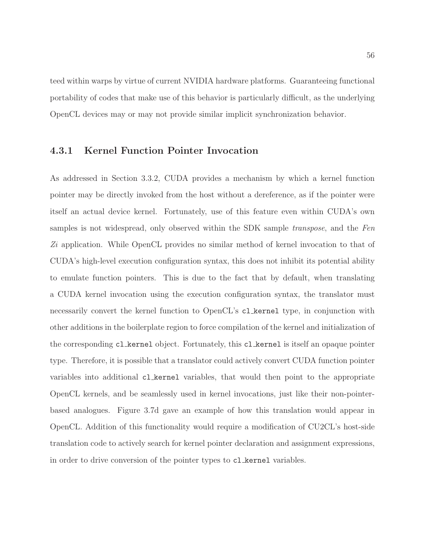teed within warps by virtue of current NVIDIA hardware platforms. Guaranteeing functional portability of codes that make use of this behavior is particularly difficult, as the underlying OpenCL devices may or may not provide similar implicit synchronization behavior.

#### 4.3.1 Kernel Function Pointer Invocation

As addressed in Section [3.3.2,](#page-51-0) CUDA provides a mechanism by which a kernel function pointer may be directly invoked from the host without a dereference, as if the pointer were itself an actual device kernel. Fortunately, use of this feature even within CUDA's own samples is not widespread, only observed within the SDK sample transpose, and the Fen Zi application. While OpenCL provides no similar method of kernel invocation to that of CUDA's high-level execution configuration syntax, this does not inhibit its potential ability to emulate function pointers. This is due to the fact that by default, when translating a CUDA kernel invocation using the execution configuration syntax, the translator must necessarily convert the kernel function to OpenCL's cl kernel type, in conjunction with other additions in the boilerplate region to force compilation of the kernel and initialization of the corresponding cl kernel object. Fortunately, this cl kernel is itself an opaque pointer type. Therefore, it is possible that a translator could actively convert CUDA function pointer variables into additional cl kernel variables, that would then point to the appropriate OpenCL kernels, and be seamlessly used in kernel invocations, just like their non-pointerbased analogues. Figure [3.7d](#page-52-0) gave an example of how this translation would appear in OpenCL. Addition of this functionality would require a modification of CU2CL's host-side translation code to actively search for kernel pointer declaration and assignment expressions, in order to drive conversion of the pointer types to cl kernel variables.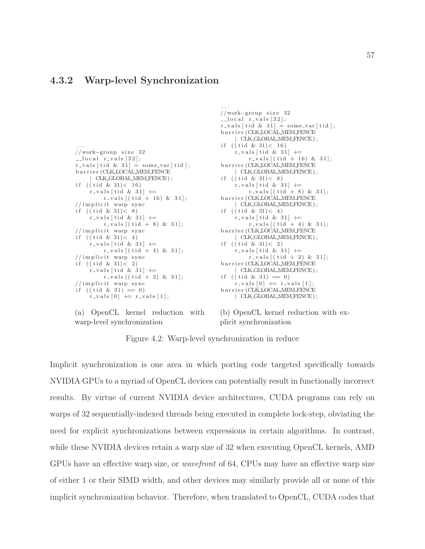#### <span id="page-64-0"></span>4.3.2 Warp-level Synchronization

```
. . .
//work−group s i z e 32
\text{\textendash} r_vals [32];
r_{\text{ivals}} [ tid & 31] = some_var [ tid ];
barrier (CLK LOCAL MEM FENCE
      CLK_GLOBAL_MEM_FENCE);
if (( tid & 31) < 16)
     r_v = vals [ tid & 31] \pmr_{\text{vals}}[(tid + 16) & 31];// implicit warp sync
if (( tid & 31) < 8)r-vals [tid & 31] +=
          r_{\text{-}vals} [(tid + 8) & 31];// implicit warp sync
if (( tid & 31) < 4)r-vals [tid & 31] +=
          r_{\text{iv}} r s [ ( tid + 4) & 31];
// im plicit warp sync
if (( tid & 31) < 2)r_{\text{-}vals} [ tid & 31] +=
          r_{\text{-}vals} [ ( tid + 2) & 31];
// implicit warp syncif ((\text{tid } \& 31) = 0)r_v = vals [0] += r_vals [1];
```
(a) OpenCL kernel reduction with warp-level synchronization

//work−group s i z e 32  $\lceil -\log a \rceil$  r vals  $\lceil 32 \rceil$ ;  $r_v = vals$  [ tid & 31] = some\_var [ tid ]; b a r r i e r (CLK LOCAL MEM FENCE | CLK GLOBAL MEM FENCE ) ; if  $(($  tid & 31 $) < 16$  $r$ -vals [tid & 31]  $+=$  $r_{\text{-}vals}$  [ ( tid + 16) & 31]; barrier (CLK\_LOCAL\_MEM\_FENCE CLK\_GLOBAL\_MEM\_FENCE); if  $(($  tid & 31 $) < 8)$  $r_v$  vals [tid & 31]  $+=$  $r_{\text{-}vals}$  [ ( tid + 8) & 31]; barrier (CLK\_LOCAL\_MEM\_FENCE CLK\_GLOBAL\_MEM\_FENCE); if  $(($  tid & 31 $) < 4)$  $r$ -vals [tid & 31]  $+=$  $r_{\text{-}vals}[(tid + 4) & 31];$ b a r r i e r (CLK LOCAL MEM FENCE CLK\_GLOBAL\_MEM\_FENCE); if  $(($  tid & 31 $) < 2)$  $r$ -vals [tid & 31]  $+=$  $r_{\text{-}v}$  als  $[(tid + 2) & 31];$ barrier (CLK\_LOCAL\_MEM\_FENCE CLK\_GLOBAL\_MEM\_FENCE); if  $(($  tid & 31 $) = 0)$  $\text{r-values}$  [0]  $\text{+=}$   $\text{r-values}$  [1]; barrier (CLK LOCAL MEM FENCE | CLK GLOBAL MEM FENCE ) ;

(b) OpenCL kernel reduction with explicit synchronization

Figure 4.2: Warp-level synchronization in reduce

. . .

Implicit synchronization is one area in which porting code targeted specifically towards NVIDIA GPUs to a myriad of OpenCL devices can potentially result in functionally incorrect results. By virtue of current NVIDIA device architectures, CUDA programs can rely on warps of 32 sequentially-indexed threads being executed in complete lock-step, obviating the need for explicit synchronizations between expressions in certain algorithms. In contrast, while these NVIDIA devices retain a warp size of 32 when executing OpenCL kernels, AMD GPUs have an effective warp size, or wavefront of 64, CPUs may have an effective warp size of either 1 or their SIMD width, and other devices may similarly provide all or none of this implicit synchronization behavior. Therefore, when translated to OpenCL, CUDA codes that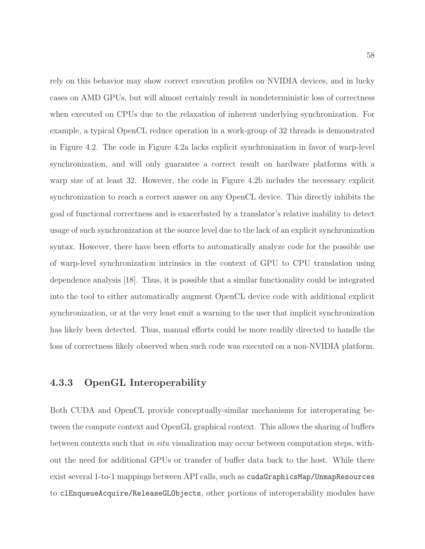rely on this behavior may show correct execution profiles on NVIDIA devices, and in lucky cases on AMD GPUs, but will almost certainly result in nondeterministic loss of correctness when executed on CPUs due to the relaxation of inherent underlying synchronization. For example, a typical OpenCL reduce operation in a work-group of 32 threads is demonstrated in Figure [4.2.](#page-64-0) The code in Figure [4.2a](#page-64-0) lacks explicit synchronization in favor of warp-level synchronization, and will only guarantee a correct result on hardware platforms with a warp size of at least 32. However, the code in Figure [4.2b](#page-64-0) includes the necessary explicit synchronization to reach a correct answer on any OpenCL device. This directly inhibits the goal of functional correctness and is exacerbated by a translator's relative inability to detect usage of such synchronization at the source level due to the lack of an explicit synchronization syntax. However, there have been efforts to automatically analyze code for the possible use of warp-level synchronization intrinsics in the context of GPU to CPU translation using dependence analysis [\[18\]](#page-83-0). Thus, it is possible that a similar functionality could be integrated into the tool to either automatically augment OpenCL device code with additional explicit synchronization, or at the very least emit a warning to the user that implicit synchronization has likely been detected. Thus, manual efforts could be more readily directed to handle the loss of correctness likely observed when such code was executed on a non-NVIDIA platform.

#### 4.3.3 OpenGL Interoperability

Both CUDA and OpenCL provide conceptually-similar mechanisms for interoperating between the compute context and OpenGL graphical context. This allows the sharing of buffers between contexts such that in situ visualization may occur between computation steps, without the need for additional GPUs or transfer of buffer data back to the host. While there exist several 1-to-1 mappings between API calls, such as cudaGraphicsMap/UnmapResources to clEnqueueAcquire/ReleaseGLObjects, other portions of interoperability modules have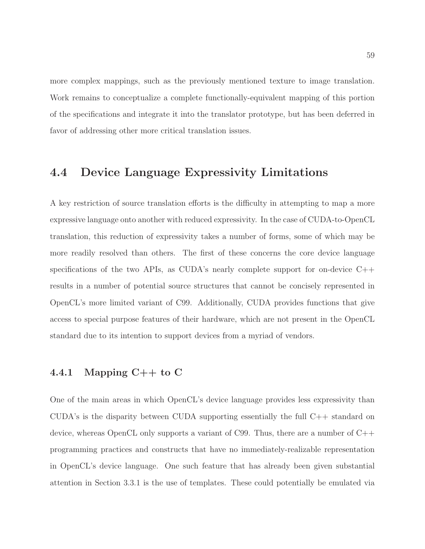more complex mappings, such as the previously mentioned texture to image translation. Work remains to conceptualize a complete functionally-equivalent mapping of this portion of the specifications and integrate it into the translator prototype, but has been deferred in favor of addressing other more critical translation issues.

# 4.4 Device Language Expressivity Limitations

A key restriction of source translation efforts is the difficulty in attempting to map a more expressive language onto another with reduced expressivity. In the case of CUDA-to-OpenCL translation, this reduction of expressivity takes a number of forms, some of which may be more readily resolved than others. The first of these concerns the core device language specifications of the two APIs, as CUDA's nearly complete support for on-device  $C++$ results in a number of potential source structures that cannot be concisely represented in OpenCL's more limited variant of C99. Additionally, CUDA provides functions that give access to special purpose features of their hardware, which are not present in the OpenCL standard due to its intention to support devices from a myriad of vendors.

## 4.4.1 Mapping  $C++$  to C

One of the main areas in which OpenCL's device language provides less expressivity than CUDA's is the disparity between CUDA supporting essentially the full  $C_{++}$  standard on device, whereas OpenCL only supports a variant of C99. Thus, there are a number of C++ programming practices and constructs that have no immediately-realizable representation in OpenCL's device language. One such feature that has already been given substantial attention in Section [3.3.1](#page-50-0) is the use of templates. These could potentially be emulated via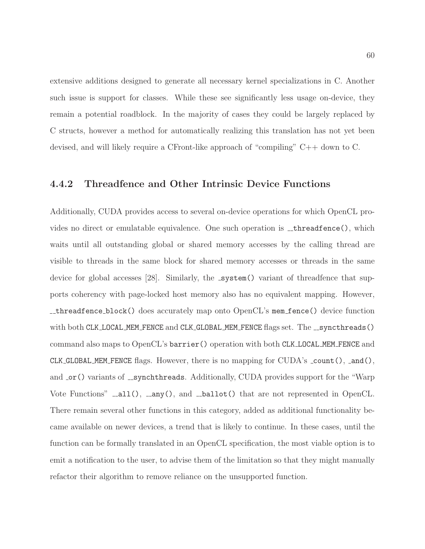extensive additions designed to generate all necessary kernel specializations in C. Another such issue is support for classes. While these see significantly less usage on-device, they remain a potential roadblock. In the majority of cases they could be largely replaced by C structs, however a method for automatically realizing this translation has not yet been devised, and will likely require a CFront-like approach of "compiling" C++ down to C.

#### 4.4.2 Threadfence and Other Intrinsic Device Functions

Additionally, CUDA provides access to several on-device operations for which OpenCL provides no direct or emulatable equivalence. One such operation is  $\Box$  threadfence(), which waits until all outstanding global or shared memory accesses by the calling thread are visible to threads in the same block for shared memory accesses or threads in the same device for global accesses  $[28]$ . Similarly, the  $\text{system}()$  variant of threadfence that supports coherency with page-locked host memory also has no equivalent mapping. However, threadfence block() does accurately map onto OpenCL's mem fence() device function with both CLK\_LOCAL\_MEM\_FENCE and CLK\_GLOBAL\_MEM\_FENCE flags set. The \_\_syncthreads() command also maps to OpenCL's barrier() operation with both CLK LOCAL MEM FENCE and CLK GLOBAL MEM FENCE flags. However, there is no mapping for  $\text{CUDA's }$  \_count(), \_and(), and  $\text{or}$  () variants of  $\text{--synchthreads}$ . Additionally, CUDA provides support for the "Warp Vote Functions"  $\text{\_all}($ ,  $\text{\_any}()$ , and  $\text{\_ballot}()$  that are not represented in OpenCL. There remain several other functions in this category, added as additional functionality became available on newer devices, a trend that is likely to continue. In these cases, until the function can be formally translated in an OpenCL specification, the most viable option is to emit a notification to the user, to advise them of the limitation so that they might manually refactor their algorithm to remove reliance on the unsupported function.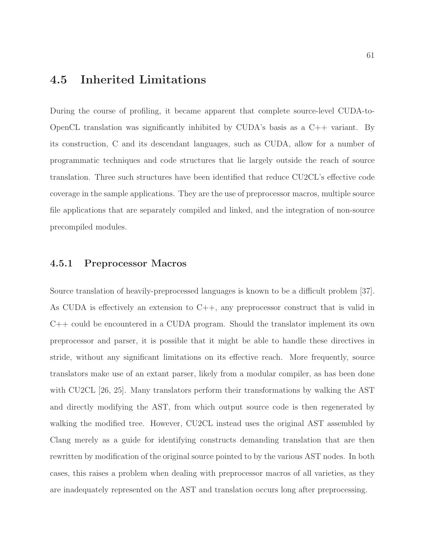# 4.5 Inherited Limitations

During the course of profiling, it became apparent that complete source-level CUDA-to-OpenCL translation was significantly inhibited by CUDA's basis as a C++ variant. By its construction, C and its descendant languages, such as CUDA, allow for a number of programmatic techniques and code structures that lie largely outside the reach of source translation. Three such structures have been identified that reduce CU2CL's effective code coverage in the sample applications. They are the use of preprocessor macros, multiple source file applications that are separately compiled and linked, and the integration of non-source precompiled modules.

#### 4.5.1 Preprocessor Macros

Source translation of heavily-preprocessed languages is known to be a difficult problem [\[37\]](#page-85-2). As CUDA is effectively an extension to C++, any preprocessor construct that is valid in C++ could be encountered in a CUDA program. Should the translator implement its own preprocessor and parser, it is possible that it might be able to handle these directives in stride, without any significant limitations on its effective reach. More frequently, source translators make use of an extant parser, likely from a modular compiler, as has been done with CU2CL [\[26,](#page-84-1) [25\]](#page-84-2). Many translators perform their transformations by walking the AST and directly modifying the AST, from which output source code is then regenerated by walking the modified tree. However, CU2CL instead uses the original AST assembled by Clang merely as a guide for identifying constructs demanding translation that are then rewritten by modification of the original source pointed to by the various AST nodes. In both cases, this raises a problem when dealing with preprocessor macros of all varieties, as they are inadequately represented on the AST and translation occurs long after preprocessing.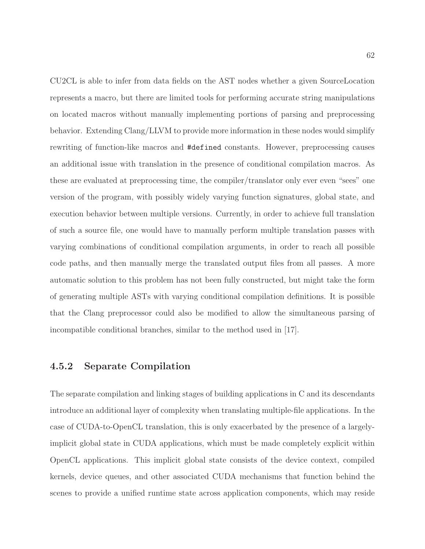CU2CL is able to infer from data fields on the AST nodes whether a given SourceLocation represents a macro, but there are limited tools for performing accurate string manipulations on located macros without manually implementing portions of parsing and preprocessing behavior. Extending Clang/LLVM to provide more information in these nodes would simplify rewriting of function-like macros and #defined constants. However, preprocessing causes an additional issue with translation in the presence of conditional compilation macros. As these are evaluated at preprocessing time, the compiler/translator only ever even "sees" one version of the program, with possibly widely varying function signatures, global state, and execution behavior between multiple versions. Currently, in order to achieve full translation of such a source file, one would have to manually perform multiple translation passes with varying combinations of conditional compilation arguments, in order to reach all possible code paths, and then manually merge the translated output files from all passes. A more automatic solution to this problem has not been fully constructed, but might take the form of generating multiple ASTs with varying conditional compilation definitions. It is possible that the Clang preprocessor could also be modified to allow the simultaneous parsing of incompatible conditional branches, similar to the method used in [\[17\]](#page-83-1).

#### 4.5.2 Separate Compilation

The separate compilation and linking stages of building applications in C and its descendants introduce an additional layer of complexity when translating multiple-file applications. In the case of CUDA-to-OpenCL translation, this is only exacerbated by the presence of a largelyimplicit global state in CUDA applications, which must be made completely explicit within OpenCL applications. This implicit global state consists of the device context, compiled kernels, device queues, and other associated CUDA mechanisms that function behind the scenes to provide a unified runtime state across application components, which may reside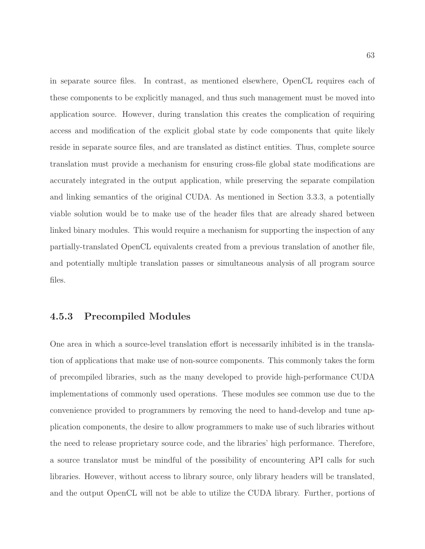in separate source files. In contrast, as mentioned elsewhere, OpenCL requires each of these components to be explicitly managed, and thus such management must be moved into application source. However, during translation this creates the complication of requiring access and modification of the explicit global state by code components that quite likely reside in separate source files, and are translated as distinct entities. Thus, complete source translation must provide a mechanism for ensuring cross-file global state modifications are accurately integrated in the output application, while preserving the separate compilation and linking semantics of the original CUDA. As mentioned in Section [3.3.3,](#page-53-0) a potentially viable solution would be to make use of the header files that are already shared between linked binary modules. This would require a mechanism for supporting the inspection of any partially-translated OpenCL equivalents created from a previous translation of another file, and potentially multiple translation passes or simultaneous analysis of all program source files.

#### 4.5.3 Precompiled Modules

One area in which a source-level translation effort is necessarily inhibited is in the translation of applications that make use of non-source components. This commonly takes the form of precompiled libraries, such as the many developed to provide high-performance CUDA implementations of commonly used operations. These modules see common use due to the convenience provided to programmers by removing the need to hand-develop and tune application components, the desire to allow programmers to make use of such libraries without the need to release proprietary source code, and the libraries' high performance. Therefore, a source translator must be mindful of the possibility of encountering API calls for such libraries. However, without access to library source, only library headers will be translated, and the output OpenCL will not be able to utilize the CUDA library. Further, portions of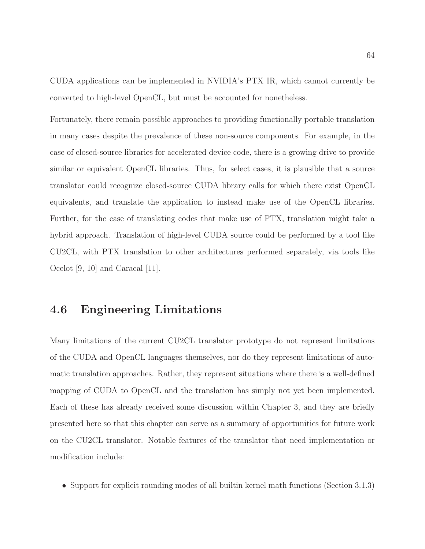CUDA applications can be implemented in NVIDIA's PTX IR, which cannot currently be converted to high-level OpenCL, but must be accounted for nonetheless.

Fortunately, there remain possible approaches to providing functionally portable translation in many cases despite the prevalence of these non-source components. For example, in the case of closed-source libraries for accelerated device code, there is a growing drive to provide similar or equivalent OpenCL libraries. Thus, for select cases, it is plausible that a source translator could recognize closed-source CUDA library calls for which there exist OpenCL equivalents, and translate the application to instead make use of the OpenCL libraries. Further, for the case of translating codes that make use of PTX, translation might take a hybrid approach. Translation of high-level CUDA source could be performed by a tool like CU2CL, with PTX translation to other architectures performed separately, via tools like Ocelot [\[9,](#page-83-2) [10\]](#page-83-3) and Caracal [\[11\]](#page-83-4).

# 4.6 Engineering Limitations

Many limitations of the current CU2CL translator prototype do not represent limitations of the CUDA and OpenCL languages themselves, nor do they represent limitations of automatic translation approaches. Rather, they represent situations where there is a well-defined mapping of CUDA to OpenCL and the translation has simply not yet been implemented. Each of these has already received some discussion within Chapter [3,](#page-33-0) and they are briefly presented here so that this chapter can serve as a summary of opportunities for future work on the CU2CL translator. Notable features of the translator that need implementation or modification include:

• Support for explicit rounding modes of all builtin kernel math functions (Section [3.1.3\)](#page-36-0)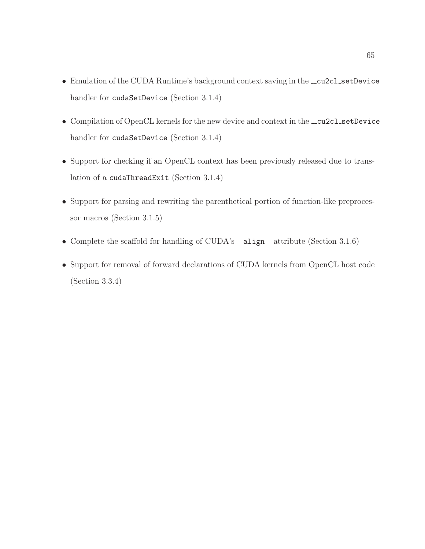- Emulation of the CUDA Runtime's background context saving in the \_cu2cl\_setDevice handler for cudaSetDevice (Section [3.1.4\)](#page-37-0)
- Compilation of OpenCL kernels for the new device and context in the \_cu2cl\_setDevice handler for cudaSetDevice (Section [3.1.4\)](#page-37-0)
- Support for checking if an OpenCL context has been previously released due to translation of a cudaThreadExit (Section [3.1.4\)](#page-37-0)
- Support for parsing and rewriting the parenthetical portion of function-like preprocessor macros (Section [3.1.5\)](#page-38-0)
- Complete the scaffold for handling of CUDA's  $\text{\_}align{\_}$  attribute (Section [3.1.6\)](#page-41-0)
- Support for removal of forward declarations of CUDA kernels from OpenCL host code (Section [3.3.4\)](#page-54-0)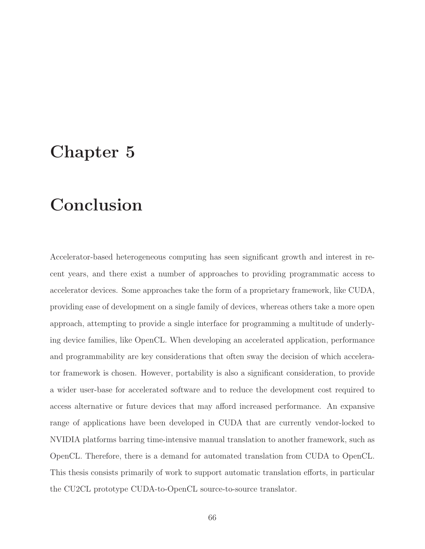## Chapter 5

## Conclusion

Accelerator-based heterogeneous computing has seen significant growth and interest in recent years, and there exist a number of approaches to providing programmatic access to accelerator devices. Some approaches take the form of a proprietary framework, like CUDA, providing ease of development on a single family of devices, whereas others take a more open approach, attempting to provide a single interface for programming a multitude of underlying device families, like OpenCL. When developing an accelerated application, performance and programmability are key considerations that often sway the decision of which accelerator framework is chosen. However, portability is also a significant consideration, to provide a wider user-base for accelerated software and to reduce the development cost required to access alternative or future devices that may afford increased performance. An expansive range of applications have been developed in CUDA that are currently vendor-locked to NVIDIA platforms barring time-intensive manual translation to another framework, such as OpenCL. Therefore, there is a demand for automated translation from CUDA to OpenCL. This thesis consists primarily of work to support automatic translation efforts, in particular the CU2CL prototype CUDA-to-OpenCL source-to-source translator.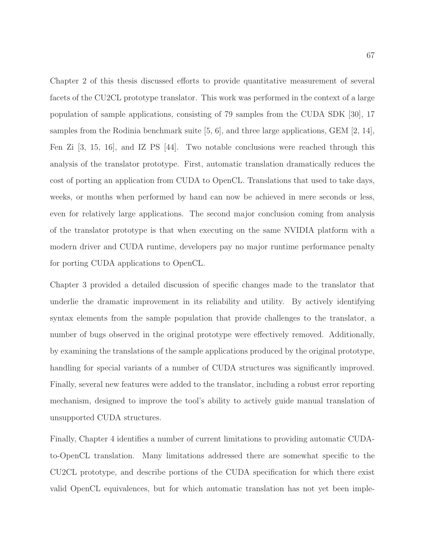Chapter [2](#page-21-0) of this thesis discussed efforts to provide quantitative measurement of several facets of the CU2CL prototype translator. This work was performed in the context of a large population of sample applications, consisting of 79 samples from the CUDA SDK [\[30\]](#page-84-0), 17 samples from the Rodinia benchmark suite [\[5,](#page-82-0) [6\]](#page-82-1), and three large applications, GEM [\[2,](#page-82-2) [14\]](#page-83-0), Fen Zi [\[3,](#page-82-3) [15,](#page-83-1) [16\]](#page-83-2), and IZ PS [\[44\]](#page-86-0). Two notable conclusions were reached through this analysis of the translator prototype. First, automatic translation dramatically reduces the cost of porting an application from CUDA to OpenCL. Translations that used to take days, weeks, or months when performed by hand can now be achieved in mere seconds or less, even for relatively large applications. The second major conclusion coming from analysis of the translator prototype is that when executing on the same NVIDIA platform with a modern driver and CUDA runtime, developers pay no major runtime performance penalty for porting CUDA applications to OpenCL.

Chapter [3](#page-33-0) provided a detailed discussion of specific changes made to the translator that underlie the dramatic improvement in its reliability and utility. By actively identifying syntax elements from the sample population that provide challenges to the translator, a number of bugs observed in the original prototype were effectively removed. Additionally, by examining the translations of the sample applications produced by the original prototype, handling for special variants of a number of CUDA structures was significantly improved. Finally, several new features were added to the translator, including a robust error reporting mechanism, designed to improve the tool's ability to actively guide manual translation of unsupported CUDA structures.

Finally, Chapter [4](#page-56-0) identifies a number of current limitations to providing automatic CUDAto-OpenCL translation. Many limitations addressed there are somewhat specific to the CU2CL prototype, and describe portions of the CUDA specification for which there exist valid OpenCL equivalences, but for which automatic translation has not yet been imple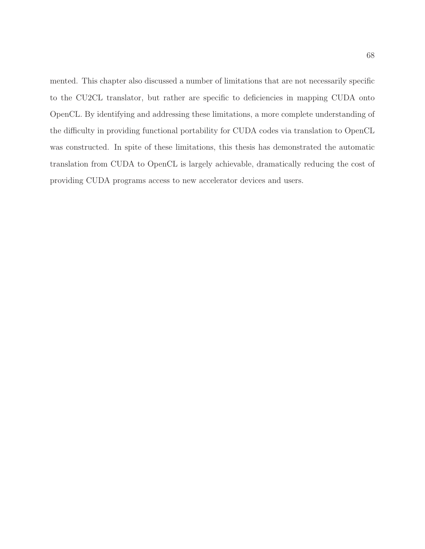mented. This chapter also discussed a number of limitations that are not necessarily specific to the CU2CL translator, but rather are specific to deficiencies in mapping CUDA onto OpenCL. By identifying and addressing these limitations, a more complete understanding of the difficulty in providing functional portability for CUDA codes via translation to OpenCL was constructed. In spite of these limitations, this thesis has demonstrated the automatic translation from CUDA to OpenCL is largely achievable, dramatically reducing the cost of providing CUDA programs access to new accelerator devices and users.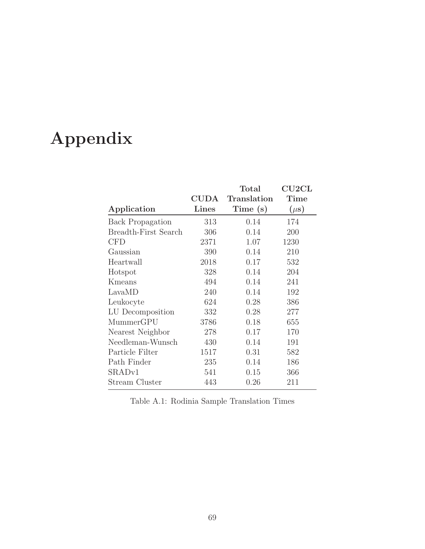## Appendix

|                             | $\rm CUDA$   | Total<br><b>Translation</b> | $\rm C U2 C L$<br>Time |
|-----------------------------|--------------|-----------------------------|------------------------|
| Application                 | <b>Lines</b> | Time (s)                    | $(\mu s)$              |
| <b>Back Propagation</b>     | 313          | 0.14                        | 174                    |
| <b>Breadth-First Search</b> | 306          | 0.14                        | 200                    |
| <b>CFD</b>                  | 2371         | 1.07                        | 1230                   |
| Gaussian                    | 390          | 0.14                        | 210                    |
| Heartwall                   | 2018         | 0.17                        | 532                    |
| Hotspot                     | 328          | 0.14                        | 204                    |
| Kmeans                      | 494          | 0.14                        | 241                    |
| LavaMD                      | 240          | 0.14                        | 192                    |
| Leukocyte                   | 624          | 0.28                        | 386                    |
| LU Decomposition            | 332          | 0.28                        | 277                    |
| MummerGPU                   | 3786         | 0.18                        | 655                    |
| Nearest Neighbor            | 278          | 0.17                        | 170                    |
| Needleman-Wunsch            | 430          | 0.14                        | 191                    |
| Particle Filter             | 1517         | 0.31                        | 582                    |
| Path Finder                 | 235          | 0.14                        | 186                    |
| SRAD <sub>v1</sub>          | 541          | 0.15                        | 366                    |
| Stream Cluster              | 443          | 0.26                        | 211                    |

Table A.1: Rodinia Sample Translation Times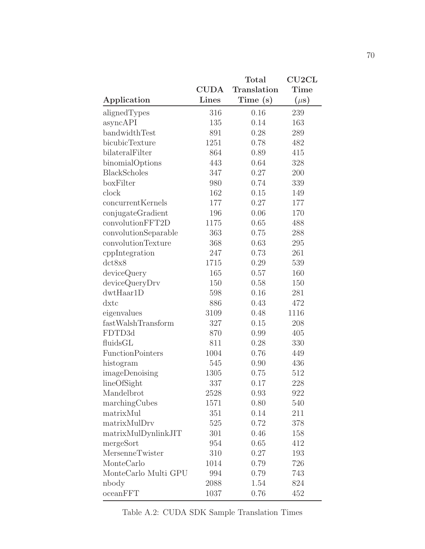|                         |              | Total       | CU2CL     |
|-------------------------|--------------|-------------|-----------|
|                         | <b>CUDA</b>  | Translation | Time      |
| Application             | <b>Lines</b> | Time(s)     | $(\mu s)$ |
| alignedTypes            | 316          | 0.16        | 239       |
| asyncAPI                | 135          | 0.14        | 163       |
| bandwidthTest           | 891          | 0.28        | 289       |
| bicubicTexture          | 1251         | 0.78        | 482       |
| bilateralFilter         | 864          | 0.89        | 415       |
| binomialOptions         | 443          | 0.64        | 328       |
| <b>BlackScholes</b>     | 347          | 0.27        | 200       |
| boxFilter               | 980          | 0.74        | 339       |
| clock                   | 162          | 0.15        | 149       |
| concurrentKernels       | 177          | 0.27        | 177       |
| conjugateGradient       | 196          | 0.06        | 170       |
| convolutionFFT2D        | 1175         | 0.65        | 488       |
| convolutionSeparable    | 363          | 0.75        | 288       |
| convolutionTexture      | 368          | 0.63        | 295       |
| cppIntegration          | 247          | 0.73        | 261       |
| dct8x8                  | 1715         | 0.29        | 539       |
| deviceQuery             | 165          | 0.57        | 160       |
| deviceQueryDrv          | 150          | 0.58        | 150       |
| dwtHaar1D               | 598          | 0.16        | 281       |
| $dx$ tc                 | 886          | 0.43        | 472       |
| eigenvalues             | 3109         | 0.48        | 1116      |
| fastWalshTransform      | 327          | 0.15        | 208       |
| FDTD3d                  | 870          | 0.99        | 405       |
| fluidsGL                | 811          | 0.28        | 330       |
| <b>FunctionPointers</b> | 1004         | 0.76        | 449       |
| histogram               | 545          | 0.90        | 436       |
| imageDenoising          | 1305         | 0.75        | 512       |
| lineOfSight             | 337          | 0.17        | 228       |
| Mandelbrot              | 2528         | 0.93        | 922       |
| marchingCubes           | 1571         | 0.80        | 540       |
| matrixMul               | 351          | 0.14        | 211       |
| matrixMulDrv            | 525          | 0.72        | 378       |
| matrixMulDynlinkJIT     | 301          | 0.46        | 158       |
| mergeSort               | 954          | 0.65        | 412       |
| MersenneTwister         | 310          | 0.27        | 193       |
| MonteCarlo              | 1014         | 0.79        | 726       |
| MonteCarlo Multi GPU    | 994          | 0.79        | 743       |
| nbody                   | 2088         | 1.54        | 824       |
| ocean FFT               | 1037         | 0.76        | 452       |

Table A.2: CUDA SDK Sample Translation Times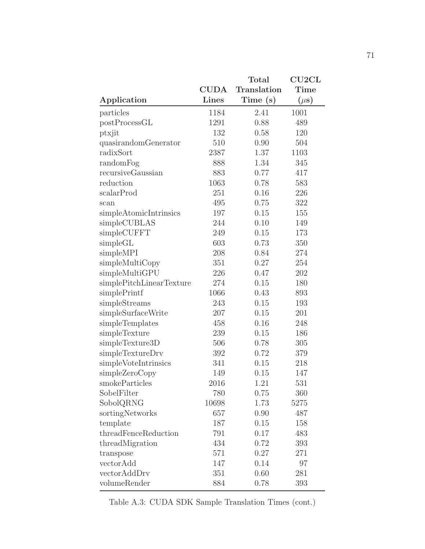|                          |              | $\rm Total$ | $\rm C U2 C L$ |
|--------------------------|--------------|-------------|----------------|
|                          | <b>CUDA</b>  | Translation | Time           |
| Application              | <b>Lines</b> | Time (s)    | $(\mu s)$      |
| particles                | 1184         | 2.41        | 1001           |
| postProcessGL            | 1291         | 0.88        | 489            |
| ptxjit                   | 132          | 0.58        | 120            |
| quasirandomGenerator     | 510          | 0.90        | 504            |
| radixSort                | 2387         | 1.37        | 1103           |
| randomFog                | 888          | 1.34        | 345            |
| recursiveGaussian        | 883          | 0.77        | 417            |
| reduction                | 1063         | 0.78        | 583            |
| scalarProd               | 251          | 0.16        | 226            |
| scan                     | 495          | 0.75        | 322            |
| simpleAtomicIntrinsics   | 197          | 0.15        | 155            |
| simpleCUBLAS             | 244          | 0.10        | 149            |
| simpleCUFFT              | 249          | 0.15        | 173            |
| simpleGL                 | 603          | 0.73        | 350            |
| simpleMPI                | 208          | 0.84        | 274            |
| simpleMultiCopy          | 351          | 0.27        | 254            |
| simpleMultiGPU           | 226          | 0.47        | 202            |
| simplePitchLinearTexture | 274          | 0.15        | 180            |
| simplePrintf             | 1066         | 0.43        | 893            |
| simpleStreams            | 243          | 0.15        | 193            |
| simpleSurfaceWrite       | 207          | 0.15        | 201            |
| simpleTemplates          | 458          | 0.16        | 248            |
| simpleTexture            | 239          | 0.15        | 186            |
| simpleTexture3D          | 506          | 0.78        | 305            |
| simpleTextureDrv         | 392          | 0.72        | 379            |
| simpleVoteIntrinsics     | 341          | 0.15        | 218            |
| simpleZeroCopy           | 149          | 0.15        | 147            |
| smokeParticles           | 2016         | 1.21        | 531            |
| SobelFilter              | 780          | 0.75        | 360            |
| SobolQRNG                | 10698        | 1.73        | 5275           |
| sortingNetworks          | 657          | 0.90        | 487            |
| template                 | 187          | 0.15        | 158            |
| threadFenceReduction     | 791          | 0.17        | 483            |
| threadMigration          | 434          | 0.72        | 393            |
| transpose                | 571          | 0.27        | 271            |
| vectorAdd                | 147          | 0.14        | 97             |
| vectorAddDrv             | 351          | 0.60        | 281            |
| volumeRender             | 884          | 0.78        | 393            |

Table A.3: CUDA SDK Sample Translation Times (cont.)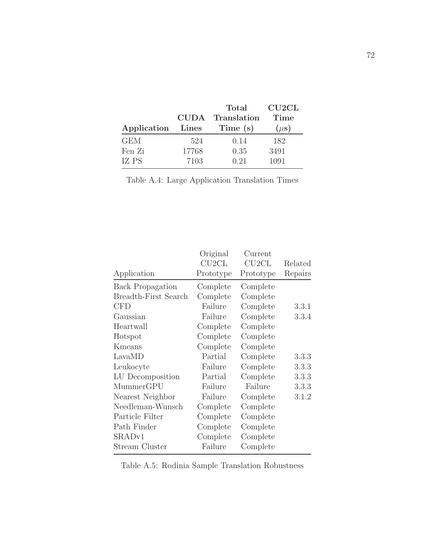| CUDA. | Translation | Time      |
|-------|-------------|-----------|
| Lines | Time (s)    | $(\mu s)$ |
| 524   | 0.14        | 182       |
| 17768 | 0.35        | 3491      |
| 7103  | 0.21        | 1091      |
|       |             |           |

|  | Table A.4: Large Application Translation Times |  |
|--|------------------------------------------------|--|

|                         | Original  | Current   |         |
|-------------------------|-----------|-----------|---------|
|                         | CU2CL     | CU2CL     | Related |
| Application             | Prototype | Prototype | Repairs |
| <b>Back Propagation</b> | Complete  | Complete  |         |
| Breadth-First Search    | Complete  | Complete  |         |
| <b>CFD</b>              | Failure   | Complete  | 3.3.1   |
| Gaussian                | Failure   | Complete  | 3.3.4   |
| Heartwall               | Complete  | Complete  |         |
| Hotspot                 | Complete  | Complete  |         |
| Kmeans                  | Complete  | Complete  |         |
| LavaMD                  | Partial   | Complete  | 3.3.3   |
| Leukocyte               | Failure   | Complete  | 3.3.3   |
| LU Decomposition        | Partial   | Complete  | 3.3.3   |
| MummerGPU               | Failure   | Failure   | 3.3.3   |
| Nearest Neighbor        | Failure   | Complete  | 3.1.2   |
| Needleman-Wunsch        | Complete  | Complete  |         |
| Particle Filter         | Complete  | Complete  |         |
| Path Finder             | Complete  | Complete  |         |
| SRAD <sub>v1</sub>      | Complete  | Complete  |         |
| Stream Cluster          | Failure   | Complete  |         |

Table A.5: Rodinia Sample Translation Robustness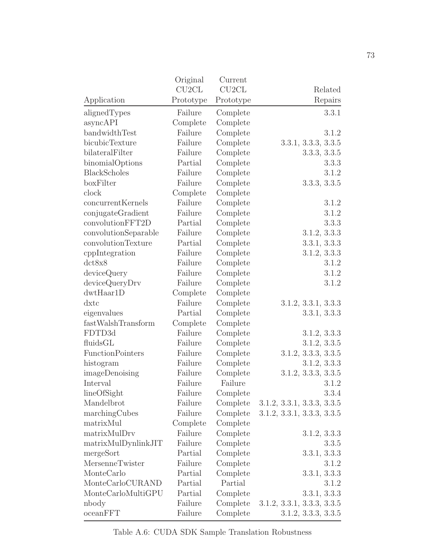|                         | Original           | Current            |                            |
|-------------------------|--------------------|--------------------|----------------------------|
|                         | CU <sub>2</sub> CL | CU <sub>2</sub> CL | Related                    |
| Application             | Prototype          | Prototype          | Repairs                    |
| alignedTypes            | Failure            | Complete           | 3.3.1                      |
| asyncAPI                | Complete           | Complete           |                            |
| bandwidthTest           | Failure            | Complete           | 3.1.2                      |
| bicubicTexture          | Failure            | Complete           | 3.3.1, 3.3.3, 3.3.5        |
| bilateralFilter         | Failure            | Complete           | 3.3.3, 3.3.5               |
| binomialOptions         | Partial            | Complete           | 3.3.3                      |
| <b>BlackScholes</b>     | Failure            | Complete           | 3.1.2                      |
| boxFilter               | Failure            | Complete           | 3.3.3, 3.3.5               |
| clock                   | Complete           | Complete           |                            |
| concurrentKernels       | Failure            | Complete           | 3.1.2                      |
| conjugateGradient       | Failure            | Complete           | 3.1.2                      |
| convolutionFFT2D        | Partial            | Complete           | 3.3.3                      |
| convolutionSeparable    | Failure            | Complete           | 3.1.2, 3.3.3               |
| convolutionTexture      | Partial            | Complete           | 3.3.1, 3.3.3               |
| cppIntegration          | Failure            | Complete           | 3.1.2, 3.3.3               |
| dct8x8                  | Failure            | Complete           | 3.1.2                      |
| deviceQuery             | Failure            | Complete           | 3.1.2                      |
| deviceQueryDrv          | Failure            | Complete           | 3.1.2                      |
| dwtHaar1D               | Complete           | Complete           |                            |
| $dx$ tc                 | Failure            | Complete           | 3.1.2, 3.3.1, 3.3.3        |
| eigenvalues             | Partial            | Complete           | 3.3.1, 3.3.3               |
| fastWalshTransform      | Complete           | Complete           |                            |
| FDTD3d                  | Failure            | Complete           | 3.1.2, 3.3.3               |
| fluidsGL                | Failure            | Complete           | 3.1.2, 3.3.5               |
| <b>FunctionPointers</b> | Failure            | Complete           | 3.1.2, 3.3.3, 3.3.5        |
| histogram               | Failure            | Complete           | 3.1.2, 3.3.3               |
| imageDenoising          | Failure            | Complete           | 3.1.2, 3.3.3, 3.3.5        |
| Interval                | Failure            | Failure            | 3.1.2                      |
| lineOfSight             | Failure            | Complete           | 3.3.4                      |
| Mandelbrot              | Failure            | Complete           | 3.1.2, 3.3.1, 3.3.3, 3.3.5 |
| marchingCubes           | Failure            | Complete           | 3.1.2, 3.3.1, 3.3.3, 3.3.5 |
| matrixMul               | Complete           | Complete           |                            |
| matrixMulDrv            | Failure            | Complete           | 3.1.2, 3.3.3               |
| matrixMulDynlinkJIT     | Failure            | Complete           | 3.3.5                      |
| mergeSort               | Partial            | Complete           | 3.3.1, 3.3.3               |
| MersenneTwister         | Failure            | Complete           | 3.1.2                      |
| MonteCarlo              | Partial            | Complete           | 3.3.1, 3.3.3               |
| MonteCarloCURAND        | Partial            | Partial            | 3.1.2                      |
| MonteCarloMultiGPU      | Partial            | Complete           | 3.3.1, 3.3.3               |
| nbody                   | Failure            | Complete           | 3.1.2, 3.3.1, 3.3.3, 3.3.5 |
| ocean FFT               | Failure            | Complete           | 3.1.2, 3.3.3, 3.3.5        |

Table A.6: CUDA SDK Sample Translation Robustness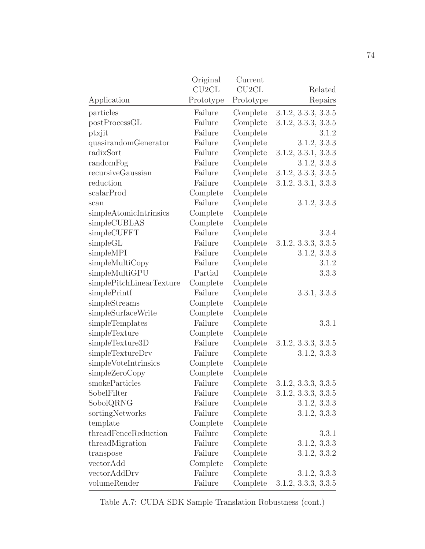|                                                                | Original           | Current   |                     |
|----------------------------------------------------------------|--------------------|-----------|---------------------|
|                                                                | CU <sub>2</sub> CL | CU2CL     | Related             |
| Application                                                    | Prototype          | Prototype | Repairs             |
| particles                                                      | Failure            | Complete  | 3.1.2, 3.3.3, 3.3.5 |
| postProcessGL                                                  | Failure            | Complete  | 3.1.2, 3.3.3, 3.3.5 |
| ptxjit                                                         | Failure            | Complete  | 3.1.2               |
| quasirandomGenerator                                           | Failure            | Complete  | 3.1.2, 3.3.3        |
| radixSort                                                      | Failure            | Complete  | 3.1.2, 3.3.1, 3.3.3 |
| randomFog                                                      | Failure            | Complete  | 3.1.2, 3.3.3        |
| recursiveGaussian                                              | Failure            | Complete  | 3.1.2, 3.3.3, 3.3.5 |
| reduction                                                      | Failure            | Complete  | 3.1.2, 3.3.1, 3.3.3 |
| scalarProd                                                     | Complete           | Complete  |                     |
| scan                                                           | Failure            | Complete  | 3.1.2, 3.3.3        |
| simpleAtomicIntrinsics                                         | Complete           | Complete  |                     |
| simpleCUBLAS                                                   | Complete           | Complete  |                     |
| simpleCUFFT                                                    | Failure            | Complete  | 3.3.4               |
| simpleGL                                                       | Failure            | Complete  | 3.1.2, 3.3.3, 3.3.5 |
| simpleMPI                                                      | Failure            | Complete  | 3.1.2, 3.3.3        |
| simpleMultiCopy                                                | Failure            | Complete  | 3.1.2               |
| simpleMultiGPU                                                 | Partial            | Complete  | 3.3.3               |
| $\label{eq:simplePitchLinear} \text{simplePitchLinearTexture}$ | Complete           | Complete  |                     |
| simplePrintf                                                   | Failure            | Complete  | 3.3.1, 3.3.3        |
| simpleStreams                                                  | Complete           | Complete  |                     |
| $\rm simple SurfaceWrite$                                      | Complete           | Complete  |                     |
| simpleTemplates                                                | Failure            | Complete  | 3.3.1               |
| simpleTexture                                                  | Complete           | Complete  |                     |
| simpleTexture3D                                                | Failure            | Complete  | 3.1.2, 3.3.3, 3.3.5 |
| simpleTextureDrv                                               | Failure            | Complete  | 3.1.2, 3.3.3        |
| simpleVoteIntrinsics                                           | Complete           | Complete  |                     |
| simpleZeroCopy                                                 | Complete           | Complete  |                     |
| smokeParticles                                                 | Failure            | Complete  | 3.1.2, 3.3.3, 3.3.5 |
| SobelFilter                                                    | Failure            | Complete  | 3.1.2, 3.3.3, 3.3.5 |
| SobolQRNG                                                      | Failure            | Complete  | 3.1.2, 3.3.3        |
| sortingNetworks                                                | Failure            | Complete  | 3.1.2, 3.3.3        |
| template                                                       | Complete           | Complete  |                     |
| threadFenceReduction                                           | Failure            | Complete  | 3.3.1               |
| threadMigration                                                | Failure            | Complete  | 3.1.2, 3.3.3        |
| transpose                                                      | Failure            | Complete  | 3.1.2, 3.3.2        |
| vectorAdd                                                      | Complete           | Complete  |                     |
| vectorAddDrv                                                   | Failure            | Complete  | 3.1.2, 3.3.3        |
| volumeRender                                                   | Failure            | Complete  | 3.1.2, 3.3.3, 3.3.5 |

Table A.7: CUDA SDK Sample Translation Robustness (cont.)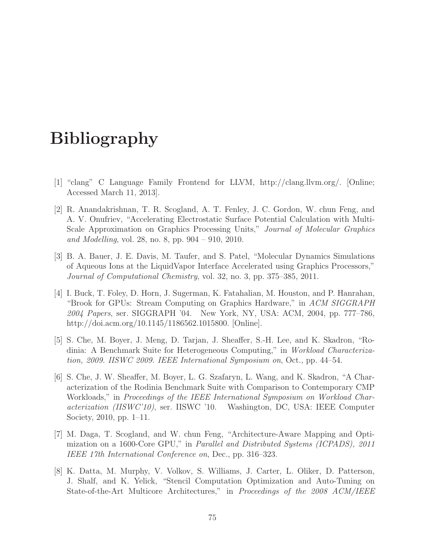## Bibliography

- <span id="page-82-2"></span>[1] "clang" C Language Family Frontend for LLVM, [http://clang.llvm.org/.](http://clang.llvm.org/) [Online; Accessed March 11, 2013].
- [2] R. Anandakrishnan, T. R. Scogland, A. T. Fenley, J. C. Gordon, W. chun Feng, and A. V. Onufriev, "Accelerating Electrostatic Surface Potential Calculation with Multi-Scale Approximation on Graphics Processing Units," Journal of Molecular Graphics and Modelling, vol. 28, no. 8, pp. 904 – 910, 2010.
- <span id="page-82-3"></span>[3] B. A. Bauer, J. E. Davis, M. Taufer, and S. Patel, "Molecular Dynamics Simulations of Aqueous Ions at the LiquidVapor Interface Accelerated using Graphics Processors," Journal of Computational Chemistry, vol. 32, no. 3, pp. 375–385, 2011.
- [4] I. Buck, T. Foley, D. Horn, J. Sugerman, K. Fatahalian, M. Houston, and P. Hanrahan, "Brook for GPUs: Stream Computing on Graphics Hardware," in ACM SIGGRAPH 2004 Papers, ser. SIGGRAPH '04. New York, NY, USA: ACM, 2004, pp. 777–786, [http://doi.acm.org/10.1145/1186562.1015800.](http://doi.acm.org/10.1145/1186562.1015800) [Online].
- <span id="page-82-0"></span>[5] S. Che, M. Boyer, J. Meng, D. Tarjan, J. Sheaffer, S.-H. Lee, and K. Skadron, "Rodinia: A Benchmark Suite for Heterogeneous Computing," in Workload Characterization, 2009. IISWC 2009. IEEE International Symposium on, Oct., pp. 44–54.
- <span id="page-82-1"></span>[6] S. Che, J. W. Sheaffer, M. Boyer, L. G. Szafaryn, L. Wang, and K. Skadron, "A Characterization of the Rodinia Benchmark Suite with Comparison to Contemporary CMP Workloads," in Proceedings of the IEEE International Symposium on Workload Characterization (IISWC'10), ser. IISWC '10. Washington, DC, USA: IEEE Computer Society, 2010, pp. 1–11.
- [7] M. Daga, T. Scogland, and W. chun Feng, "Architecture-Aware Mapping and Optimization on a 1600-Core GPU," in Parallel and Distributed Systems (ICPADS), 2011 IEEE 17th International Conference on, Dec., pp. 316–323.
- [8] K. Datta, M. Murphy, V. Volkov, S. Williams, J. Carter, L. Oliker, D. Patterson, J. Shalf, and K. Yelick, "Stencil Computation Optimization and Auto-Tuning on State-of-the-Art Multicore Architectures," in Proceedings of the 2008 ACM/IEEE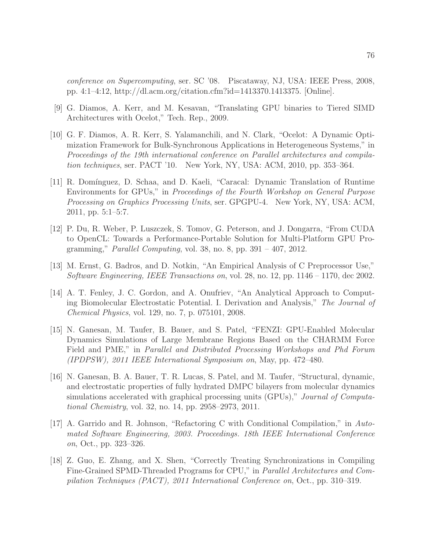conference on Supercomputing, ser. SC '08. Piscataway, NJ, USA: IEEE Press, 2008, pp. 4:1–4:12, [http://dl.acm.org/citation.cfm?id=1413370.1413375.](http://dl.acm.org/citation.cfm?id=1413370.1413375) [Online].

- [9] G. Diamos, A. Kerr, and M. Kesavan, "Translating GPU binaries to Tiered SIMD Architectures with Ocelot," Tech. Rep., 2009.
- [10] G. F. Diamos, A. R. Kerr, S. Yalamanchili, and N. Clark, "Ocelot: A Dynamic Optimization Framework for Bulk-Synchronous Applications in Heterogeneous Systems," in Proceedings of the 19th international conference on Parallel architectures and compilation techniques, ser. PACT '10. New York, NY, USA: ACM, 2010, pp. 353–364.
- [11] R. Dom´ınguez, D. Schaa, and D. Kaeli, "Caracal: Dynamic Translation of Runtime Environments for GPUs," in Proceedings of the Fourth Workshop on General Purpose Processing on Graphics Processing Units, ser. GPGPU-4. New York, NY, USA: ACM, 2011, pp. 5:1–5:7.
- [12] P. Du, R. Weber, P. Luszczek, S. Tomov, G. Peterson, and J. Dongarra, "From CUDA to OpenCL: Towards a Performance-Portable Solution for Multi-Platform GPU Programming," *Parallel Computing*, vol. 38, no. 8, pp.  $391 - 407$ ,  $2012$ .
- <span id="page-83-0"></span>[13] M. Ernst, G. Badros, and D. Notkin, "An Empirical Analysis of C Preprocessor Use," Software Engineering, IEEE Transactions on, vol. 28, no. 12, pp. 1146 – 1170, dec 2002.
- [14] A. T. Fenley, J. C. Gordon, and A. Onufriev, "An Analytical Approach to Computing Biomolecular Electrostatic Potential. I. Derivation and Analysis," The Journal of Chemical Physics, vol. 129, no. 7, p. 075101, 2008.
- <span id="page-83-1"></span>[15] N. Ganesan, M. Taufer, B. Bauer, and S. Patel, "FENZI: GPU-Enabled Molecular Dynamics Simulations of Large Membrane Regions Based on the CHARMM Force Field and PME," in Parallel and Distributed Processing Workshops and Phd Forum (IPDPSW), 2011 IEEE International Symposium on, May, pp. 472–480.
- <span id="page-83-2"></span>[16] N. Ganesan, B. A. Bauer, T. R. Lucas, S. Patel, and M. Taufer, "Structural, dynamic, and electrostatic properties of fully hydrated DMPC bilayers from molecular dynamics simulations accelerated with graphical processing units (GPUs)," *Journal of Computa*tional Chemistry, vol. 32, no. 14, pp. 2958–2973, 2011.
- [17] A. Garrido and R. Johnson, "Refactoring C with Conditional Compilation," in Automated Software Engineering, 2003. Proceedings. 18th IEEE International Conference on, Oct., pp. 323–326.
- [18] Z. Guo, E. Zhang, and X. Shen, "Correctly Treating Synchronizations in Compiling Fine-Grained SPMD-Threaded Programs for CPU," in Parallel Architectures and Compilation Techniques (PACT), 2011 International Conference on, Oct., pp. 310–319.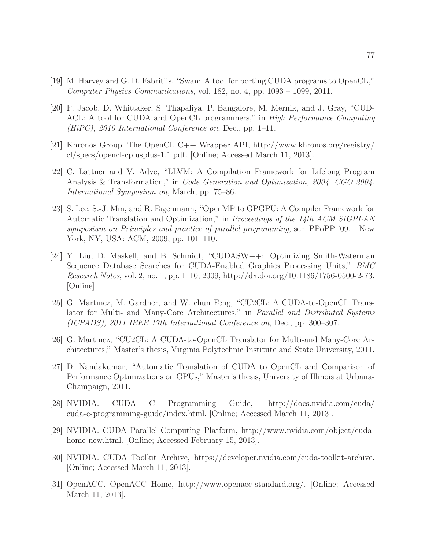- [19] M. Harvey and G. D. Fabritiis, "Swan: A tool for porting CUDA programs to OpenCL," Computer Physics Communications, vol. 182, no. 4, pp. 1093 – 1099, 2011.
- [20] F. Jacob, D. Whittaker, S. Thapaliya, P. Bangalore, M. Mernik, and J. Gray, "CUD-ACL: A tool for CUDA and OpenCL programmers," in High Performance Computing (HiPC), 2010 International Conference on, Dec., pp. 1–11.
- [21] Khronos Group. The OpenCL C++ Wrapper API, [http://www.khronos.org/registry/](http://www.khronos.org/registry/cl/specs/opencl-cplusplus-1.1.pdf) [cl/specs/opencl-cplusplus-1.1.pdf.](http://www.khronos.org/registry/cl/specs/opencl-cplusplus-1.1.pdf) [Online; Accessed March 11, 2013].
- [22] C. Lattner and V. Adve, "LLVM: A Compilation Framework for Lifelong Program Analysis & Transformation," in Code Generation and Optimization, 2004. CGO 2004. International Symposium on, March, pp. 75–86.
- [23] S. Lee, S.-J. Min, and R. Eigenmann, "OpenMP to GPGPU: A Compiler Framework for Automatic Translation and Optimization," in Proceedings of the 14th ACM SIGPLAN symposium on Principles and practice of parallel programming, ser. PPoPP '09. New York, NY, USA: ACM, 2009, pp. 101–110.
- [24] Y. Liu, D. Maskell, and B. Schmidt, "CUDASW++: Optimizing Smith-Waterman Sequence Database Searches for CUDA-Enabled Graphics Processing Units," BMC Research Notes, vol. 2, no. 1, pp. 1–10, 2009, [http://dx.doi.org/10.1186/1756-0500-2-73.](http://dx.doi.org/10.1186/1756-0500-2-73) [Online].
- [25] G. Martinez, M. Gardner, and W. chun Feng, "CU2CL: A CUDA-to-OpenCL Translator for Multi- and Many-Core Architectures," in Parallel and Distributed Systems (ICPADS), 2011 IEEE 17th International Conference on, Dec., pp. 300–307.
- [26] G. Martinez, "CU2CL: A CUDA-to-OpenCL Translator for Multi-and Many-Core Architectures," Master's thesis, Virginia Polytechnic Institute and State University, 2011.
- [27] D. Nandakumar, "Automatic Translation of CUDA to OpenCL and Comparison of Performance Optimizations on GPUs," Master's thesis, University of Illinois at Urbana-Champaign, 2011.
- [28] NVIDIA. CUDA C Programming Guide, [http://docs.nvidia.com/cuda/](http://docs.nvidia.com/cuda/cuda-c-programming-guide/index.html) [cuda-c-programming-guide/index.html.](http://docs.nvidia.com/cuda/cuda-c-programming-guide/index.html) [Online; Accessed March 11, 2013].
- [29] NVIDIA. CUDA Parallel Computing Platform, [http://www.nvidia.com/object/cuda](http://www.nvidia.com/object/cuda_home_new.html) home\_[new.html.](http://www.nvidia.com/object/cuda_home_new.html) [Online; Accessed February 15, 2013].
- <span id="page-84-0"></span>[30] NVIDIA. CUDA Toolkit Archive, [https://developer.nvidia.com/cuda-toolkit-archive.](https://developer.nvidia.com/cuda-toolkit-archive) [Online; Accessed March 11, 2013].
- [31] OpenACC. OpenACC Home, [http://www.openacc-standard.org/.](http://www.openacc-standard.org/) [Online; Accessed March 11, 2013].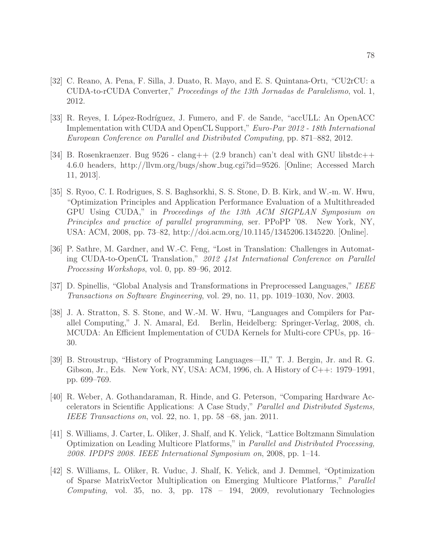- [32] C. Reano, A. Pena, F. Silla, J. Duato, R. Mayo, and E. S. Quintana-Ortı, "CU2rCU: a CUDA-to-rCUDA Converter," Proceedings of the 13th Jornadas de Paralelismo, vol. 1, 2012.
- [33] R. Reyes, I. López-Rodríguez, J. Fumero, and F. de Sande, "accULL: An OpenACC Implementation with CUDA and OpenCL Support," Euro-Par 2012 - 18th International European Conference on Parallel and Distributed Computing, pp. 871–882, 2012.
- [34] B. Rosenkraenzer. Bug 9526 clang++ (2.9 branch) can't deal with GNU libstdc++ 4.6.0 headers, [http://llvm.org/bugs/show](http://llvm.org/bugs/show_bug.cgi?id=9526) bug.cgi?id=9526. [Online; Accessed March 11, 2013].
- [35] S. Ryoo, C. I. Rodrigues, S. S. Baghsorkhi, S. S. Stone, D. B. Kirk, and W.-m. W. Hwu, "Optimization Principles and Application Performance Evaluation of a Multithreaded GPU Using CUDA," in Proceedings of the 13th ACM SIGPLAN Symposium on Principles and practice of parallel programming, ser. PPoPP '08. New York, NY, USA: ACM, 2008, pp. 73–82, [http://doi.acm.org/10.1145/1345206.1345220.](http://doi.acm.org/10.1145/1345206.1345220) [Online].
- [36] P. Sathre, M. Gardner, and W.-C. Feng, "Lost in Translation: Challenges in Automating CUDA-to-OpenCL Translation," 2012 41st International Conference on Parallel Processing Workshops, vol. 0, pp. 89–96, 2012.
- [37] D. Spinellis, "Global Analysis and Transformations in Preprocessed Languages," IEEE Transactions on Software Engineering, vol. 29, no. 11, pp. 1019–1030, Nov. 2003.
- [38] J. A. Stratton, S. S. Stone, and W.-M. W. Hwu, "Languages and Compilers for Parallel Computing," J. N. Amaral, Ed. Berlin, Heidelberg: Springer-Verlag, 2008, ch. MCUDA: An Efficient Implementation of CUDA Kernels for Multi-core CPUs, pp. 16– 30.
- [39] B. Stroustrup, "History of Programming Languages—II," T. J. Bergin, Jr. and R. G. Gibson, Jr., Eds. New York, NY, USA: ACM, 1996, ch. A History of C++: 1979–1991, pp. 699–769.
- [40] R. Weber, A. Gothandaraman, R. Hinde, and G. Peterson, "Comparing Hardware Accelerators in Scientific Applications: A Case Study," Parallel and Distributed Systems, IEEE Transactions on, vol. 22, no. 1, pp. 58 –68, jan. 2011.
- [41] S. Williams, J. Carter, L. Oliker, J. Shalf, and K. Yelick, "Lattice Boltzmann Simulation Optimization on Leading Multicore Platforms," in Parallel and Distributed Processing, 2008. IPDPS 2008. IEEE International Symposium on, 2008, pp. 1–14.
- [42] S. Williams, L. Oliker, R. Vuduc, J. Shalf, K. Yelick, and J. Demmel, "Optimization of Sparse MatrixVector Multiplication on Emerging Multicore Platforms," Parallel Computing, vol. 35, no. 3, pp. 178 – 194, 2009, revolutionary Technologies